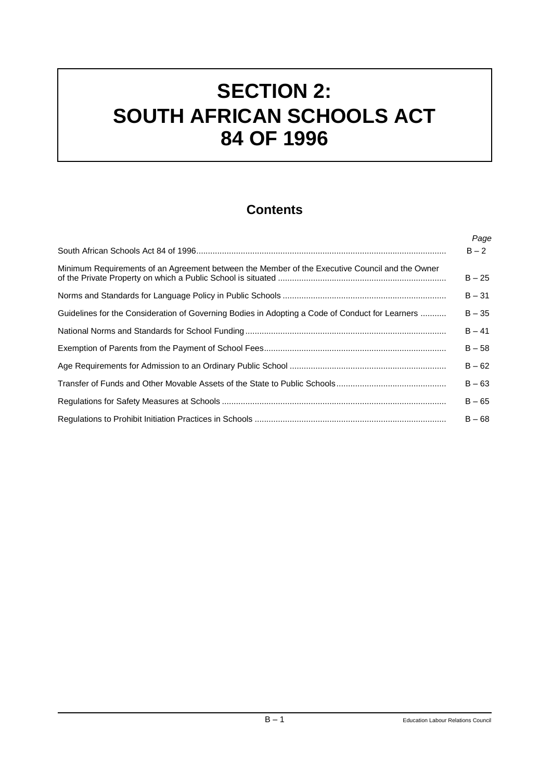# **SECTION 2: SOUTH AFRICAN SCHOOLS ACT 84 OF 1996**

# **Contents**

|                                                                                                 | Page     |
|-------------------------------------------------------------------------------------------------|----------|
|                                                                                                 | $B - 2$  |
| Minimum Requirements of an Agreement between the Member of the Executive Council and the Owner  | $B - 25$ |
|                                                                                                 | $B - 31$ |
| Guidelines for the Consideration of Governing Bodies in Adopting a Code of Conduct for Learners | $B - 35$ |
|                                                                                                 | $B - 41$ |
|                                                                                                 | $B - 58$ |
|                                                                                                 | $B - 62$ |
|                                                                                                 | $B - 63$ |
|                                                                                                 | $B - 65$ |
|                                                                                                 | $B - 68$ |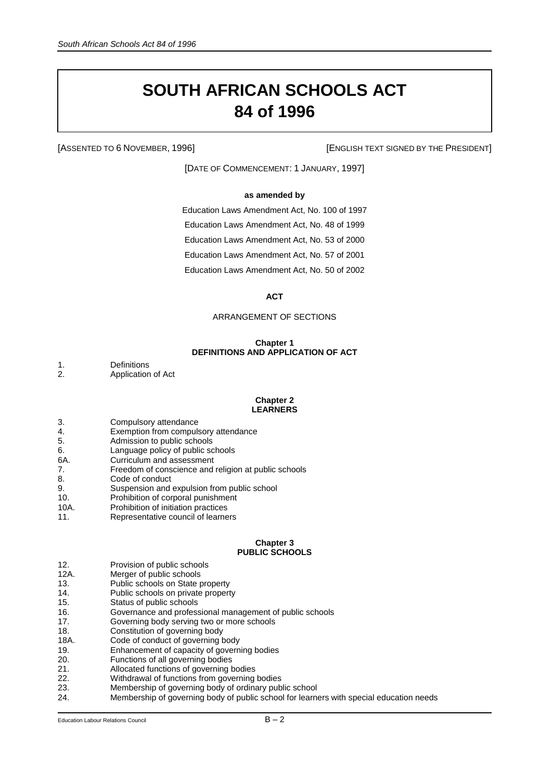# **SOUTH AFRICAN SCHOOLS ACT 84 of 1996**

[ASSENTED TO 6 NOVEMBER, 1996] [ENGLISH TEXT SIGNED BY THE PRESIDENT]

[DATE OF COMMENCEMENT: 1 JANUARY, 1997]

# **as amended by**

Education Laws Amendment Act, No. 100 of 1997 Education Laws Amendment Act, No. 48 of 1999 Education Laws Amendment Act, No. 53 of 2000 Education Laws Amendment Act, No. 57 of 2001 Education Laws Amendment Act, No. 50 of 2002

**ACT**

# ARRANGEMENT OF SECTIONS

## **Chapter 1 DEFINITIONS AND APPLICATION OF ACT**

1. Definitions<br>2 Application Application of Act

#### **Chapter 2 LEARNERS**

- 3. Compulsory attendance
- 4. Exemption from compulsory attendance<br>5. Admission to public schools
- Admission to public schools
- 6. Language policy of public schools
- 6A. Curriculum and assessment
- 7. Freedom of conscience and religion at public schools
- 8. Code of conduct
- 9. Suspension and expulsion from public school
- 10. Prohibition of corporal punishment
- 10A. Prohibition of initiation practices
- 11. Representative council of learners

## **Chapter 3 PUBLIC SCHOOLS**

- 12. Provision of public schools
- 12A. Merger of public schools<br>13. Public schools on State por
- Public schools on State property
- 14. Public schools on private property
- 15. Status of public schools
- 16. Governance and professional management of public schools
- 17. Governing body serving two or more schools
- 18. Constitution of governing body
- 18A. Code of conduct of governing body
- 19. Enhancement of capacity of governing bodies<br>20. Functions of all governing bodies
- Functions of all governing bodies
- 21. Allocated functions of governing bodies
- 22. Withdrawal of functions from governing bodies<br>23. Membership of governing body of ordinary pub
- Membership of governing body of ordinary public school
- 24. Membership of governing body of public school for learners with special education needs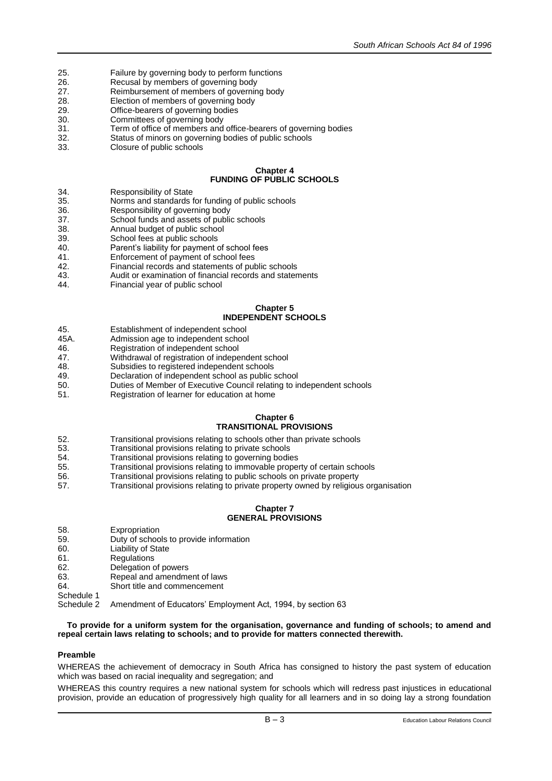- 25. Failure by governing body to perform functions<br>26. Recusal by members of governing body
- Recusal by members of governing body
- 27. Reimbursement of members of governing body
- 28. Election of members of governing body<br>29. Certica-bearers of governing bodies
- 29. **Office-bearers of governing bodies**<br>30. Committees of governing body
- 30. Committees of governing body<br>31 Term of office of members and
- Term of office of members and office-bearers of governing bodies
- 32. Status of minors on governing bodies of public schools
- 33. Closure of public schools

# **Chapter 4 FUNDING OF PUBLIC SCHOOLS**

- 34. Responsibility of State<br>35. Norms and standards 1
- Norms and standards for funding of public schools
- 36. Responsibility of governing body<br>37 School funds and assets of public
- School funds and assets of public schools
- 38. Annual budget of public school<br>39 School fees at public schools
- 39. School fees at public schools<br>40 Parent's liability for payment
- Parent's liability for payment of school fees
- 41. Enforcement of payment of school fees<br>42. Financial records and statements of pub
- Financial records and statements of public schools
- 43. Audit or examination of financial records and statements
- 44. Financial year of public school

# **Chapter 5 INDEPENDENT SCHOOLS**

- 45. Establishment of independent school<br>45A. Admission age to independent school
- Admission age to independent school
- 46. Registration of independent school<br>47. Withdrawal of registration of indepe
- Withdrawal of registration of independent school
- 48. Subsidies to registered independent schools
- 49. Declaration of independent school as public school<br>50. Duties of Member of Executive Council relating to in
- Duties of Member of Executive Council relating to independent schools
- 51. Registration of learner for education at home

#### **Chapter 6 TRANSITIONAL PROVISIONS**

- 52. Transitional provisions relating to schools other than private schools<br>53. Transitional provisions relating to private schools
- Transitional provisions relating to private schools
- 54. Transitional provisions relating to governing bodies
- 55. Transitional provisions relating to immovable property of certain schools<br>56. Transitional provisions relating to public schools on private property
- Transitional provisions relating to public schools on private property
- 57. Transitional provisions relating to private property owned by religious organisation

# **Chapter 7 GENERAL PROVISIONS**

- 58. Expropriation
- 59. Duty of schools to provide information
- 60. Liability of State
- 61. Regulations
- 62. Delegation of powers<br>63 Repeal and amendme
- Repeal and amendment of laws
- 64. Short title and commencement
- Schedule 1<br>Schedule 2
- Amendment of Educators' Employment Act, 1994, by section 63

# **To provide for a uniform system for the organisation, governance and funding of schools; to amend and repeal certain laws relating to schools; and to provide for matters connected therewith.**

# **Preamble**

WHEREAS the achievement of democracy in South Africa has consigned to history the past system of education which was based on racial inequality and segregation; and

WHEREAS this country requires a new national system for schools which will redress past injustices in educational provision, provide an education of progressively high quality for all learners and in so doing lay a strong foundation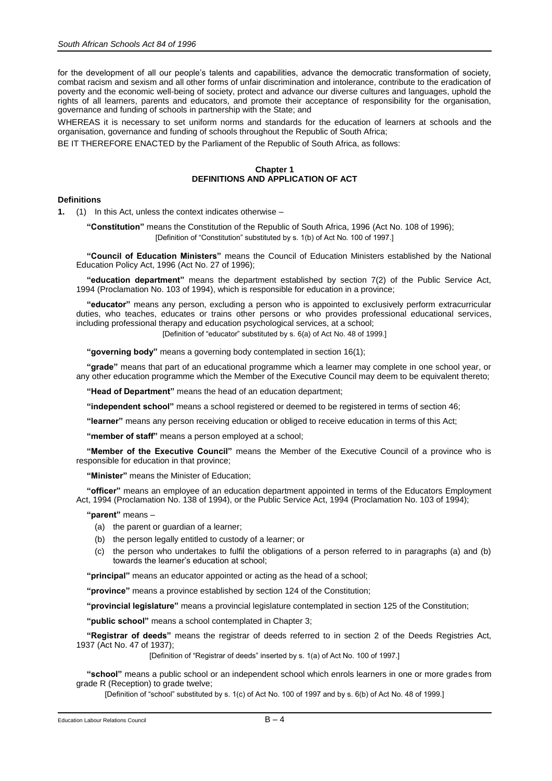for the development of all our people's talents and capabilities, advance the democratic transformation of society, combat racism and sexism and all other forms of unfair discrimination and intolerance, contribute to the eradication of poverty and the economic well-being of society, protect and advance our diverse cultures and languages, uphold the rights of all learners, parents and educators, and promote their acceptance of responsibility for the organisation, governance and funding of schools in partnership with the State; and

WHEREAS it is necessary to set uniform norms and standards for the education of learners at schools and the organisation, governance and funding of schools throughout the Republic of South Africa;

BE IT THEREFORE ENACTED by the Parliament of the Republic of South Africa, as follows:

## **Chapter 1 DEFINITIONS AND APPLICATION OF ACT**

## **Definitions**

**1.** (1) In this Act, unless the context indicates otherwise –

**"Constitution"** means the Constitution of the Republic of South Africa, 1996 (Act No. 108 of 1996); [Definition of "Constitution" substituted by s. 1(b) of Act No. 100 of 1997.]

**"Council of Education Ministers"** means the Council of Education Ministers established by the National Education Policy Act, 1996 (Act No. 27 of 1996);

**"education department"** means the department established by section 7(2) of the Public Service Act, 1994 (Proclamation No. 103 of 1994), which is responsible for education in a province;

**"educator"** means any person, excluding a person who is appointed to exclusively perform extracurricular duties, who teaches, educates or trains other persons or who provides professional educational services, including professional therapy and education psychological services, at a school;

[Definition of "educator" substituted by s. 6(a) of Act No. 48 of 1999.]

**"governing body"** means a governing body contemplated in section 16(1);

**"grade"** means that part of an educational programme which a learner may complete in one school year, or any other education programme which the Member of the Executive Council may deem to be equivalent thereto;

**"Head of Department"** means the head of an education department;

**"independent school"** means a school registered or deemed to be registered in terms of section 46;

**"learner"** means any person receiving education or obliged to receive education in terms of this Act;

**"member of staff"** means a person employed at a school;

**"Member of the Executive Council"** means the Member of the Executive Council of a province who is responsible for education in that province;

**"Minister"** means the Minister of Education;

**"officer"** means an employee of an education department appointed in terms of the Educators Employment Act, 1994 (Proclamation No. 138 of 1994), or the Public Service Act, 1994 (Proclamation No. 103 of 1994);

**"parent"** means –

(a) the parent or guardian of a learner;

- (b) the person legally entitled to custody of a learner; or
- (c) the person who undertakes to fulfil the obligations of a person referred to in paragraphs (a) and (b) towards the learner's education at school;

**"principal"** means an educator appointed or acting as the head of a school;

**"province"** means a province established by section 124 of the Constitution;

**"provincial legislature"** means a provincial legislature contemplated in section 125 of the Constitution;

**"public school"** means a school contemplated in Chapter 3;

**"Registrar of deeds"** means the registrar of deeds referred to in section 2 of the Deeds Registries Act, 1937 (Act No. 47 of 1937);

[Definition of "Registrar of deeds" inserted by s. 1(a) of Act No. 100 of 1997.]

**"school"** means a public school or an independent school which enrols learners in one or more grades from grade R (Reception) to grade twelve;

[Definition of "school" substituted by s. 1(c) of Act No. 100 of 1997 and by s. 6(b) of Act No. 48 of 1999.]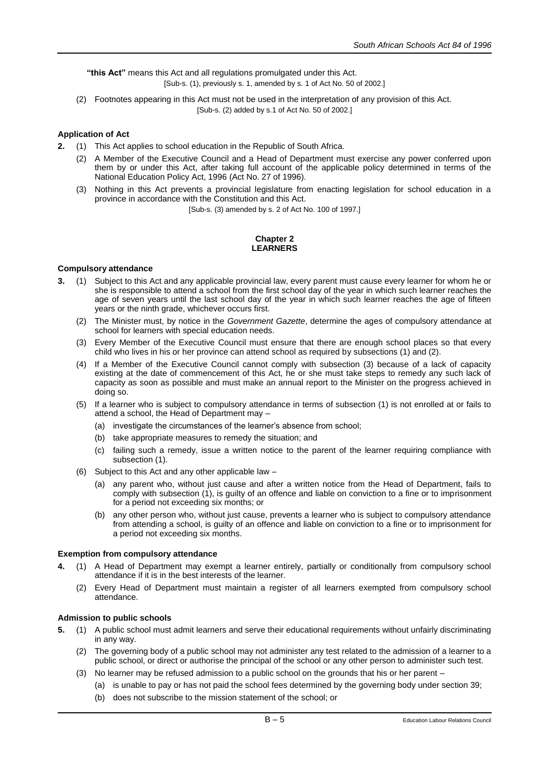**"this Act"** means this Act and all regulations promulgated under this Act.

[Sub-s. (1), previously s. 1, amended by s. 1 of Act No. 50 of 2002.]

(2) Footnotes appearing in this Act must not be used in the interpretation of any provision of this Act. [Sub-s. (2) added by s.1 of Act No. 50 of 2002.]

# **Application of Act**

- **2.** (1) This Act applies to school education in the Republic of South Africa.
	- (2) A Member of the Executive Council and a Head of Department must exercise any power conferred upon them by or under this Act, after taking full account of the applicable policy determined in terms of the National Education Policy Act, 1996 (Act No. 27 of 1996).
	- (3) Nothing in this Act prevents a provincial legislature from enacting legislation for school education in a province in accordance with the Constitution and this Act.

[Sub-s. (3) amended by s. 2 of Act No. 100 of 1997.]

# **Chapter 2 LEARNERS**

# **Compulsory attendance**

- **3.** (1) Subject to this Act and any applicable provincial law, every parent must cause every learner for whom he or she is responsible to attend a school from the first school day of the year in which such learner reaches the age of seven years until the last school day of the year in which such learner reaches the age of fifteen years or the ninth grade, whichever occurs first.
	- (2) The Minister must, by notice in the *Government Gazette*, determine the ages of compulsory attendance at school for learners with special education needs.
	- (3) Every Member of the Executive Council must ensure that there are enough school places so that every child who lives in his or her province can attend school as required by subsections (1) and (2).
	- (4) If a Member of the Executive Council cannot comply with subsection (3) because of a lack of capacity existing at the date of commencement of this Act, he or she must take steps to remedy any such lack of capacity as soon as possible and must make an annual report to the Minister on the progress achieved in doing so.
	- (5) If a learner who is subject to compulsory attendance in terms of subsection (1) is not enrolled at or fails to attend a school, the Head of Department may –
		- (a) investigate the circumstances of the learner's absence from school;
		- (b) take appropriate measures to remedy the situation; and
		- (c) failing such a remedy, issue a written notice to the parent of the learner requiring compliance with subsection (1).
	- (6) Subject to this Act and any other applicable law
		- (a) any parent who, without just cause and after a written notice from the Head of Department, fails to comply with subsection (1), is guilty of an offence and liable on conviction to a fine or to imprisonment for a period not exceeding six months; or
		- (b) any other person who, without just cause, prevents a learner who is subject to compulsory attendance from attending a school, is guilty of an offence and liable on conviction to a fine or to imprisonment for a period not exceeding six months.

# **Exemption from compulsory attendance**

- **4.** (1) A Head of Department may exempt a learner entirely, partially or conditionally from compulsory school attendance if it is in the best interests of the learner.
	- (2) Every Head of Department must maintain a register of all learners exempted from compulsory school attendance.

## **Admission to public schools**

- **5.** (1) A public school must admit learners and serve their educational requirements without unfairly discriminating in any way.
	- (2) The governing body of a public school may not administer any test related to the admission of a learner to a public school, or direct or authorise the principal of the school or any other person to administer such test.
	- (3) No learner may be refused admission to a public school on the grounds that his or her parent
		- (a) is unable to pay or has not paid the school fees determined by the governing body under section 39;
		- (b) does not subscribe to the mission statement of the school; or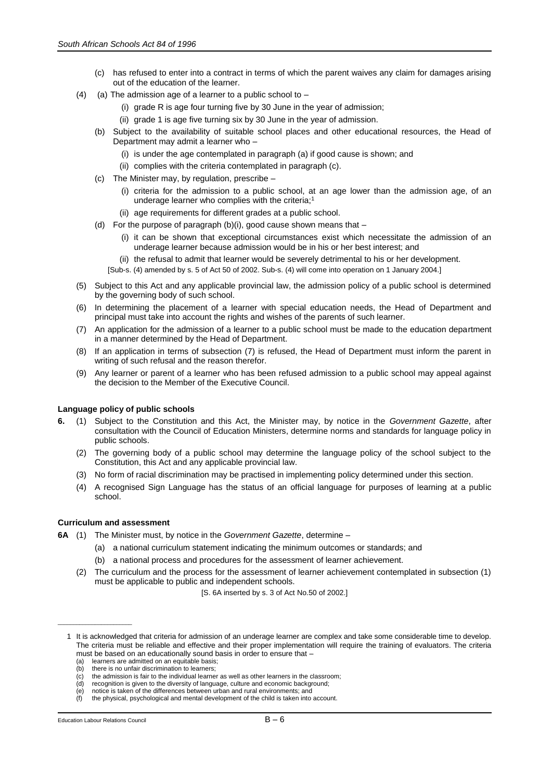- (c) has refused to enter into a contract in terms of which the parent waives any claim for damages arising out of the education of the learner.
- (4) (a) The admission age of a learner to a public school to  $-$ 
	- (i) grade R is age four turning five by 30 June in the year of admission;
	- (ii) grade 1 is age five turning six by 30 June in the year of admission.
	- (b) Subject to the availability of suitable school places and other educational resources, the Head of Department may admit a learner who –
		- (i) is under the age contemplated in paragraph (a) if good cause is shown; and
		- (ii) complies with the criteria contemplated in paragraph (c).
	- (c) The Minister may, by regulation, prescribe
		- (i) criteria for the admission to a public school, at an age lower than the admission age, of an underage learner who complies with the criteria;<sup>1</sup>
			- (ii) age requirements for different grades at a public school.
	- (d) For the purpose of paragraph  $(b)(i)$ , good cause shown means that  $-$ 
		- (i) it can be shown that exceptional circumstances exist which necessitate the admission of an underage learner because admission would be in his or her best interest; and
		- (ii) the refusal to admit that learner would be severely detrimental to his or her development.
		- [Sub-s. (4) amended by s. 5 of Act 50 of 2002. Sub-s. (4) will come into operation on 1 January 2004.]
- (5) Subject to this Act and any applicable provincial law, the admission policy of a public school is determined by the governing body of such school.
- (6) In determining the placement of a learner with special education needs, the Head of Department and principal must take into account the rights and wishes of the parents of such learner.
- (7) An application for the admission of a learner to a public school must be made to the education department in a manner determined by the Head of Department.
- (8) If an application in terms of subsection (7) is refused, the Head of Department must inform the parent in writing of such refusal and the reason therefor.
- (9) Any learner or parent of a learner who has been refused admission to a public school may appeal against the decision to the Member of the Executive Council.

# **Language policy of public schools**

- **6.** (1) Subject to the Constitution and this Act, the Minister may, by notice in the *Government Gazette*, after consultation with the Council of Education Ministers, determine norms and standards for language policy in public schools.
	- (2) The governing body of a public school may determine the language policy of the school subject to the Constitution, this Act and any applicable provincial law.
	- (3) No form of racial discrimination may be practised in implementing policy determined under this section.
	- (4) A recognised Sign Language has the status of an official language for purposes of learning at a public school.

# **Curriculum and assessment**

**6A** (1) The Minister must, by notice in the *Government Gazette*, determine –

- (a) a national curriculum statement indicating the minimum outcomes or standards; and
- (b) a national process and procedures for the assessment of learner achievement.
- (2) The curriculum and the process for the assessment of learner achievement contemplated in subsection (1) must be applicable to public and independent schools.

[S. 6A inserted by s. 3 of Act No.50 of 2002.]

\_\_\_\_\_\_\_\_\_\_\_\_\_\_\_\_\_\_\_\_\_\_\_\_

<sup>1</sup> It is acknowledged that criteria for admission of an underage learner are complex and take some considerable time to develop. The criteria must be reliable and effective and their proper implementation will require the training of evaluators. The criteria must be based on an educationally sound basis in order to ensure that -

<sup>(</sup>a) learners are admitted on an equitable basis;<br>(b) there is no unfair discrimination to learners;

there is no unfair discrimination to learners;

 $\langle c \rangle$  the admission is fair to the individual learner as well as other learners in the classroom;<br>(d) recognition is given to the diversity of language, culture and economic background;

recognition is given to the diversity of language, culture and economic background;

<sup>(</sup>e) notice is taken of the differences between urban and rural environments; and (f) the physical, psychological and mental development of the child is taken into account.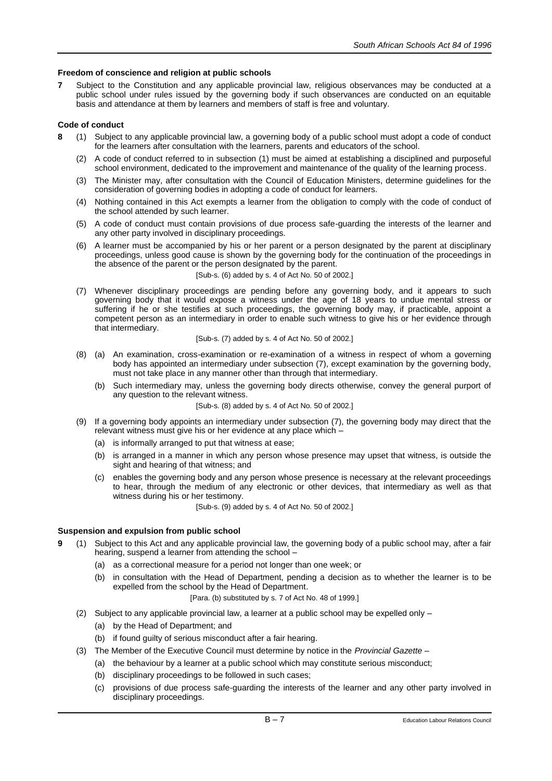# **Freedom of conscience and religion at public schools**

**7** Subject to the Constitution and any applicable provincial law, religious observances may be conducted at a public school under rules issued by the governing body if such observances are conducted on an equitable basis and attendance at them by learners and members of staff is free and voluntary.

# **Code of conduct**

- **8** (1) Subject to any applicable provincial law, a governing body of a public school must adopt a code of conduct for the learners after consultation with the learners, parents and educators of the school.
	- (2) A code of conduct referred to in subsection (1) must be aimed at establishing a disciplined and purposeful school environment, dedicated to the improvement and maintenance of the quality of the learning process.
	- (3) The Minister may, after consultation with the Council of Education Ministers, determine guidelines for the consideration of governing bodies in adopting a code of conduct for learners.
	- (4) Nothing contained in this Act exempts a learner from the obligation to comply with the code of conduct of the school attended by such learner.
	- (5) A code of conduct must contain provisions of due process safe-guarding the interests of the learner and any other party involved in disciplinary proceedings.
	- (6) A learner must be accompanied by his or her parent or a person designated by the parent at disciplinary proceedings, unless good cause is shown by the governing body for the continuation of the proceedings in the absence of the parent or the person designated by the parent.

[Sub-s. (6) added by s. 4 of Act No. 50 of 2002.]

(7) Whenever disciplinary proceedings are pending before any governing body, and it appears to such governing body that it would expose a witness under the age of 18 years to undue mental stress or suffering if he or she testifies at such proceedings, the governing body may, if practicable, appoint a competent person as an intermediary in order to enable such witness to give his or her evidence through that intermediary.

## [Sub-s. (7) added by s. 4 of Act No. 50 of 2002.]

- (8) (a) An examination, cross-examination or re-examination of a witness in respect of whom a governing body has appointed an intermediary under subsection (7), except examination by the governing body, must not take place in any manner other than through that intermediary.
	- (b) Such intermediary may, unless the governing body directs otherwise, convey the general purport of any question to the relevant witness.

[Sub-s. (8) added by s. 4 of Act No. 50 of 2002.]

- (9) If a governing body appoints an intermediary under subsection (7), the governing body may direct that the relevant witness must give his or her evidence at any place which –
	- (a) is informally arranged to put that witness at ease;
	- (b) is arranged in a manner in which any person whose presence may upset that witness, is outside the sight and hearing of that witness; and
	- (c) enables the governing body and any person whose presence is necessary at the relevant proceedings to hear, through the medium of any electronic or other devices, that intermediary as well as that witness during his or her testimony.

[Sub-s. (9) added by s. 4 of Act No. 50 of 2002.]

# **Suspension and expulsion from public school**

- **9** (1) Subject to this Act and any applicable provincial law, the governing body of a public school may, after a fair hearing, suspend a learner from attending the school –
	- (a) as a correctional measure for a period not longer than one week; or
	- (b) in consultation with the Head of Department, pending a decision as to whether the learner is to be expelled from the school by the Head of Department.

## [Para. (b) substituted by s. 7 of Act No. 48 of 1999.]

- (2) Subject to any applicable provincial law, a learner at a public school may be expelled only
	- (a) by the Head of Department; and
	- (b) if found guilty of serious misconduct after a fair hearing.
- (3) The Member of the Executive Council must determine by notice in the *Provincial Gazette*
	- (a) the behaviour by a learner at a public school which may constitute serious misconduct;
		- (b) disciplinary proceedings to be followed in such cases;
		- (c) provisions of due process safe-guarding the interests of the learner and any other party involved in disciplinary proceedings.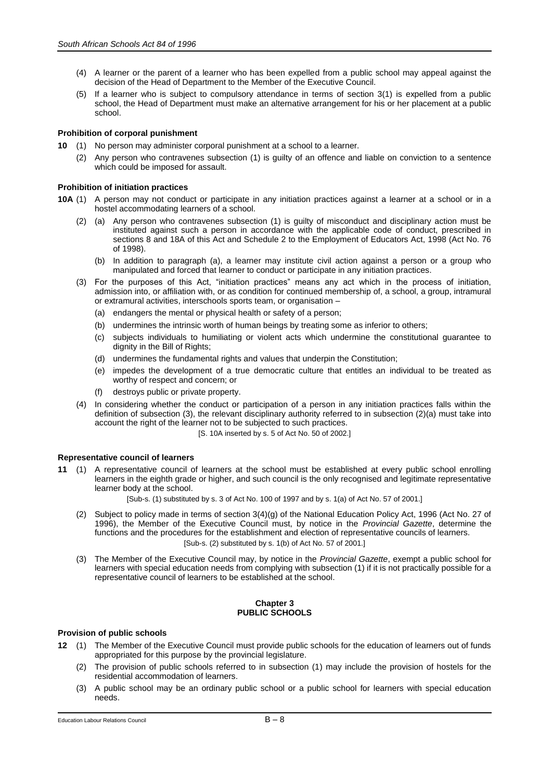- (4) A learner or the parent of a learner who has been expelled from a public school may appeal against the decision of the Head of Department to the Member of the Executive Council.
- (5) If a learner who is subject to compulsory attendance in terms of section 3(1) is expelled from a public school, the Head of Department must make an alternative arrangement for his or her placement at a public school.

# **Prohibition of corporal punishment**

- **10** (1) No person may administer corporal punishment at a school to a learner.
	- (2) Any person who contravenes subsection (1) is guilty of an offence and liable on conviction to a sentence which could be imposed for assault.

# **Prohibition of initiation practices**

- **10A** (1) A person may not conduct or participate in any initiation practices against a learner at a school or in a hostel accommodating learners of a school.
	- (2) (a) Any person who contravenes subsection (1) is guilty of misconduct and disciplinary action must be instituted against such a person in accordance with the applicable code of conduct, prescribed in sections 8 and 18A of this Act and Schedule 2 to the Employment of Educators Act, 1998 (Act No. 76 of 1998).
		- (b) In addition to paragraph (a), a learner may institute civil action against a person or a group who manipulated and forced that learner to conduct or participate in any initiation practices.
	- (3) For the purposes of this Act, "initiation practices" means any act which in the process of initiation, admission into, or affiliation with, or as condition for continued membership of, a school, a group, intramural or extramural activities, interschools sports team, or organisation –
		- (a) endangers the mental or physical health or safety of a person;
		- (b) undermines the intrinsic worth of human beings by treating some as inferior to others;
		- (c) subjects individuals to humiliating or violent acts which undermine the constitutional guarantee to dignity in the Bill of Rights;
		- (d) undermines the fundamental rights and values that underpin the Constitution;
		- (e) impedes the development of a true democratic culture that entitles an individual to be treated as worthy of respect and concern; or
		- (f) destroys public or private property.
	- (4) In considering whether the conduct or participation of a person in any initiation practices falls within the definition of subsection (3), the relevant disciplinary authority referred to in subsection (2)(a) must take into account the right of the learner not to be subjected to such practices.
		- [S. 10A inserted by s. 5 of Act No. 50 of 2002.]

## **Representative council of learners**

**11** (1) A representative council of learners at the school must be established at every public school enrolling learners in the eighth grade or higher, and such council is the only recognised and legitimate representative learner body at the school.

[Sub-s. (1) substituted by s. 3 of Act No. 100 of 1997 and by s. 1(a) of Act No. 57 of 2001.]

- (2) Subject to policy made in terms of section 3(4)(g) of the National Education Policy Act, 1996 (Act No. 27 of 1996), the Member of the Executive Council must, by notice in the *Provincial Gazette*, determine the functions and the procedures for the establishment and election of representative councils of learners. [Sub-s. (2) substituted by s. 1(b) of Act No. 57 of 2001.]
- (3) The Member of the Executive Council may, by notice in the *Provincial Gazette*, exempt a public school for learners with special education needs from complying with subsection (1) if it is not practically possible for a representative council of learners to be established at the school.

#### **Chapter 3 PUBLIC SCHOOLS**

# **Provision of public schools**

- **12** (1) The Member of the Executive Council must provide public schools for the education of learners out of funds appropriated for this purpose by the provincial legislature.
	- (2) The provision of public schools referred to in subsection (1) may include the provision of hostels for the residential accommodation of learners.
	- (3) A public school may be an ordinary public school or a public school for learners with special education needs.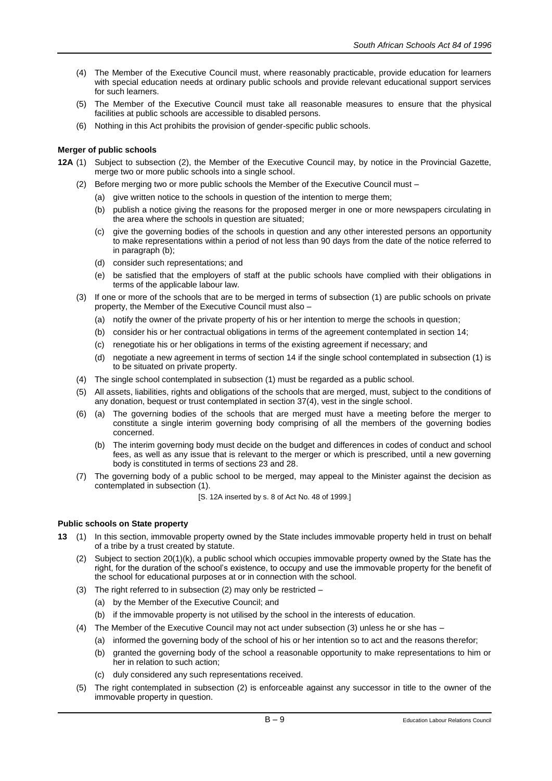- (4) The Member of the Executive Council must, where reasonably practicable, provide education for learners with special education needs at ordinary public schools and provide relevant educational support services for such learners.
- (5) The Member of the Executive Council must take all reasonable measures to ensure that the physical facilities at public schools are accessible to disabled persons.
- (6) Nothing in this Act prohibits the provision of gender-specific public schools.

# **Merger of public schools**

- **12A** (1) Subject to subsection (2), the Member of the Executive Council may, by notice in the Provincial Gazette, merge two or more public schools into a single school.
	- (2) Before merging two or more public schools the Member of the Executive Council must
		- (a) give written notice to the schools in question of the intention to merge them;
		- (b) publish a notice giving the reasons for the proposed merger in one or more newspapers circulating in the area where the schools in question are situated;
		- (c) give the governing bodies of the schools in question and any other interested persons an opportunity to make representations within a period of not less than 90 days from the date of the notice referred to in paragraph (b);
		- (d) consider such representations; and
		- (e) be satisfied that the employers of staff at the public schools have complied with their obligations in terms of the applicable labour law.
	- (3) If one or more of the schools that are to be merged in terms of subsection (1) are public schools on private property, the Member of the Executive Council must also –
		- (a) notify the owner of the private property of his or her intention to merge the schools in question;
		- (b) consider his or her contractual obligations in terms of the agreement contemplated in section 14;
		- (c) renegotiate his or her obligations in terms of the existing agreement if necessary; and
		- (d) negotiate a new agreement in terms of section 14 if the single school contemplated in subsection (1) is to be situated on private property.
	- (4) The single school contemplated in subsection (1) must be regarded as a public school.
	- (5) All assets, liabilities, rights and obligations of the schools that are merged, must, subject to the conditions of any donation, bequest or trust contemplated in section 37(4), vest in the single school.
	- (6) (a) The governing bodies of the schools that are merged must have a meeting before the merger to constitute a single interim governing body comprising of all the members of the governing bodies concerned.
		- (b) The interim governing body must decide on the budget and differences in codes of conduct and school fees, as well as any issue that is relevant to the merger or which is prescribed, until a new governing body is constituted in terms of sections 23 and 28.
	- (7) The governing body of a public school to be merged, may appeal to the Minister against the decision as contemplated in subsection (1).
		- [S. 12A inserted by s. 8 of Act No. 48 of 1999.]

## **Public schools on State property**

- **13** (1) In this section, immovable property owned by the State includes immovable property held in trust on behalf of a tribe by a trust created by statute.
	- (2) Subject to section 20(1)(k), a public school which occupies immovable property owned by the State has the right, for the duration of the school's existence, to occupy and use the immovable property for the benefit of the school for educational purposes at or in connection with the school.
	- (3) The right referred to in subsection (2) may only be restricted
		- (a) by the Member of the Executive Council; and
		- (b) if the immovable property is not utilised by the school in the interests of education.
	- (4) The Member of the Executive Council may not act under subsection (3) unless he or she has
		- (a) informed the governing body of the school of his or her intention so to act and the reasons therefor;
		- (b) granted the governing body of the school a reasonable opportunity to make representations to him or her in relation to such action;
		- (c) duly considered any such representations received.
	- (5) The right contemplated in subsection (2) is enforceable against any successor in title to the owner of the immovable property in question.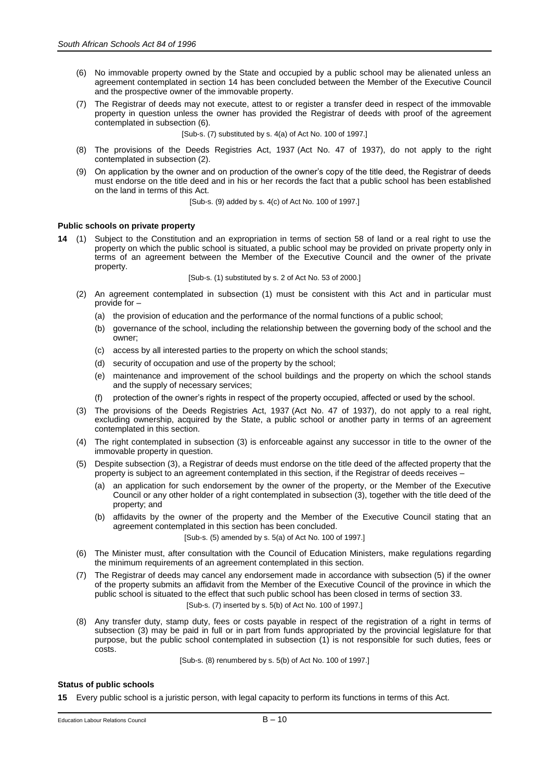- (6) No immovable property owned by the State and occupied by a public school may be alienated unless an agreement contemplated in section 14 has been concluded between the Member of the Executive Council and the prospective owner of the immovable property.
- (7) The Registrar of deeds may not execute, attest to or register a transfer deed in respect of the immovable property in question unless the owner has provided the Registrar of deeds with proof of the agreement contemplated in subsection (6).

[Sub-s. (7) substituted by s. 4(a) of Act No. 100 of 1997.]

- (8) The provisions of the Deeds Registries Act, 1937 (Act No. 47 of 1937), do not apply to the right contemplated in subsection (2).
- (9) On application by the owner and on production of the owner's copy of the title deed, the Registrar of deeds must endorse on the title deed and in his or her records the fact that a public school has been established on the land in terms of this Act.

[Sub-s. (9) added by s. 4(c) of Act No. 100 of 1997.]

## **Public schools on private property**

**14** (1) Subject to the Constitution and an expropriation in terms of section 58 of land or a real right to use the property on which the public school is situated, a public school may be provided on private property only in terms of an agreement between the Member of the Executive Council and the owner of the private property.

[Sub-s. (1) substituted by s. 2 of Act No. 53 of 2000.]

- (2) An agreement contemplated in subsection (1) must be consistent with this Act and in particular must provide for –
	- (a) the provision of education and the performance of the normal functions of a public school;
	- (b) governance of the school, including the relationship between the governing body of the school and the owner;
	- (c) access by all interested parties to the property on which the school stands;
	- (d) security of occupation and use of the property by the school;
	- (e) maintenance and improvement of the school buildings and the property on which the school stands and the supply of necessary services;
	- protection of the owner's rights in respect of the property occupied, affected or used by the school.
- (3) The provisions of the Deeds Registries Act, 1937 (Act No. 47 of 1937), do not apply to a real right, excluding ownership, acquired by the State, a public school or another party in terms of an agreement contemplated in this section.
- (4) The right contemplated in subsection (3) is enforceable against any successor in title to the owner of the immovable property in question.
- (5) Despite subsection (3), a Registrar of deeds must endorse on the title deed of the affected property that the property is subject to an agreement contemplated in this section, if the Registrar of deeds receives –
	- an application for such endorsement by the owner of the property, or the Member of the Executive Council or any other holder of a right contemplated in subsection (3), together with the title deed of the property; and
	- (b) affidavits by the owner of the property and the Member of the Executive Council stating that an agreement contemplated in this section has been concluded.

[Sub-s. (5) amended by s. 5(a) of Act No. 100 of 1997.]

- (6) The Minister must, after consultation with the Council of Education Ministers, make regulations regarding the minimum requirements of an agreement contemplated in this section.
- (7) The Registrar of deeds may cancel any endorsement made in accordance with subsection (5) if the owner of the property submits an affidavit from the Member of the Executive Council of the province in which the public school is situated to the effect that such public school has been closed in terms of section 33. [Sub-s. (7) inserted by s. 5(b) of Act No. 100 of 1997.]
- (8) Any transfer duty, stamp duty, fees or costs payable in respect of the registration of a right in terms of subsection (3) may be paid in full or in part from funds appropriated by the provincial legislature for that purpose, but the public school contemplated in subsection (1) is not responsible for such duties, fees or costs.

[Sub-s. (8) renumbered by s. 5(b) of Act No. 100 of 1997.]

# **Status of public schools**

**15** Every public school is a juristic person, with legal capacity to perform its functions in terms of this Act.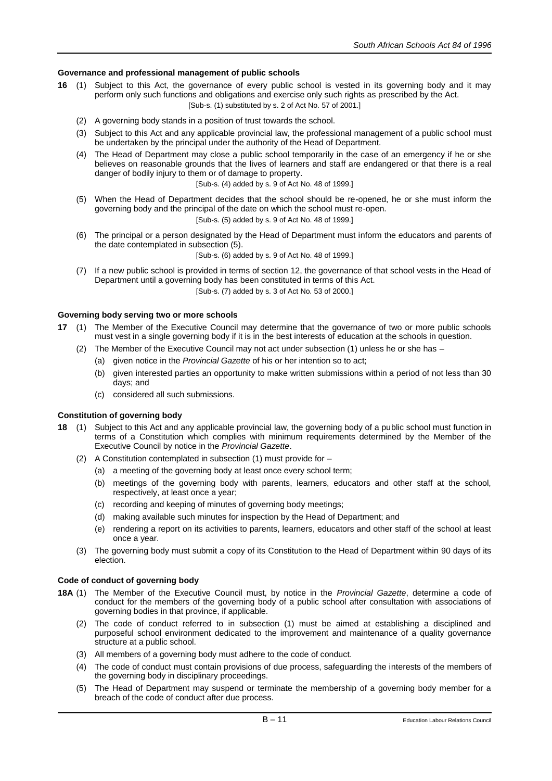# **Governance and professional management of public schools**

- **16** (1) Subject to this Act, the governance of every public school is vested in its governing body and it may perform only such functions and obligations and exercise only such rights as prescribed by the Act. [Sub-s. (1) substituted by s. 2 of Act No. 57 of 2001.]
	- (2) A governing body stands in a position of trust towards the school.
	- (3) Subject to this Act and any applicable provincial law, the professional management of a public school must be undertaken by the principal under the authority of the Head of Department.
	- (4) The Head of Department may close a public school temporarily in the case of an emergency if he or she believes on reasonable grounds that the lives of learners and staff are endangered or that there is a real danger of bodily injury to them or of damage to property.

[Sub-s. (4) added by s. 9 of Act No. 48 of 1999.]

- (5) When the Head of Department decides that the school should be re-opened, he or she must inform the governing body and the principal of the date on which the school must re-open. [Sub-s. (5) added by s. 9 of Act No. 48 of 1999.]
- (6) The principal or a person designated by the Head of Department must inform the educators and parents of the date contemplated in subsection (5).

[Sub-s. (6) added by s. 9 of Act No. 48 of 1999.]

(7) If a new public school is provided in terms of section 12, the governance of that school vests in the Head of Department until a governing body has been constituted in terms of this Act. [Sub-s. (7) added by s. 3 of Act No. 53 of 2000.]

# **Governing body serving two or more schools**

- **17** (1) The Member of the Executive Council may determine that the governance of two or more public schools must vest in a single governing body if it is in the best interests of education at the schools in question.
	- (2) The Member of the Executive Council may not act under subsection (1) unless he or she has
		- (a) given notice in the *Provincial Gazette* of his or her intention so to act;
		- (b) given interested parties an opportunity to make written submissions within a period of not less than 30 days; and
		- (c) considered all such submissions.

# **Constitution of governing body**

- **18** (1) Subject to this Act and any applicable provincial law, the governing body of a public school must function in terms of a Constitution which complies with minimum requirements determined by the Member of the Executive Council by notice in the *Provincial Gazette*.
	- (2) A Constitution contemplated in subsection (1) must provide for
		- (a) a meeting of the governing body at least once every school term;
		- (b) meetings of the governing body with parents, learners, educators and other staff at the school, respectively, at least once a year;
		- (c) recording and keeping of minutes of governing body meetings;
		- (d) making available such minutes for inspection by the Head of Department; and
		- (e) rendering a report on its activities to parents, learners, educators and other staff of the school at least once a year.
	- (3) The governing body must submit a copy of its Constitution to the Head of Department within 90 days of its election.

# **Code of conduct of governing body**

- **18A** (1) The Member of the Executive Council must, by notice in the *Provincial Gazette*, determine a code of conduct for the members of the governing body of a public school after consultation with associations of governing bodies in that province, if applicable.
	- (2) The code of conduct referred to in subsection (1) must be aimed at establishing a disciplined and purposeful school environment dedicated to the improvement and maintenance of a quality governance structure at a public school.
	- (3) All members of a governing body must adhere to the code of conduct.
	- (4) The code of conduct must contain provisions of due process, safeguarding the interests of the members of the governing body in disciplinary proceedings.
	- (5) The Head of Department may suspend or terminate the membership of a governing body member for a breach of the code of conduct after due process.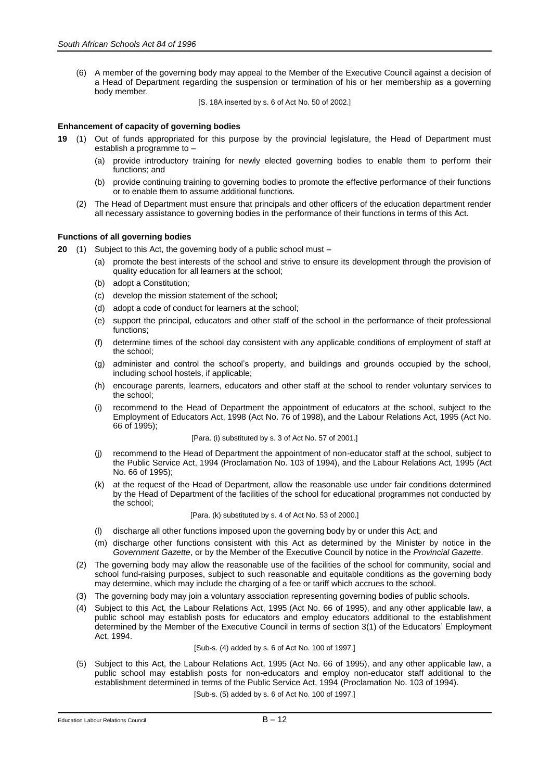(6) A member of the governing body may appeal to the Member of the Executive Council against a decision of a Head of Department regarding the suspension or termination of his or her membership as a governing body member.

[S. 18A inserted by s. 6 of Act No. 50 of 2002.]

## **Enhancement of capacity of governing bodies**

- **19** (1) Out of funds appropriated for this purpose by the provincial legislature, the Head of Department must establish a programme to –
	- (a) provide introductory training for newly elected governing bodies to enable them to perform their functions; and
	- (b) provide continuing training to governing bodies to promote the effective performance of their functions or to enable them to assume additional functions.
	- (2) The Head of Department must ensure that principals and other officers of the education department render all necessary assistance to governing bodies in the performance of their functions in terms of this Act.

# **Functions of all governing bodies**

- **20** (1) Subject to this Act, the governing body of a public school must
	- promote the best interests of the school and strive to ensure its development through the provision of quality education for all learners at the school;
	- (b) adopt a Constitution;
	- (c) develop the mission statement of the school;
	- (d) adopt a code of conduct for learners at the school;
	- (e) support the principal, educators and other staff of the school in the performance of their professional functions;
	- (f) determine times of the school day consistent with any applicable conditions of employment of staff at the school;
	- (g) administer and control the school's property, and buildings and grounds occupied by the school, including school hostels, if applicable;
	- (h) encourage parents, learners, educators and other staff at the school to render voluntary services to the school;
	- (i) recommend to the Head of Department the appointment of educators at the school, subject to the Employment of Educators Act, 1998 (Act No. 76 of 1998), and the Labour Relations Act, 1995 (Act No. 66 of 1995);

[Para. (i) substituted by s. 3 of Act No. 57 of 2001.]

- (j) recommend to the Head of Department the appointment of non-educator staff at the school, subject to the Public Service Act, 1994 (Proclamation No. 103 of 1994), and the Labour Relations Act, 1995 (Act No. 66 of 1995);
- (k) at the request of the Head of Department, allow the reasonable use under fair conditions determined by the Head of Department of the facilities of the school for educational programmes not conducted by the school;

#### [Para. (k) substituted by s. 4 of Act No. 53 of 2000.]

- (l) discharge all other functions imposed upon the governing body by or under this Act; and
- (m) discharge other functions consistent with this Act as determined by the Minister by notice in the *Government Gazette*, or by the Member of the Executive Council by notice in the *Provincial Gazette*.
- (2) The governing body may allow the reasonable use of the facilities of the school for community, social and school fund-raising purposes, subject to such reasonable and equitable conditions as the governing body may determine, which may include the charging of a fee or tariff which accrues to the school.
- (3) The governing body may join a voluntary association representing governing bodies of public schools.
- (4) Subject to this Act, the Labour Relations Act, 1995 (Act No. 66 of 1995), and any other applicable law, a public school may establish posts for educators and employ educators additional to the establishment determined by the Member of the Executive Council in terms of section 3(1) of the Educators' Employment Act, 1994.

#### [Sub-s. (4) added by s. 6 of Act No. 100 of 1997.]

(5) Subject to this Act, the Labour Relations Act, 1995 (Act No. 66 of 1995), and any other applicable law, a public school may establish posts for non-educators and employ non-educator staff additional to the establishment determined in terms of the Public Service Act, 1994 (Proclamation No. 103 of 1994).

[Sub-s. (5) added by s. 6 of Act No. 100 of 1997.]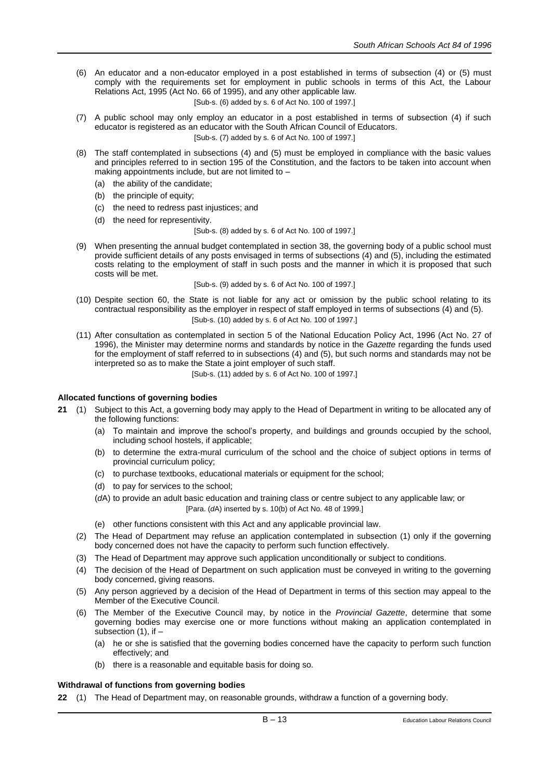- (6) An educator and a non-educator employed in a post established in terms of subsection (4) or (5) must comply with the requirements set for employment in public schools in terms of this Act, the Labour Relations Act, 1995 (Act No. 66 of 1995), and any other applicable law. [Sub-s. (6) added by s. 6 of Act No. 100 of 1997.]
- (7) A public school may only employ an educator in a post established in terms of subsection (4) if such educator is registered as an educator with the South African Council of Educators.

[Sub-s. (7) added by s. 6 of Act No. 100 of 1997.]

- (8) The staff contemplated in subsections (4) and (5) must be employed in compliance with the basic values and principles referred to in section 195 of the Constitution, and the factors to be taken into account when making appointments include, but are not limited to –
	- (a) the ability of the candidate;
	- (b) the principle of equity;
	- (c) the need to redress past injustices; and
	- (d) the need for representivity.

#### [Sub-s. (8) added by s. 6 of Act No. 100 of 1997.]

(9) When presenting the annual budget contemplated in section 38, the governing body of a public school must provide sufficient details of any posts envisaged in terms of subsections (4) and (5), including the estimated costs relating to the employment of staff in such posts and the manner in which it is proposed that such costs will be met.

[Sub-s. (9) added by s. 6 of Act No. 100 of 1997.]

- (10) Despite section 60, the State is not liable for any act or omission by the public school relating to its contractual responsibility as the employer in respect of staff employed in terms of subsections (4) and (5). [Sub-s. (10) added by s. 6 of Act No. 100 of 1997.]
- (11) After consultation as contemplated in section 5 of the National Education Policy Act, 1996 (Act No. 27 of 1996), the Minister may determine norms and standards by notice in the *Gazette* regarding the funds used for the employment of staff referred to in subsections (4) and (5), but such norms and standards may not be interpreted so as to make the State a joint employer of such staff.

[Sub-s. (11) added by s. 6 of Act No. 100 of 1997.]

## **Allocated functions of governing bodies**

- **21** (1) Subject to this Act, a governing body may apply to the Head of Department in writing to be allocated any of the following functions:
	- (a) To maintain and improve the school's property, and buildings and grounds occupied by the school, including school hostels, if applicable;
	- (b) to determine the extra-mural curriculum of the school and the choice of subject options in terms of provincial curriculum policy;
	- (c) to purchase textbooks, educational materials or equipment for the school;
	- (d) to pay for services to the school;
	- (*d*A) to provide an adult basic education and training class or centre subject to any applicable law; or [Para. (*d*A) inserted by s. 10(b) of Act No. 48 of 1999.]
	- (e) other functions consistent with this Act and any applicable provincial law.
	- (2) The Head of Department may refuse an application contemplated in subsection (1) only if the governing body concerned does not have the capacity to perform such function effectively.
	- (3) The Head of Department may approve such application unconditionally or subject to conditions.
	- (4) The decision of the Head of Department on such application must be conveyed in writing to the governing body concerned, giving reasons.
	- (5) Any person aggrieved by a decision of the Head of Department in terms of this section may appeal to the Member of the Executive Council.
	- (6) The Member of the Executive Council may, by notice in the *Provincial Gazette*, determine that some governing bodies may exercise one or more functions without making an application contemplated in subsection (1), if –
		- (a) he or she is satisfied that the governing bodies concerned have the capacity to perform such function effectively; and
		- (b) there is a reasonable and equitable basis for doing so.

## **Withdrawal of functions from governing bodies**

**22** (1) The Head of Department may, on reasonable grounds, withdraw a function of a governing body.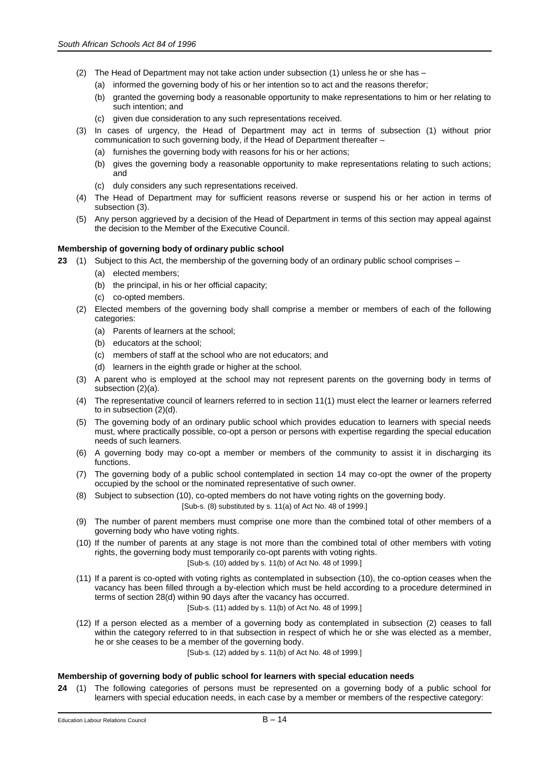- (2) The Head of Department may not take action under subsection (1) unless he or she has
	- (a) informed the governing body of his or her intention so to act and the reasons therefor;
	- (b) granted the governing body a reasonable opportunity to make representations to him or her relating to such intention; and
	- (c) given due consideration to any such representations received.
- (3) In cases of urgency, the Head of Department may act in terms of subsection (1) without prior communication to such governing body, if the Head of Department thereafter –
	- (a) furnishes the governing body with reasons for his or her actions;
	- (b) gives the governing body a reasonable opportunity to make representations relating to such actions; and
	- (c) duly considers any such representations received.
- (4) The Head of Department may for sufficient reasons reverse or suspend his or her action in terms of subsection (3).
- (5) Any person aggrieved by a decision of the Head of Department in terms of this section may appeal against the decision to the Member of the Executive Council.

# **Membership of governing body of ordinary public school**

- **23** (1) Subject to this Act, the membership of the governing body of an ordinary public school comprises
	- (a) elected members;
	- (b) the principal, in his or her official capacity;
	- (c) co-opted members.
	- (2) Elected members of the governing body shall comprise a member or members of each of the following categories:
		- (a) Parents of learners at the school;
		- (b) educators at the school;
		- (c) members of staff at the school who are not educators; and
		- (d) learners in the eighth grade or higher at the school.
	- (3) A parent who is employed at the school may not represent parents on the governing body in terms of subsection (2)(a).
	- (4) The representative council of learners referred to in section 11(1) must elect the learner or learners referred to in subsection (2)(d).
	- (5) The governing body of an ordinary public school which provides education to learners with special needs must, where practically possible, co-opt a person or persons with expertise regarding the special education needs of such learners.
	- (6) A governing body may co-opt a member or members of the community to assist it in discharging its functions.
	- (7) The governing body of a public school contemplated in section 14 may co-opt the owner of the property occupied by the school or the nominated representative of such owner.
	- (8) Subject to subsection (10), co-opted members do not have voting rights on the governing body. [Sub-s. (8) substituted by s. 11(a) of Act No. 48 of 1999.]
	- (9) The number of parent members must comprise one more than the combined total of other members of a governing body who have voting rights.
	- (10) If the number of parents at any stage is not more than the combined total of other members with voting rights, the governing body must temporarily co-opt parents with voting rights. [Sub-s. (10) added by s. 11(b) of Act No. 48 of 1999.]
	- (11) If a parent is co-opted with voting rights as contemplated in subsection (10), the co-option ceases when the vacancy has been filled through a by-election which must be held according to a procedure determined in terms of section 28(d) within 90 days after the vacancy has occurred.

## [Sub-s. (11) added by s. 11(b) of Act No. 48 of 1999.]

(12) If a person elected as a member of a governing body as contemplated in subsection (2) ceases to fall within the category referred to in that subsection in respect of which he or she was elected as a member, he or she ceases to be a member of the governing body.

[Sub-s. (12) added by s. 11(b) of Act No. 48 of 1999.]

## **Membership of governing body of public school for learners with special education needs**

**24** (1) The following categories of persons must be represented on a governing body of a public school for learners with special education needs, in each case by a member or members of the respective category: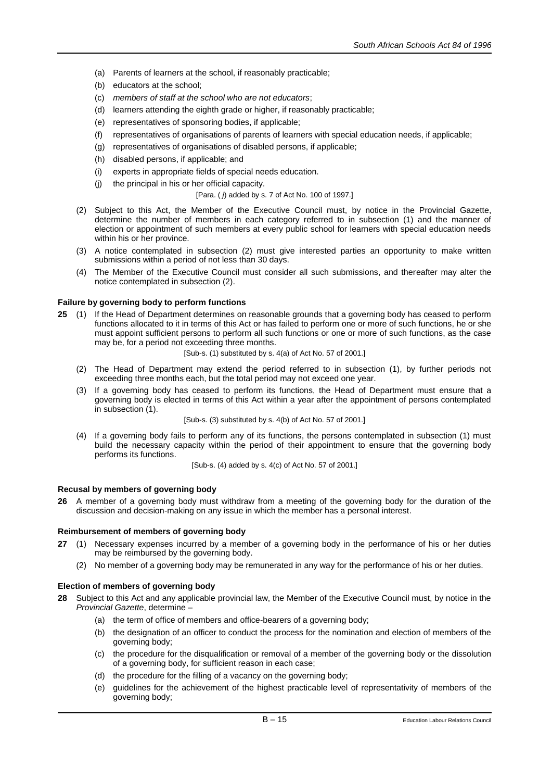- (a) Parents of learners at the school, if reasonably practicable;
- (b) educators at the school;
- (c) *members of staff at the school who are not educators*;
- (d) learners attending the eighth grade or higher, if reasonably practicable;
- (e) representatives of sponsoring bodies, if applicable;
- (f) representatives of organisations of parents of learners with special education needs, if applicable;
- (g) representatives of organisations of disabled persons, if applicable;
- (h) disabled persons, if applicable; and
- (i) experts in appropriate fields of special needs education.
- (j) the principal in his or her official capacity.
	- [Para. ( *j*) added by s. 7 of Act No. 100 of 1997.]
- (2) Subject to this Act, the Member of the Executive Council must, by notice in the Provincial Gazette, determine the number of members in each category referred to in subsection (1) and the manner of election or appointment of such members at every public school for learners with special education needs within his or her province.
- (3) A notice contemplated in subsection (2) must give interested parties an opportunity to make written submissions within a period of not less than 30 days.
- (4) The Member of the Executive Council must consider all such submissions, and thereafter may alter the notice contemplated in subsection (2).

## **Failure by governing body to perform functions**

- **25** (1) If the Head of Department determines on reasonable grounds that a governing body has ceased to perform functions allocated to it in terms of this Act or has failed to perform one or more of such functions, he or she must appoint sufficient persons to perform all such functions or one or more of such functions, as the case may be, for a period not exceeding three months.
	- [Sub-s. (1) substituted by s. 4(a) of Act No. 57 of 2001.]
	- (2) The Head of Department may extend the period referred to in subsection (1), by further periods not exceeding three months each, but the total period may not exceed one year.
	- (3) If a governing body has ceased to perform its functions, the Head of Department must ensure that a governing body is elected in terms of this Act within a year after the appointment of persons contemplated in subsection (1).

[Sub-s. (3) substituted by s. 4(b) of Act No. 57 of 2001.]

(4) If a governing body fails to perform any of its functions, the persons contemplated in subsection (1) must build the necessary capacity within the period of their appointment to ensure that the governing body performs its functions.

[Sub-s. (4) added by s. 4(c) of Act No. 57 of 2001.]

## **Recusal by members of governing body**

**26** A member of a governing body must withdraw from a meeting of the governing body for the duration of the discussion and decision-making on any issue in which the member has a personal interest.

## **Reimbursement of members of governing body**

- **27** (1) Necessary expenses incurred by a member of a governing body in the performance of his or her duties may be reimbursed by the governing body.
	- (2) No member of a governing body may be remunerated in any way for the performance of his or her duties.

## **Election of members of governing body**

- **28** Subject to this Act and any applicable provincial law, the Member of the Executive Council must, by notice in the *Provincial Gazette*, determine –
	- (a) the term of office of members and office-bearers of a governing body;
	- (b) the designation of an officer to conduct the process for the nomination and election of members of the governing body;
	- (c) the procedure for the disqualification or removal of a member of the governing body or the dissolution of a governing body, for sufficient reason in each case;
	- (d) the procedure for the filling of a vacancy on the governing body;
	- (e) guidelines for the achievement of the highest practicable level of representativity of members of the governing body;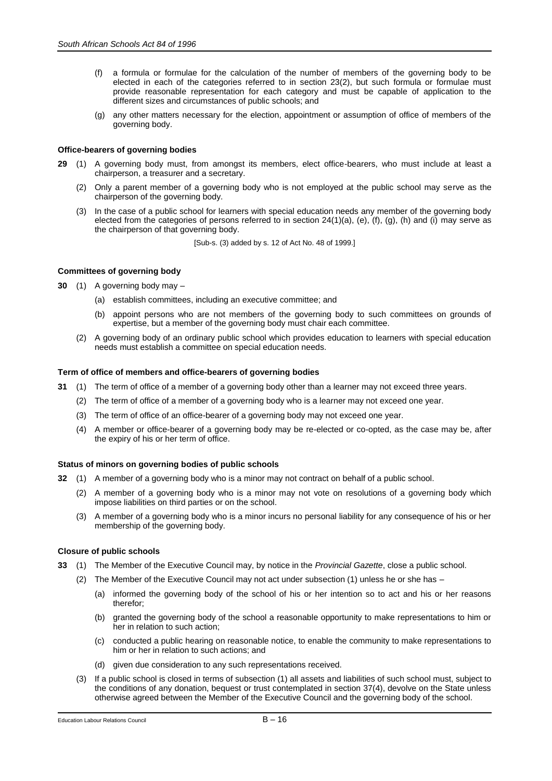- (f) a formula or formulae for the calculation of the number of members of the governing body to be elected in each of the categories referred to in section 23(2), but such formula or formulae must provide reasonable representation for each category and must be capable of application to the different sizes and circumstances of public schools; and
- (g) any other matters necessary for the election, appointment or assumption of office of members of the governing body.

# **Office-bearers of governing bodies**

- **29** (1) A governing body must, from amongst its members, elect office-bearers, who must include at least a chairperson, a treasurer and a secretary.
	- (2) Only a parent member of a governing body who is not employed at the public school may serve as the chairperson of the governing body.
	- (3) In the case of a public school for learners with special education needs any member of the governing body elected from the categories of persons referred to in section 24(1)(a), (e), (f), (g), (h) and (i) may serve as the chairperson of that governing body.

[Sub-s. (3) added by s. 12 of Act No. 48 of 1999.]

# **Committees of governing body**

**30** (1) A governing body may –

- (a) establish committees, including an executive committee; and
- (b) appoint persons who are not members of the governing body to such committees on grounds of expertise, but a member of the governing body must chair each committee.
- (2) A governing body of an ordinary public school which provides education to learners with special education needs must establish a committee on special education needs.

# **Term of office of members and office-bearers of governing bodies**

- **31** (1) The term of office of a member of a governing body other than a learner may not exceed three years.
	- (2) The term of office of a member of a governing body who is a learner may not exceed one year.
	- (3) The term of office of an office-bearer of a governing body may not exceed one year.
	- (4) A member or office-bearer of a governing body may be re-elected or co-opted, as the case may be, after the expiry of his or her term of office.

## **Status of minors on governing bodies of public schools**

- **32** (1) A member of a governing body who is a minor may not contract on behalf of a public school.
	- (2) A member of a governing body who is a minor may not vote on resolutions of a governing body which impose liabilities on third parties or on the school.
	- (3) A member of a governing body who is a minor incurs no personal liability for any consequence of his or her membership of the governing body.

## **Closure of public schools**

- **33** (1) The Member of the Executive Council may, by notice in the *Provincial Gazette*, close a public school.
	- (2) The Member of the Executive Council may not act under subsection (1) unless he or she has
		- (a) informed the governing body of the school of his or her intention so to act and his or her reasons therefor;
		- (b) granted the governing body of the school a reasonable opportunity to make representations to him or her in relation to such action;
		- (c) conducted a public hearing on reasonable notice, to enable the community to make representations to him or her in relation to such actions; and
		- (d) given due consideration to any such representations received.
	- (3) If a public school is closed in terms of subsection (1) all assets and liabilities of such school must, subject to the conditions of any donation, bequest or trust contemplated in section 37(4), devolve on the State unless otherwise agreed between the Member of the Executive Council and the governing body of the school.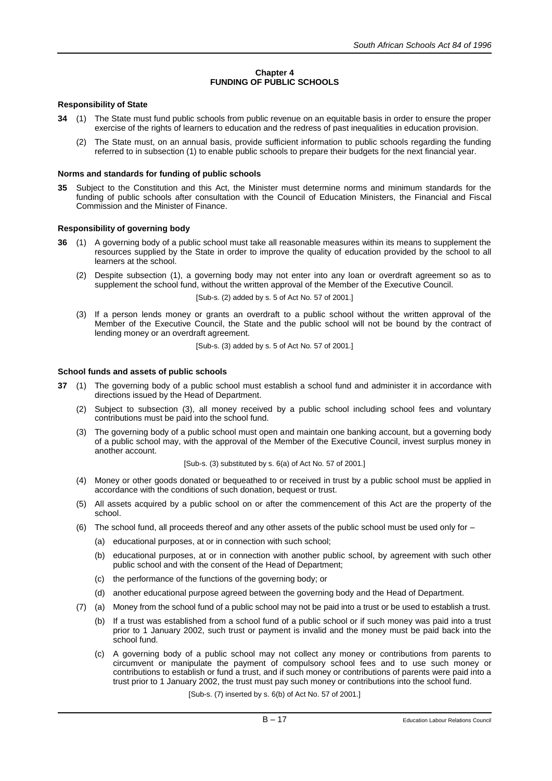# **Chapter 4 FUNDING OF PUBLIC SCHOOLS**

# **Responsibility of State**

- **34** (1) The State must fund public schools from public revenue on an equitable basis in order to ensure the proper exercise of the rights of learners to education and the redress of past inequalities in education provision.
	- (2) The State must, on an annual basis, provide sufficient information to public schools regarding the funding referred to in subsection (1) to enable public schools to prepare their budgets for the next financial year.

## **Norms and standards for funding of public schools**

**35** Subject to the Constitution and this Act, the Minister must determine norms and minimum standards for the funding of public schools after consultation with the Council of Education Ministers, the Financial and Fiscal Commission and the Minister of Finance.

# **Responsibility of governing body**

- **36** (1) A governing body of a public school must take all reasonable measures within its means to supplement the resources supplied by the State in order to improve the quality of education provided by the school to all learners at the school.
	- (2) Despite subsection (1), a governing body may not enter into any loan or overdraft agreement so as to supplement the school fund, without the written approval of the Member of the Executive Council.

[Sub-s. (2) added by s. 5 of Act No. 57 of 2001.]

(3) If a person lends money or grants an overdraft to a public school without the written approval of the Member of the Executive Council, the State and the public school will not be bound by the contract of lending money or an overdraft agreement.

[Sub-s. (3) added by s. 5 of Act No. 57 of 2001.]

## **School funds and assets of public schools**

- **37** (1) The governing body of a public school must establish a school fund and administer it in accordance with directions issued by the Head of Department.
	- (2) Subject to subsection (3), all money received by a public school including school fees and voluntary contributions must be paid into the school fund.
	- (3) The governing body of a public school must open and maintain one banking account, but a governing body of a public school may, with the approval of the Member of the Executive Council, invest surplus money in another account.

[Sub-s. (3) substituted by s. 6(a) of Act No. 57 of 2001.]

- (4) Money or other goods donated or bequeathed to or received in trust by a public school must be applied in accordance with the conditions of such donation, bequest or trust.
- (5) All assets acquired by a public school on or after the commencement of this Act are the property of the school.
- (6) The school fund, all proceeds thereof and any other assets of the public school must be used only for
	- (a) educational purposes, at or in connection with such school;
	- (b) educational purposes, at or in connection with another public school, by agreement with such other public school and with the consent of the Head of Department;
	- (c) the performance of the functions of the governing body; or
	- (d) another educational purpose agreed between the governing body and the Head of Department.
- (7) (a) Money from the school fund of a public school may not be paid into a trust or be used to establish a trust.
	- (b) If a trust was established from a school fund of a public school or if such money was paid into a trust prior to 1 January 2002, such trust or payment is invalid and the money must be paid back into the school fund.
	- (c) A governing body of a public school may not collect any money or contributions from parents to circumvent or manipulate the payment of compulsory school fees and to use such money or contributions to establish or fund a trust, and if such money or contributions of parents were paid into a trust prior to 1 January 2002, the trust must pay such money or contributions into the school fund.

[Sub-s. (7) inserted by s. 6(b) of Act No. 57 of 2001.]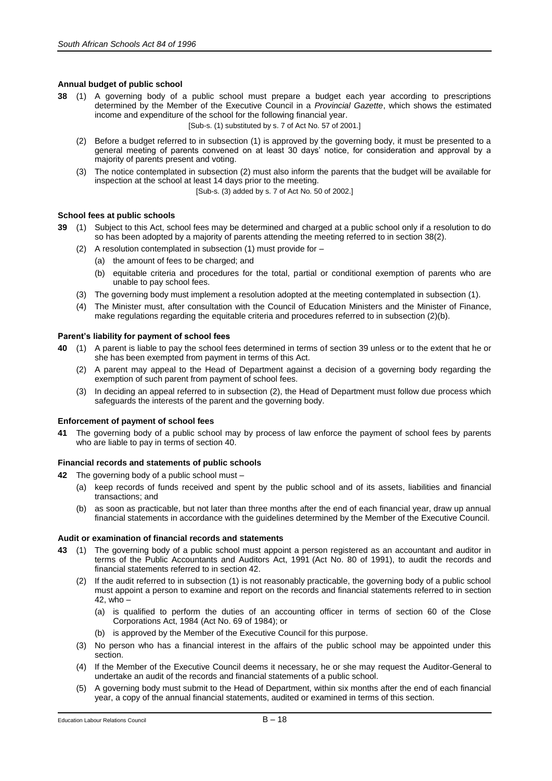# **Annual budget of public school**

**38** (1) A governing body of a public school must prepare a budget each year according to prescriptions determined by the Member of the Executive Council in a *Provincial Gazette*, which shows the estimated income and expenditure of the school for the following financial year.

[Sub-s. (1) substituted by s. 7 of Act No. 57 of 2001.]

- (2) Before a budget referred to in subsection (1) is approved by the governing body, it must be presented to a general meeting of parents convened on at least 30 days' notice, for consideration and approval by a majority of parents present and voting.
- (3) The notice contemplated in subsection (2) must also inform the parents that the budget will be available for inspection at the school at least 14 days prior to the meeting.

[Sub-s. (3) added by s. 7 of Act No. 50 of 2002.]

## **School fees at public schools**

- **39** (1) Subject to this Act, school fees may be determined and charged at a public school only if a resolution to do so has been adopted by a majority of parents attending the meeting referred to in section 38(2).
	- (2) A resolution contemplated in subsection (1) must provide for
		- (a) the amount of fees to be charged; and
		- (b) equitable criteria and procedures for the total, partial or conditional exemption of parents who are unable to pay school fees.
	- (3) The governing body must implement a resolution adopted at the meeting contemplated in subsection (1).
	- (4) The Minister must, after consultation with the Council of Education Ministers and the Minister of Finance, make regulations regarding the equitable criteria and procedures referred to in subsection (2)(b).

# **Parent's liability for payment of school fees**

- **40** (1) A parent is liable to pay the school fees determined in terms of section 39 unless or to the extent that he or she has been exempted from payment in terms of this Act.
	- (2) A parent may appeal to the Head of Department against a decision of a governing body regarding the exemption of such parent from payment of school fees.
	- (3) In deciding an appeal referred to in subsection (2), the Head of Department must follow due process which safeguards the interests of the parent and the governing body.

## **Enforcement of payment of school fees**

**41** The governing body of a public school may by process of law enforce the payment of school fees by parents who are liable to pay in terms of section 40.

## **Financial records and statements of public schools**

- **42** The governing body of a public school must
	- (a) keep records of funds received and spent by the public school and of its assets, liabilities and financial transactions; and
	- (b) as soon as practicable, but not later than three months after the end of each financial year, draw up annual financial statements in accordance with the guidelines determined by the Member of the Executive Council.

## **Audit or examination of financial records and statements**

- **43** (1) The governing body of a public school must appoint a person registered as an accountant and auditor in terms of the Public Accountants and Auditors Act, 1991 (Act No. 80 of 1991), to audit the records and financial statements referred to in section 42.
	- (2) If the audit referred to in subsection (1) is not reasonably practicable, the governing body of a public school must appoint a person to examine and report on the records and financial statements referred to in section 42, who –
		- (a) is qualified to perform the duties of an accounting officer in terms of section 60 of the Close Corporations Act, 1984 (Act No. 69 of 1984); or
		- (b) is approved by the Member of the Executive Council for this purpose.
	- (3) No person who has a financial interest in the affairs of the public school may be appointed under this section.
	- (4) If the Member of the Executive Council deems it necessary, he or she may request the Auditor-General to undertake an audit of the records and financial statements of a public school.
	- (5) A governing body must submit to the Head of Department, within six months after the end of each financial year, a copy of the annual financial statements, audited or examined in terms of this section.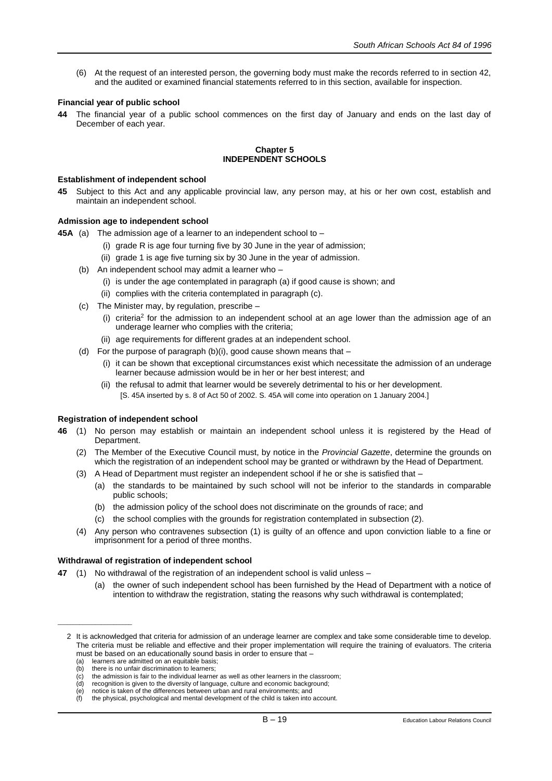(6) At the request of an interested person, the governing body must make the records referred to in section 42, and the audited or examined financial statements referred to in this section, available for inspection.

## **Financial year of public school**

**44** The financial year of a public school commences on the first day of January and ends on the last day of December of each year.

### **Chapter 5 INDEPENDENT SCHOOLS**

### **Establishment of independent school**

**45** Subject to this Act and any applicable provincial law, any person may, at his or her own cost, establish and maintain an independent school.

## **Admission age to independent school**

- **45A** (a) The admission age of a learner to an independent school to
	- (i) grade R is age four turning five by 30 June in the year of admission;
	- (ii) grade 1 is age five turning six by 30 June in the year of admission.
	- (b) An independent school may admit a learner who
		- (i) is under the age contemplated in paragraph (a) if good cause is shown; and
		- (ii) complies with the criteria contemplated in paragraph (c).
	- (c) The Minister may, by regulation, prescribe
		- (i) criteria<sup>2</sup> for the admission to an independent school at an age lower than the admission age of an underage learner who complies with the criteria;
		- (ii) age requirements for different grades at an independent school.
	- (d) For the purpose of paragraph  $(b)(i)$ , good cause shown means that  $-$ 
		- (i) it can be shown that exceptional circumstances exist which necessitate the admission of an underage learner because admission would be in her or her best interest; and
		- (ii) the refusal to admit that learner would be severely detrimental to his or her development. [S. 45A inserted by s. 8 of Act 50 of 2002. S. 45A will come into operation on 1 January 2004.]

## **Registration of independent school**

- **46** (1) No person may establish or maintain an independent school unless it is registered by the Head of Department.
	- (2) The Member of the Executive Council must, by notice in the *Provincial Gazette*, determine the grounds on which the registration of an independent school may be granted or withdrawn by the Head of Department.
	- (3) A Head of Department must register an independent school if he or she is satisfied that
		- (a) the standards to be maintained by such school will not be inferior to the standards in comparable public schools;
		- (b) the admission policy of the school does not discriminate on the grounds of race; and
		- (c) the school complies with the grounds for registration contemplated in subsection (2).
	- (4) Any person who contravenes subsection (1) is guilty of an offence and upon conviction liable to a fine or imprisonment for a period of three months.

## **Withdrawal of registration of independent school**

- **47** (1) No withdrawal of the registration of an independent school is valid unless
	- the owner of such independent school has been furnished by the Head of Department with a notice of intention to withdraw the registration, stating the reasons why such withdrawal is contemplated;

\_\_\_\_\_\_\_\_\_\_\_\_\_\_\_\_\_\_\_\_\_\_\_\_

(e) notice is taken of the differences between urban and rural environments; and

<sup>2</sup> It is acknowledged that criteria for admission of an underage learner are complex and take some considerable time to develop. The criteria must be reliable and effective and their proper implementation will require the training of evaluators. The criteria must be based on an educationally sound basis in order to ensure that -

<sup>(</sup>a) learners are admitted on an equitable basis;<br>(b) there is no unfair discrimination to learners;

there is no unfair discrimination to learners;

 $\langle c \rangle$  the admission is fair to the individual learner as well as other learners in the classroom;<br>(d) recognition is given to the diversity of language, culture and economic background;

recognition is given to the diversity of language, culture and economic background;

<sup>(</sup>f) the physical, psychological and mental development of the child is taken into account.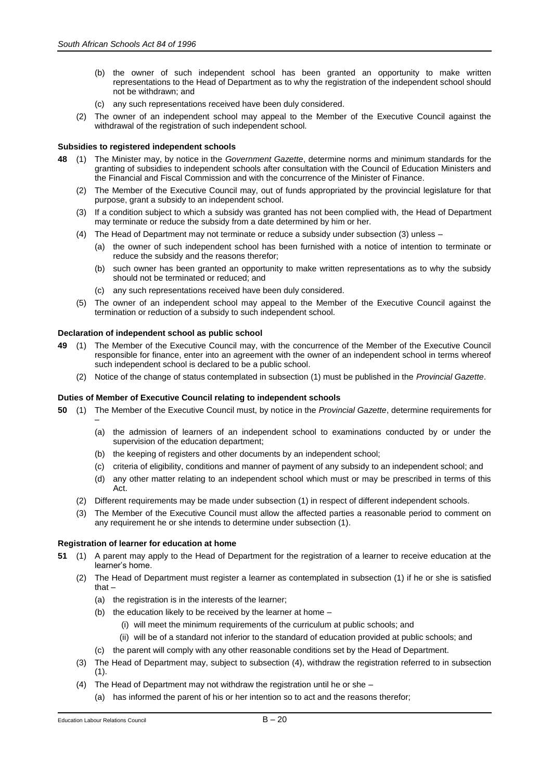- (b) the owner of such independent school has been granted an opportunity to make written representations to the Head of Department as to why the registration of the independent school should not be withdrawn; and
- (c) any such representations received have been duly considered.
- (2) The owner of an independent school may appeal to the Member of the Executive Council against the withdrawal of the registration of such independent school.

# **Subsidies to registered independent schools**

- **48** (1) The Minister may, by notice in the *Government Gazette*, determine norms and minimum standards for the granting of subsidies to independent schools after consultation with the Council of Education Ministers and the Financial and Fiscal Commission and with the concurrence of the Minister of Finance.
	- (2) The Member of the Executive Council may, out of funds appropriated by the provincial legislature for that purpose, grant a subsidy to an independent school.
	- (3) If a condition subject to which a subsidy was granted has not been complied with, the Head of Department may terminate or reduce the subsidy from a date determined by him or her.
	- (4) The Head of Department may not terminate or reduce a subsidy under subsection (3) unless
		- (a) the owner of such independent school has been furnished with a notice of intention to terminate or reduce the subsidy and the reasons therefor;
		- (b) such owner has been granted an opportunity to make written representations as to why the subsidy should not be terminated or reduced; and
		- (c) any such representations received have been duly considered.
	- (5) The owner of an independent school may appeal to the Member of the Executive Council against the termination or reduction of a subsidy to such independent school.

# **Declaration of independent school as public school**

- **49** (1) The Member of the Executive Council may, with the concurrence of the Member of the Executive Council responsible for finance, enter into an agreement with the owner of an independent school in terms whereof such independent school is declared to be a public school.
	- (2) Notice of the change of status contemplated in subsection (1) must be published in the *Provincial Gazette*.

# **Duties of Member of Executive Council relating to independent schools**

- **50** (1) The Member of the Executive Council must, by notice in the *Provincial Gazette*, determine requirements for
	- (a) the admission of learners of an independent school to examinations conducted by or under the supervision of the education department;
	- (b) the keeping of registers and other documents by an independent school;
	- (c) criteria of eligibility, conditions and manner of payment of any subsidy to an independent school; and
	- (d) any other matter relating to an independent school which must or may be prescribed in terms of this Act.
	- (2) Different requirements may be made under subsection (1) in respect of different independent schools.
	- (3) The Member of the Executive Council must allow the affected parties a reasonable period to comment on any requirement he or she intends to determine under subsection (1).

## **Registration of learner for education at home**

- **51** (1) A parent may apply to the Head of Department for the registration of a learner to receive education at the learner's home.
	- (2) The Head of Department must register a learner as contemplated in subsection (1) if he or she is satisfied that –
		- (a) the registration is in the interests of the learner;
		- (b) the education likely to be received by the learner at home
			- (i) will meet the minimum requirements of the curriculum at public schools; and
			- (ii) will be of a standard not inferior to the standard of education provided at public schools; and
		- (c) the parent will comply with any other reasonable conditions set by the Head of Department.
	- (3) The Head of Department may, subject to subsection (4), withdraw the registration referred to in subsection  $(1).$
	- (4) The Head of Department may not withdraw the registration until he or she
		- (a) has informed the parent of his or her intention so to act and the reasons therefor;

–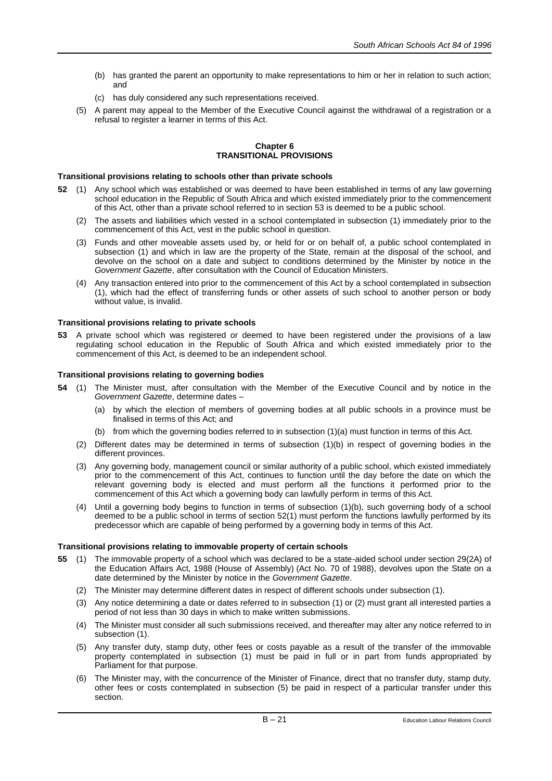- (b) has granted the parent an opportunity to make representations to him or her in relation to such action; and
- (c) has duly considered any such representations received.
- (5) A parent may appeal to the Member of the Executive Council against the withdrawal of a registration or a refusal to register a learner in terms of this Act.

## **Chapter 6 TRANSITIONAL PROVISIONS**

#### **Transitional provisions relating to schools other than private schools**

- **52** (1) Any school which was established or was deemed to have been established in terms of any law governing school education in the Republic of South Africa and which existed immediately prior to the commencement of this Act, other than a private school referred to in section 53 is deemed to be a public school.
	- (2) The assets and liabilities which vested in a school contemplated in subsection (1) immediately prior to the commencement of this Act, vest in the public school in question.
	- (3) Funds and other moveable assets used by, or held for or on behalf of, a public school contemplated in subsection (1) and which in law are the property of the State, remain at the disposal of the school, and devolve on the school on a date and subject to conditions determined by the Minister by notice in the *Government Gazette*, after consultation with the Council of Education Ministers.
	- (4) Any transaction entered into prior to the commencement of this Act by a school contemplated in subsection (1), which had the effect of transferring funds or other assets of such school to another person or body without value, is invalid.

## **Transitional provisions relating to private schools**

**53** A private school which was registered or deemed to have been registered under the provisions of a law regulating school education in the Republic of South Africa and which existed immediately prior to the commencement of this Act, is deemed to be an independent school.

#### **Transitional provisions relating to governing bodies**

- **54** (1) The Minister must, after consultation with the Member of the Executive Council and by notice in the *Government Gazette*, determine dates –
	- (a) by which the election of members of governing bodies at all public schools in a province must be finalised in terms of this Act; and
	- (b) from which the governing bodies referred to in subsection (1)(a) must function in terms of this Act.
	- (2) Different dates may be determined in terms of subsection (1)(b) in respect of governing bodies in the different provinces.
	- (3) Any governing body, management council or similar authority of a public school, which existed immediately prior to the commencement of this Act, continues to function until the day before the date on which the relevant governing body is elected and must perform all the functions it performed prior to the commencement of this Act which a governing body can lawfully perform in terms of this Act.
	- (4) Until a governing body begins to function in terms of subsection (1)(b), such governing body of a school deemed to be a public school in terms of section 52(1) must perform the functions lawfully performed by its predecessor which are capable of being performed by a governing body in terms of this Act.

#### **Transitional provisions relating to immovable property of certain schools**

- **55** (1) The immovable property of a school which was declared to be a state-aided school under section 29(2A) of the Education Affairs Act, 1988 (House of Assembly) (Act No. 70 of 1988), devolves upon the State on a date determined by the Minister by notice in the *Government Gazette*.
	- (2) The Minister may determine different dates in respect of different schools under subsection (1).
	- (3) Any notice determining a date or dates referred to in subsection (1) or (2) must grant all interested parties a period of not less than 30 days in which to make written submissions.
	- (4) The Minister must consider all such submissions received, and thereafter may alter any notice referred to in subsection (1).
	- (5) Any transfer duty, stamp duty, other fees or costs payable as a result of the transfer of the immovable property contemplated in subsection (1) must be paid in full or in part from funds appropriated by Parliament for that purpose.
	- (6) The Minister may, with the concurrence of the Minister of Finance, direct that no transfer duty, stamp duty, other fees or costs contemplated in subsection (5) be paid in respect of a particular transfer under this section.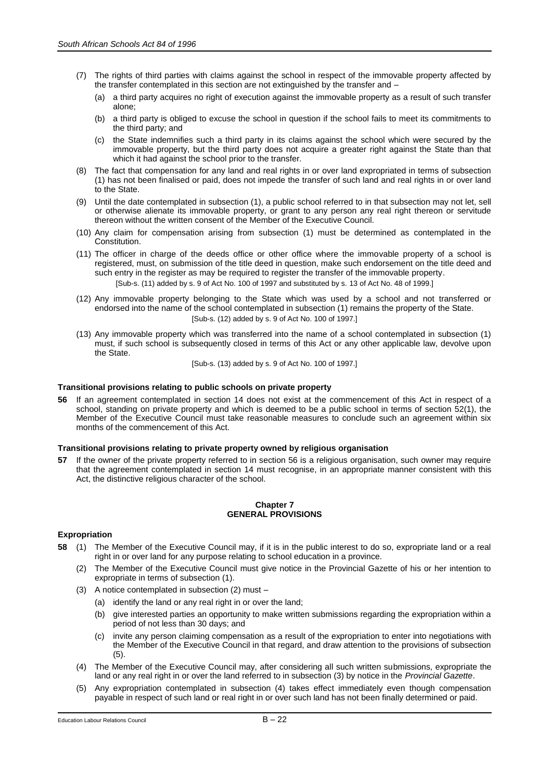- (7) The rights of third parties with claims against the school in respect of the immovable property affected by the transfer contemplated in this section are not extinguished by the transfer and –
	- (a) a third party acquires no right of execution against the immovable property as a result of such transfer alone;
	- (b) a third party is obliged to excuse the school in question if the school fails to meet its commitments to the third party; and
	- (c) the State indemnifies such a third party in its claims against the school which were secured by the immovable property, but the third party does not acquire a greater right against the State than that which it had against the school prior to the transfer.
- (8) The fact that compensation for any land and real rights in or over land expropriated in terms of subsection (1) has not been finalised or paid, does not impede the transfer of such land and real rights in or over land to the State.
- (9) Until the date contemplated in subsection (1), a public school referred to in that subsection may not let, sell or otherwise alienate its immovable property, or grant to any person any real right thereon or servitude thereon without the written consent of the Member of the Executive Council.
- (10) Any claim for compensation arising from subsection (1) must be determined as contemplated in the Constitution.
- (11) The officer in charge of the deeds office or other office where the immovable property of a school is registered, must, on submission of the title deed in question, make such endorsement on the title deed and such entry in the register as may be required to register the transfer of the immovable property. [Sub-s. (11) added by s. 9 of Act No. 100 of 1997 and substituted by s. 13 of Act No. 48 of 1999.]
- (12) Any immovable property belonging to the State which was used by a school and not transferred or endorsed into the name of the school contemplated in subsection (1) remains the property of the State. [Sub-s. (12) added by s. 9 of Act No. 100 of 1997.]
- (13) Any immovable property which was transferred into the name of a school contemplated in subsection (1) must, if such school is subsequently closed in terms of this Act or any other applicable law, devolve upon the State.

[Sub-s. (13) added by s. 9 of Act No. 100 of 1997.]

# **Transitional provisions relating to public schools on private property**

**56** If an agreement contemplated in section 14 does not exist at the commencement of this Act in respect of a school, standing on private property and which is deemed to be a public school in terms of section 52(1), the Member of the Executive Council must take reasonable measures to conclude such an agreement within six months of the commencement of this Act.

## **Transitional provisions relating to private property owned by religious organisation**

**57** If the owner of the private property referred to in section 56 is a religious organisation, such owner may require that the agreement contemplated in section 14 must recognise, in an appropriate manner consistent with this Act, the distinctive religious character of the school.

## **Chapter 7 GENERAL PROVISIONS**

# **Expropriation**

- **58** (1) The Member of the Executive Council may, if it is in the public interest to do so, expropriate land or a real right in or over land for any purpose relating to school education in a province.
	- (2) The Member of the Executive Council must give notice in the Provincial Gazette of his or her intention to expropriate in terms of subsection (1).
	- (3) A notice contemplated in subsection (2) must
		- (a) identify the land or any real right in or over the land;
		- (b) give interested parties an opportunity to make written submissions regarding the expropriation within a period of not less than 30 days; and
		- (c) invite any person claiming compensation as a result of the expropriation to enter into negotiations with the Member of the Executive Council in that regard, and draw attention to the provisions of subsection (5).
	- (4) The Member of the Executive Council may, after considering all such written submissions, expropriate the land or any real right in or over the land referred to in subsection (3) by notice in the *Provincial Gazette*.
	- (5) Any expropriation contemplated in subsection (4) takes effect immediately even though compensation payable in respect of such land or real right in or over such land has not been finally determined or paid.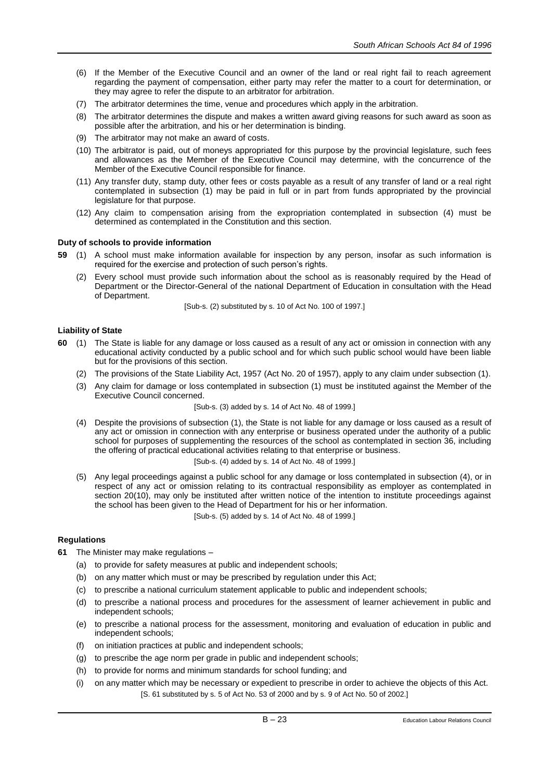- (6) If the Member of the Executive Council and an owner of the land or real right fail to reach agreement regarding the payment of compensation, either party may refer the matter to a court for determination, or they may agree to refer the dispute to an arbitrator for arbitration.
- (7) The arbitrator determines the time, venue and procedures which apply in the arbitration.
- (8) The arbitrator determines the dispute and makes a written award giving reasons for such award as soon as possible after the arbitration, and his or her determination is binding.
- (9) The arbitrator may not make an award of costs.
- (10) The arbitrator is paid, out of moneys appropriated for this purpose by the provincial legislature, such fees and allowances as the Member of the Executive Council may determine, with the concurrence of the Member of the Executive Council responsible for finance.
- (11) Any transfer duty, stamp duty, other fees or costs payable as a result of any transfer of land or a real right contemplated in subsection (1) may be paid in full or in part from funds appropriated by the provincial legislature for that purpose.
- (12) Any claim to compensation arising from the expropriation contemplated in subsection (4) must be determined as contemplated in the Constitution and this section.

# **Duty of schools to provide information**

- **59** (1) A school must make information available for inspection by any person, insofar as such information is required for the exercise and protection of such person's rights.
	- (2) Every school must provide such information about the school as is reasonably required by the Head of Department or the Director-General of the national Department of Education in consultation with the Head of Department.

[Sub-s. (2) substituted by s. 10 of Act No. 100 of 1997.]

# **Liability of State**

- **60** (1) The State is liable for any damage or loss caused as a result of any act or omission in connection with any educational activity conducted by a public school and for which such public school would have been liable but for the provisions of this section.
	- (2) The provisions of the State Liability Act, 1957 (Act No. 20 of 1957), apply to any claim under subsection (1).
	- (3) Any claim for damage or loss contemplated in subsection (1) must be instituted against the Member of the Executive Council concerned.

[Sub-s. (3) added by s. 14 of Act No. 48 of 1999.]

- (4) Despite the provisions of subsection (1), the State is not liable for any damage or loss caused as a result of any act or omission in connection with any enterprise or business operated under the authority of a public school for purposes of supplementing the resources of the school as contemplated in section 36, including the offering of practical educational activities relating to that enterprise or business. [Sub-s. (4) added by s. 14 of Act No. 48 of 1999.]
- (5) Any legal proceedings against a public school for any damage or loss contemplated in subsection (4), or in respect of any act or omission relating to its contractual responsibility as employer as contemplated in section 20(10), may only be instituted after written notice of the intention to institute proceedings against the school has been given to the Head of Department for his or her information. [Sub-s. (5) added by s. 14 of Act No. 48 of 1999.]

# **Regulations**

- **61** The Minister may make regulations
	- (a) to provide for safety measures at public and independent schools;
	- (b) on any matter which must or may be prescribed by regulation under this Act;
	- (c) to prescribe a national curriculum statement applicable to public and independent schools;
	- (d) to prescribe a national process and procedures for the assessment of learner achievement in public and independent schools;
	- (e) to prescribe a national process for the assessment, monitoring and evaluation of education in public and independent schools;
	- (f) on initiation practices at public and independent schools;
	- (g) to prescribe the age norm per grade in public and independent schools;
	- (h) to provide for norms and minimum standards for school funding; and
	- (i) on any matter which may be necessary or expedient to prescribe in order to achieve the objects of this Act. [S. 61 substituted by s. 5 of Act No. 53 of 2000 and by s. 9 of Act No. 50 of 2002.]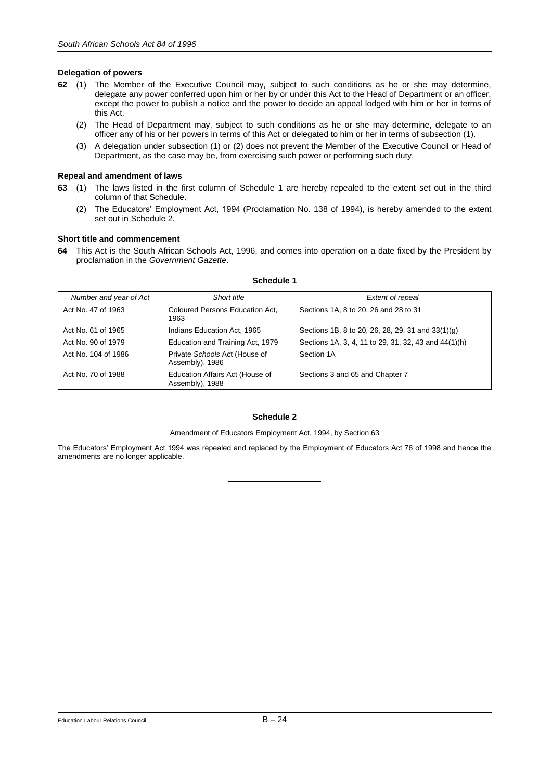# **Delegation of powers**

- **62** (1) The Member of the Executive Council may, subject to such conditions as he or she may determine, delegate any power conferred upon him or her by or under this Act to the Head of Department or an officer, except the power to publish a notice and the power to decide an appeal lodged with him or her in terms of this Act.
	- (2) The Head of Department may, subject to such conditions as he or she may determine, delegate to an officer any of his or her powers in terms of this Act or delegated to him or her in terms of subsection (1).
	- (3) A delegation under subsection (1) or (2) does not prevent the Member of the Executive Council or Head of Department, as the case may be, from exercising such power or performing such duty.

# **Repeal and amendment of laws**

- **63** (1) The laws listed in the first column of Schedule 1 are hereby repealed to the extent set out in the third column of that Schedule.
	- (2) The Educators' Employment Act, 1994 (Proclamation No. 138 of 1994), is hereby amended to the extent set out in Schedule 2.

# **Short title and commencement**

**64** This Act is the South African Schools Act, 1996, and comes into operation on a date fixed by the President by proclamation in the *Government Gazette*.

| Number and year of Act | Short title                                        | Extent of repeal                                     |
|------------------------|----------------------------------------------------|------------------------------------------------------|
| Act No. 47 of 1963     | Coloured Persons Education Act.<br>1963            | Sections 1A, 8 to 20, 26 and 28 to 31                |
| Act No. 61 of 1965     | Indians Education Act, 1965                        | Sections 1B, 8 to 20, 26, 28, 29, 31 and 33(1)(g)    |
| Act No. 90 of 1979     | Education and Training Act, 1979                   | Sections 1A, 3, 4, 11 to 29, 31, 32, 43 and 44(1)(h) |
| Act No. 104 of 1986    | Private Schools Act (House of<br>Assembly), 1986   | Section 1A                                           |
| Act No. 70 of 1988     | Education Affairs Act (House of<br>Assembly), 1988 | Sections 3 and 65 and Chapter 7                      |

# **Schedule 1**

## **Schedule 2**

Amendment of Educators Employment Act, 1994, by Section 63

The Educators' Employment Act 1994 was repealed and replaced by the Employment of Educators Act 76 of 1998 and hence the amendments are no longer applicable.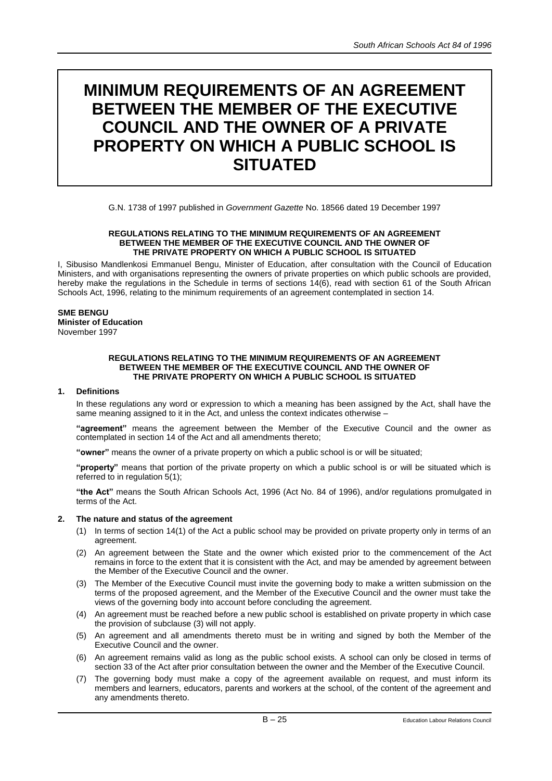# **MINIMUM REQUIREMENTS OF AN AGREEMENT BETWEEN THE MEMBER OF THE EXECUTIVE COUNCIL AND THE OWNER OF A PRIVATE PROPERTY ON WHICH A PUBLIC SCHOOL IS SITUATED**

G.N. 1738 of 1997 published in *Government Gazette* No. 18566 dated 19 December 1997

#### **REGULATIONS RELATING TO THE MINIMUM REQUIREMENTS OF AN AGREEMENT BETWEEN THE MEMBER OF THE EXECUTIVE COUNCIL AND THE OWNER OF THE PRIVATE PROPERTY ON WHICH A PUBLIC SCHOOL IS SITUATED**

I, Sibusiso Mandlenkosi Emmanuel Bengu, Minister of Education, after consultation with the Council of Education Ministers, and with organisations representing the owners of private properties on which public schools are provided, hereby make the regulations in the Schedule in terms of sections 14(6), read with section 61 of the South African Schools Act, 1996, relating to the minimum requirements of an agreement contemplated in section 14.

# **SME BENGU**

**Minister of Education**  November 1997

#### **REGULATIONS RELATING TO THE MINIMUM REQUIREMENTS OF AN AGREEMENT BETWEEN THE MEMBER OF THE EXECUTIVE COUNCIL AND THE OWNER OF THE PRIVATE PROPERTY ON WHICH A PUBLIC SCHOOL IS SITUATED**

# **1. Definitions**

In these regulations any word or expression to which a meaning has been assigned by the Act, shall have the same meaning assigned to it in the Act, and unless the context indicates otherwise –

**"agreement"** means the agreement between the Member of the Executive Council and the owner as contemplated in section 14 of the Act and all amendments thereto;

**"owner"** means the owner of a private property on which a public school is or will be situated;

**"property"** means that portion of the private property on which a public school is or will be situated which is referred to in regulation 5(1);

**"the Act"** means the South African Schools Act, 1996 (Act No. 84 of 1996), and/or regulations promulgated in terms of the Act.

## **2. The nature and status of the agreement**

- (1) In terms of section 14(1) of the Act a public school may be provided on private property only in terms of an agreement.
- (2) An agreement between the State and the owner which existed prior to the commencement of the Act remains in force to the extent that it is consistent with the Act, and may be amended by agreement between the Member of the Executive Council and the owner.
- (3) The Member of the Executive Council must invite the governing body to make a written submission on the terms of the proposed agreement, and the Member of the Executive Council and the owner must take the views of the governing body into account before concluding the agreement.
- (4) An agreement must be reached before a new public school is established on private property in which case the provision of subclause (3) will not apply.
- (5) An agreement and all amendments thereto must be in writing and signed by both the Member of the Executive Council and the owner.
- (6) An agreement remains valid as long as the public school exists. A school can only be closed in terms of section 33 of the Act after prior consultation between the owner and the Member of the Executive Council.
- (7) The governing body must make a copy of the agreement available on request, and must inform its members and learners, educators, parents and workers at the school, of the content of the agreement and any amendments thereto.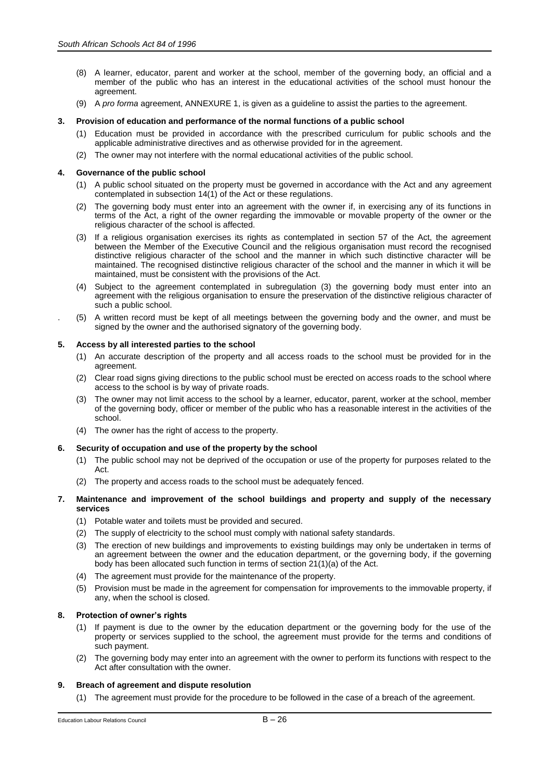- (8) A learner, educator, parent and worker at the school, member of the governing body, an official and a member of the public who has an interest in the educational activities of the school must honour the agreement.
- (9) A *pro forma* agreement, ANNEXURE 1, is given as a guideline to assist the parties to the agreement.

# **3. Provision of education and performance of the normal functions of a public school**

- (1) Education must be provided in accordance with the prescribed curriculum for public schools and the applicable administrative directives and as otherwise provided for in the agreement.
- (2) The owner may not interfere with the normal educational activities of the public school.

# **4. Governance of the public school**

- (1) A public school situated on the property must be governed in accordance with the Act and any agreement contemplated in subsection 14(1) of the Act or these regulations.
- (2) The governing body must enter into an agreement with the owner if, in exercising any of its functions in terms of the Act, a right of the owner regarding the immovable or movable property of the owner or the religious character of the school is affected.
- (3) If a religious organisation exercises its rights as contemplated in section 57 of the Act, the agreement between the Member of the Executive Council and the religious organisation must record the recognised distinctive religious character of the school and the manner in which such distinctive character will be maintained. The recognised distinctive religious character of the school and the manner in which it will be maintained, must be consistent with the provisions of the Act.
- (4) Subject to the agreement contemplated in subregulation (3) the governing body must enter into an agreement with the religious organisation to ensure the preservation of the distinctive religious character of such a public school.
- . (5) A written record must be kept of all meetings between the governing body and the owner, and must be signed by the owner and the authorised signatory of the governing body.

# **5. Access by all interested parties to the school**

- (1) An accurate description of the property and all access roads to the school must be provided for in the agreement.
- (2) Clear road signs giving directions to the public school must be erected on access roads to the school where access to the school is by way of private roads.
- (3) The owner may not limit access to the school by a learner, educator, parent, worker at the school, member of the governing body, officer or member of the public who has a reasonable interest in the activities of the school.
- (4) The owner has the right of access to the property.

## **6. Security of occupation and use of the property by the school**

- (1) The public school may not be deprived of the occupation or use of the property for purposes related to the Act.
- (2) The property and access roads to the school must be adequately fenced.

# **7. Maintenance and improvement of the school buildings and property and supply of the necessary services**

- (1) Potable water and toilets must be provided and secured.
- (2) The supply of electricity to the school must comply with national safety standards.
- (3) The erection of new buildings and improvements to existing buildings may only be undertaken in terms of an agreement between the owner and the education department, or the governing body, if the governing body has been allocated such function in terms of section 21(1)(a) of the Act.
- (4) The agreement must provide for the maintenance of the property.
- (5) Provision must be made in the agreement for compensation for improvements to the immovable property, if any, when the school is closed.

# **8. Protection of owner's rights**

- (1) If payment is due to the owner by the education department or the governing body for the use of the property or services supplied to the school, the agreement must provide for the terms and conditions of such payment.
- (2) The governing body may enter into an agreement with the owner to perform its functions with respect to the Act after consultation with the owner.

## **9. Breach of agreement and dispute resolution**

(1) The agreement must provide for the procedure to be followed in the case of a breach of the agreement.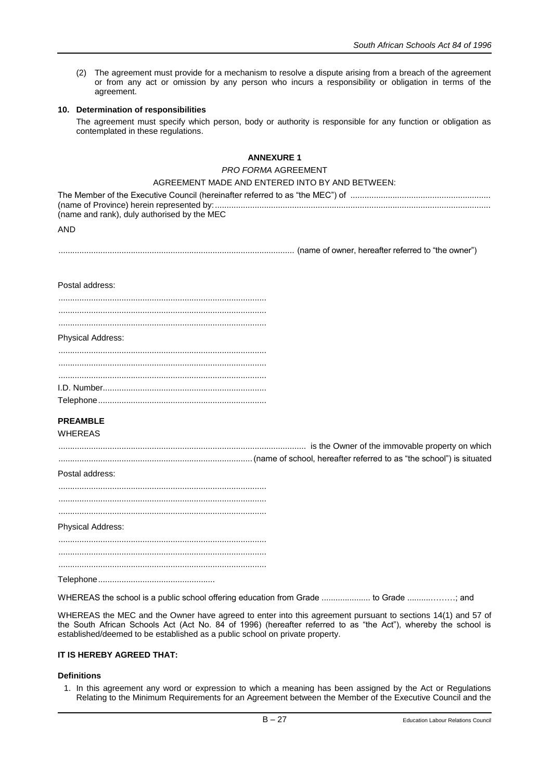(2) The agreement must provide for a mechanism to resolve a dispute arising from a breach of the agreement or from any act or omission by any person who incurs a responsibility or obligation in terms of the agreement.

## **10. Determination of responsibilities**

The agreement must specify which person, body or authority is responsible for any function or obligation as contemplated in these regulations.

# **ANNEXURE 1**

## *PRO FORMA* AGREEMENT

# AGREEMENT MADE AND ENTERED INTO BY AND BETWEEN:

| (name and rank), duly authorised by the MEC |
|---------------------------------------------|

AND

..................................................................................................... (name of owner, hereafter referred to "the owner")

#### Postal address:

#### Physical Address:

# **PREAMBLE**

# WHEREAS

.......................................................................................................... is the Owner of the immovable property on which ...................................................................................(name of school, hereafter referred to as "the school") is situated

#### Postal address:

| <b>Physical Address:</b> |  |
|--------------------------|--|
|                          |  |
|                          |  |
|                          |  |

WHEREAS the school is a public school offering education from Grade ..................... to Grade ..........………; and

WHEREAS the MEC and the Owner have agreed to enter into this agreement pursuant to sections 14(1) and 57 of the South African Schools Act (Act No. 84 of 1996) (hereafter referred to as "the Act"), whereby the school is established/deemed to be established as a public school on private property.

# **IT IS HEREBY AGREED THAT:**

## **Definitions**

1. In this agreement any word or expression to which a meaning has been assigned by the Act or Regulations Relating to the Minimum Requirements for an Agreement between the Member of the Executive Council and the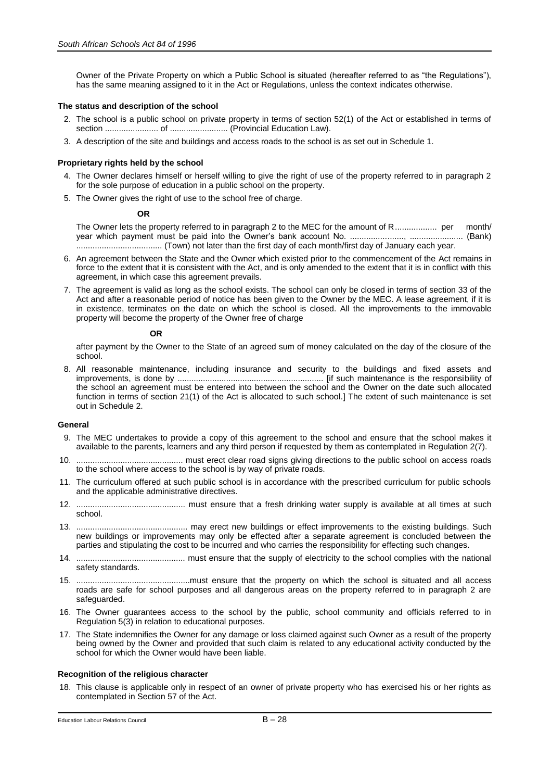Owner of the Private Property on which a Public School is situated (hereafter referred to as "the Regulations"), has the same meaning assigned to it in the Act or Regulations, unless the context indicates otherwise.

## **The status and description of the school**

- 2. The school is a public school on private property in terms of section 52(1) of the Act or established in terms of section ....................... of ......................... (Provincial Education Law).
- 3. A description of the site and buildings and access roads to the school is as set out in Schedule 1.

#### **Proprietary rights held by the school**

- 4. The Owner declares himself or herself willing to give the right of use of the property referred to in paragraph 2 for the sole purpose of education in a public school on the property.
- 5. The Owner gives the right of use to the school free of charge.

#### **OR**

The Owner lets the property referred to in paragraph 2 to the MEC for the amount of R.................. per month/ year which payment must be paid into the Owner's bank account No. ......................., ....................... (Bank) ..................................... (Town) not later than the first day of each month/first day of January each year.

- 6. An agreement between the State and the Owner which existed prior to the commencement of the Act remains in force to the extent that it is consistent with the Act, and is only amended to the extent that it is in conflict with this agreement, in which case this agreement prevails.
- 7. The agreement is valid as long as the school exists. The school can only be closed in terms of section 33 of the Act and after a reasonable period of notice has been given to the Owner by the MEC. A lease agreement, if it is in existence, terminates on the date on which the school is closed. All the improvements to the immovable property will become the property of the Owner free of charge

#### **OR**

after payment by the Owner to the State of an agreed sum of money calculated on the day of the closure of the school.

8. All reasonable maintenance, including insurance and security to the buildings and fixed assets and improvements, is done by ............................................................... [if such maintenance is the responsibility of the school an agreement must be entered into between the school and the Owner on the date such allocated function in terms of section 21(1) of the Act is allocated to such school*.*] The extent of such maintenance is set out in Schedule 2.

### **General**

- 9. The MEC undertakes to provide a copy of this agreement to the school and ensure that the school makes it available to the parents, learners and any third person if requested by them as contemplated in Regulation 2(7).
- 10. .............................................. must erect clear road signs giving directions to the public school on access roads to the school where access to the school is by way of private roads.
- 11. The curriculum offered at such public school is in accordance with the prescribed curriculum for public schools and the applicable administrative directives.
- 12. ............................................... must ensure that a fresh drinking water supply is available at all times at such school.
- 13. ................................................ may erect new buildings or effect improvements to the existing buildings. Such new buildings or improvements may only be effected after a separate agreement is concluded between the parties and stipulating the cost to be incurred and who carries the responsibility for effecting such changes.
- 14. ............................................... must ensure that the supply of electricity to the school complies with the national safety standards.
- 15. .................................................must ensure that the property on which the school is situated and all access roads are safe for school purposes and all dangerous areas on the property referred to in paragraph 2 are safeguarded.
- 16. The Owner guarantees access to the school by the public, school community and officials referred to in Regulation 5(3) in relation to educational purposes.
- 17. The State indemnifies the Owner for any damage or loss claimed against such Owner as a result of the property being owned by the Owner and provided that such claim is related to any educational activity conducted by the school for which the Owner would have been liable.

# **Recognition of the religious character**

18. This clause is applicable only in respect of an owner of private property who has exercised his or her rights as contemplated in Section 57 of the Act.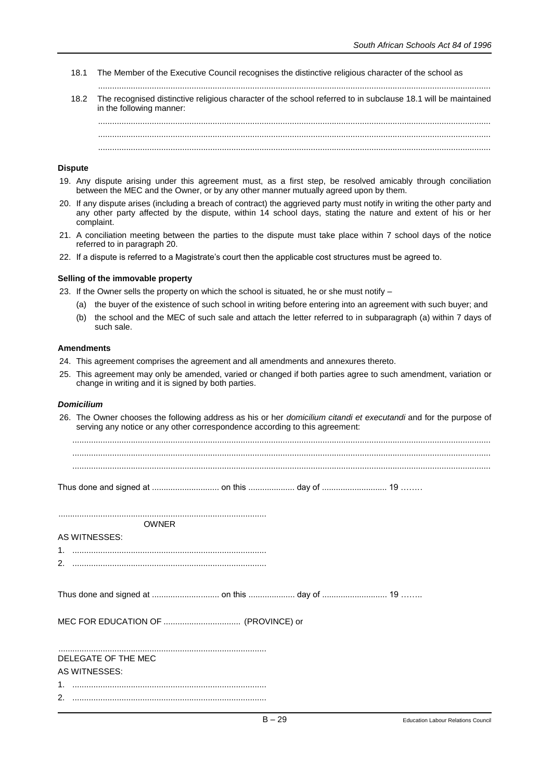- 18.1 The Member of the Executive Council recognises the distinctive religious character of the school as
- ........................................................................................................................................................................ 18.2 The recognised distinctive religious character of the school referred to in subclause 18.1 will be maintained in the following manner:

## **Dispute**

- 19. Any dispute arising under this agreement must, as a first step, be resolved amicably through conciliation between the MEC and the Owner, or by any other manner mutually agreed upon by them.
- 20. If any dispute arises (including a breach of contract) the aggrieved party must notify in writing the other party and any other party affected by the dispute, within 14 school days, stating the nature and extent of his or her complaint.
- 21. A conciliation meeting between the parties to the dispute must take place within 7 school days of the notice referred to in paragraph 20.
- 22. If a dispute is referred to a Magistrate's court then the applicable cost structures must be agreed to.

## **Selling of the immovable property**

23. If the Owner sells the property on which the school is situated, he or she must notify –

- (a) the buyer of the existence of such school in writing before entering into an agreement with such buyer; and
- (b) the school and the MEC of such sale and attach the letter referred to in subparagraph (a) within 7 days of such sale.

#### **Amendments**

- 24. This agreement comprises the agreement and all amendments and annexures thereto.
- 25. This agreement may only be amended, varied or changed if both parties agree to such amendment, variation or change in writing and it is signed by both parties.

# *Domicilium*

26. The Owner chooses the following address as his or her *domicilium citandi et executandi* and for the purpose of serving any notice or any other correspondence according to this agreement:

................................................................................................................................................................................... ...................................................................................................................................................................................

Thus done and signed at ............................. on this .................... day of ............................ 19 ……..

|                      | <b>OWNER</b>        |  |  |
|----------------------|---------------------|--|--|
| <b>AS WITNESSES:</b> |                     |  |  |
|                      |                     |  |  |
|                      |                     |  |  |
|                      |                     |  |  |
|                      |                     |  |  |
|                      |                     |  |  |
|                      | DELEGATE OF THE MEC |  |  |
| AS WITNESSES:        |                     |  |  |
|                      |                     |  |  |
|                      |                     |  |  |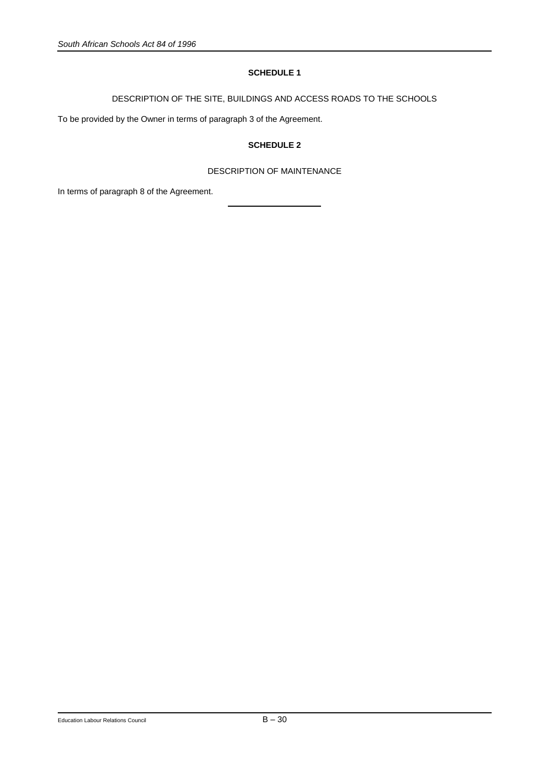# **SCHEDULE 1**

DESCRIPTION OF THE SITE, BUILDINGS AND ACCESS ROADS TO THE SCHOOLS

To be provided by the Owner in terms of paragraph 3 of the Agreement.

# **SCHEDULE 2**

# DESCRIPTION OF MAINTENANCE

In terms of paragraph 8 of the Agreement.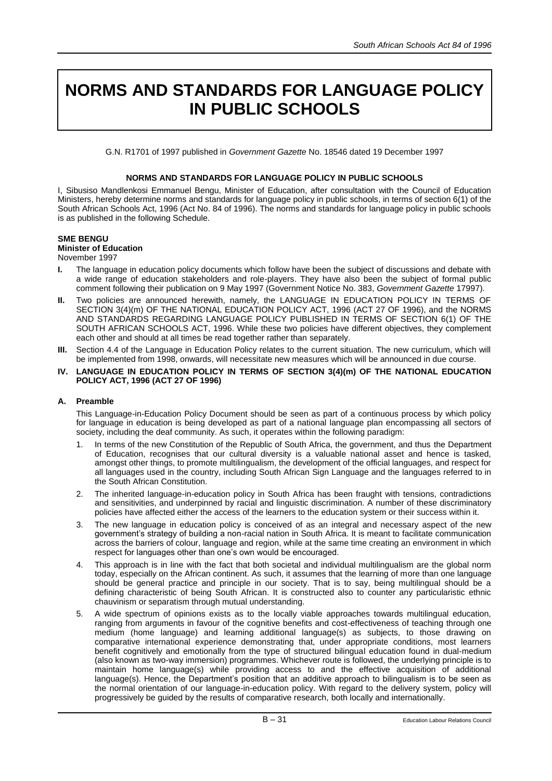# **NORMS AND STANDARDS FOR LANGUAGE POLICY IN PUBLIC SCHOOLS**

G.N. R1701 of 1997 published in *Government Gazette* No. 18546 dated 19 December 1997

# **NORMS AND STANDARDS FOR LANGUAGE POLICY IN PUBLIC SCHOOLS**

I, Sibusiso Mandlenkosi Emmanuel Bengu, Minister of Education, after consultation with the Council of Education Ministers, hereby determine norms and standards for language policy in public schools, in terms of section 6(1) of the South African Schools Act, 1996 (Act No. 84 of 1996). The norms and standards for language policy in public schools is as published in the following Schedule.

# **SME BENGU**

# **Minister of Education**

# November 1997

- **I.** The language in education policy documents which follow have been the subject of discussions and debate with a wide range of education stakeholders and role-players. They have also been the subject of formal public comment following their publication on 9 May 1997 (Government Notice No. 383, *Government Gazette* 17997).
- **II.** Two policies are announced herewith, namely, the LANGUAGE IN EDUCATION POLICY IN TERMS OF SECTION 3(4)(m) OF THE NATIONAL EDUCATION POLICY ACT, 1996 (ACT 27 OF 1996), and the NORMS AND STANDARDS REGARDING LANGUAGE POLICY PUBLISHED IN TERMS OF SECTION 6(1) OF THE SOUTH AFRICAN SCHOOLS ACT, 1996. While these two policies have different objectives, they complement each other and should at all times be read together rather than separately.
- **III.** Section 4.4 of the Language in Education Policy relates to the current situation. The new curriculum, which will be implemented from 1998, onwards, will necessitate new measures which will be announced in due course.
- **IV. LANGUAGE IN EDUCATION POLICY IN TERMS OF SECTION 3(4)(m) OF THE NATIONAL EDUCATION POLICY ACT, 1996 (ACT 27 OF 1996)**

# **A. Preamble**

This Language-in-Education Policy Document should be seen as part of a continuous process by which policy for language in education is being developed as part of a national language plan encompassing all sectors of society, including the deaf community. As such, it operates within the following paradigm:

- 1. In terms of the new Constitution of the Republic of South Africa, the government, and thus the Department of Education, recognises that our cultural diversity is a valuable national asset and hence is tasked, amongst other things, to promote multilingualism, the development of the official languages, and respect for all languages used in the country, including South African Sign Language and the languages referred to in the South African Constitution.
- 2. The inherited language-in-education policy in South Africa has been fraught with tensions, contradictions and sensitivities, and underpinned by racial and linguistic discrimination. A number of these discriminatory policies have affected either the access of the learners to the education system or their success within it.
- 3. The new language in education policy is conceived of as an integral and necessary aspect of the new government's strategy of building a non-racial nation in South Africa. It is meant to facilitate communication across the barriers of colour, language and region, while at the same time creating an environment in which respect for languages other than one's own would be encouraged.
- 4. This approach is in line with the fact that both societal and individual multilingualism are the global norm today, especially on the African continent. As such, it assumes that the learning of more than one language should be general practice and principle in our society. That is to say, being multilingual should be a defining characteristic of being South African. It is constructed also to counter any particularistic ethnic chauvinism or separatism through mutual understanding.
- 5. A wide spectrum of opinions exists as to the locally viable approaches towards multilingual education, ranging from arguments in favour of the cognitive benefits and cost-effectiveness of teaching through one medium (home language) and learning additional language(s) as subjects, to those drawing on comparative international experience demonstrating that, under appropriate conditions, most learners benefit cognitively and emotionally from the type of structured bilingual education found in dual-medium (also known as two-way immersion) programmes. Whichever route is followed, the underlying principle is to maintain home language(s) while providing access to and the effective acquisition of additional language(s). Hence, the Department's position that an additive approach to bilingualism is to be seen as the normal orientation of our language-in-education policy. With regard to the delivery system, policy will progressively be guided by the results of comparative research, both locally and internationally.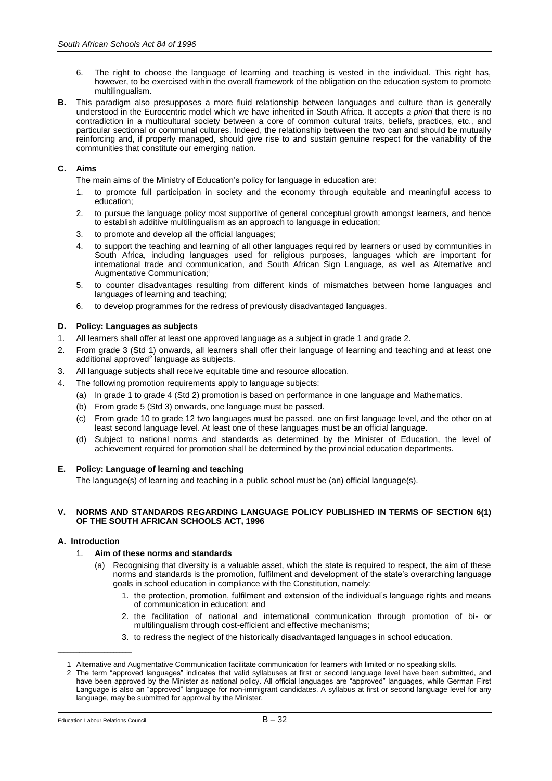- 6. The right to choose the language of learning and teaching is vested in the individual. This right has, however, to be exercised within the overall framework of the obligation on the education system to promote multilingualism.
- **B.** This paradigm also presupposes a more fluid relationship between languages and culture than is generally understood in the Eurocentric model which we have inherited in South Africa. It accepts *a priori* that there is no contradiction in a multicultural society between a core of common cultural traits, beliefs, practices, etc., and particular sectional or communal cultures. Indeed, the relationship between the two can and should be mutually reinforcing and, if properly managed, should give rise to and sustain genuine respect for the variability of the communities that constitute our emerging nation.

# **C. Aims**

The main aims of the Ministry of Education's policy for language in education are:

- 1. to promote full participation in society and the economy through equitable and meaningful access to education;
- 2. to pursue the language policy most supportive of general conceptual growth amongst learners, and hence to establish additive multilingualism as an approach to language in education;
- 3. to promote and develop all the official languages;
- 4. to support the teaching and learning of all other languages required by learners or used by communities in South Africa, including languages used for religious purposes, languages which are important for international trade and communication, and South African Sign Language, as well as Alternative and Augmentative Communication;<sup>1</sup>
- 5. to counter disadvantages resulting from different kinds of mismatches between home languages and languages of learning and teaching;
- 6. to develop programmes for the redress of previously disadvantaged languages.

# **D. Policy: Languages as subjects**

- 1. All learners shall offer at least one approved language as a subject in grade 1 and grade 2.
- 2. From grade 3 (Std 1) onwards, all learners shall offer their language of learning and teaching and at least one additional approved<sup>2</sup> language as subjects.
- 3. All language subjects shall receive equitable time and resource allocation.
- 4. The following promotion requirements apply to language subjects:
	- (a) In grade 1 to grade 4 (Std 2) promotion is based on performance in one language and Mathematics.
	- (b) From grade 5 (Std 3) onwards, one language must be passed.
	- (c) From grade 10 to grade 12 two languages must be passed, one on first language level, and the other on at least second language level. At least one of these languages must be an official language.
	- (d) Subject to national norms and standards as determined by the Minister of Education, the level of achievement required for promotion shall be determined by the provincial education departments.

# **E. Policy: Language of learning and teaching**

The language(s) of learning and teaching in a public school must be (an) official language(s).

## **V. NORMS AND STANDARDS REGARDING LANGUAGE POLICY PUBLISHED IN TERMS OF SECTION 6(1) OF THE SOUTH AFRICAN SCHOOLS ACT, 1996**

# **A. Introduction**

# 1. **Aim of these norms and standards**

- Recognising that diversity is a valuable asset, which the state is required to respect, the aim of these norms and standards is the promotion, fulfilment and development of the state's overarching language goals in school education in compliance with the Constitution, namely:
	- 1. the protection, promotion, fulfilment and extension of the individual's language rights and means of communication in education; and
	- 2. the facilitation of national and international communication through promotion of bi- or multilingualism through cost-efficient and effective mechanisms;
	- 3. to redress the neglect of the historically disadvantaged languages in school education.

\_\_\_\_\_\_\_\_\_\_\_\_\_\_\_\_\_\_\_\_\_\_\_\_

<sup>1</sup> Alternative and Augmentative Communication facilitate communication for learners with limited or no speaking skills.

<sup>2</sup> The term "approved languages" indicates that valid syllabuses at first or second language level have been submitted, and have been approved by the Minister as national policy. All official languages are "approved" languages, while German First Language is also an "approved" language for non-immigrant candidates. A syllabus at first or second language level for any language, may be submitted for approval by the Minister.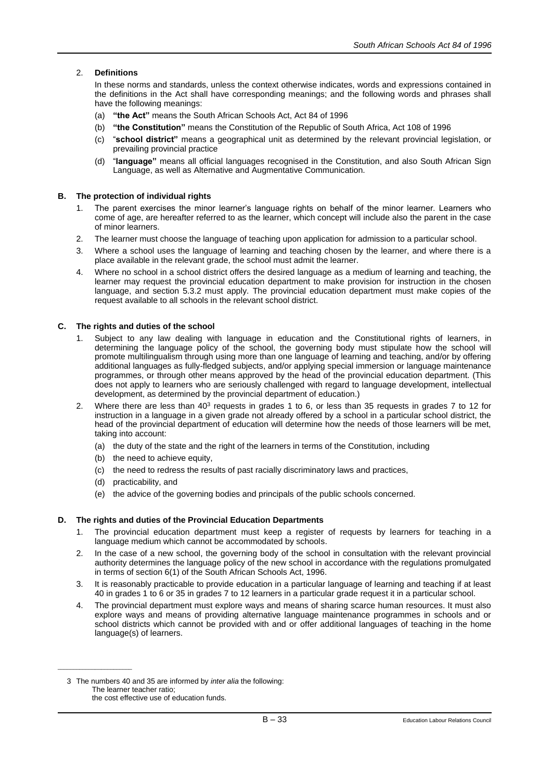# 2. **Definitions**

In these norms and standards, unless the context otherwise indicates, words and expressions contained in the definitions in the Act shall have corresponding meanings; and the following words and phrases shall have the following meanings:

- (a) **"the Act"** means the South African Schools Act, Act 84 of 1996
- (b) **"the Constitution"** means the Constitution of the Republic of South Africa, Act 108 of 1996
- (c) "**school district"** means a geographical unit as determined by the relevant provincial legislation, or prevailing provincial practice
- (d) "**language"** means all official languages recognised in the Constitution, and also South African Sign Language, as well as Alternative and Augmentative Communication.

# **B. The protection of individual rights**

- 1. The parent exercises the minor learner's language rights on behalf of the minor learner. Learners who come of age, are hereafter referred to as the learner, which concept will include also the parent in the case of minor learners.
- 2. The learner must choose the language of teaching upon application for admission to a particular school.
- 3. Where a school uses the language of learning and teaching chosen by the learner, and where there is a place available in the relevant grade, the school must admit the learner.
- 4. Where no school in a school district offers the desired language as a medium of learning and teaching, the learner may request the provincial education department to make provision for instruction in the chosen language, and section 5.3.2 must apply. The provincial education department must make copies of the request available to all schools in the relevant school district.

# **C. The rights and duties of the school**

- 1. Subject to any law dealing with language in education and the Constitutional rights of learners, in determining the language policy of the school, the governing body must stipulate how the school will promote multilingualism through using more than one language of learning and teaching, and/or by offering additional languages as fully-fledged subjects, and/or applying special immersion or language maintenance programmes, or through other means approved by the head of the provincial education department. (This does not apply to learners who are seriously challenged with regard to language development, intellectual development, as determined by the provincial department of education.)
- 2. Where there are less than  $40<sup>3</sup>$  requests in grades 1 to 6, or less than 35 requests in grades 7 to 12 for instruction in a language in a given grade not already offered by a school in a particular school district, the head of the provincial department of education will determine how the needs of those learners will be met, taking into account:
	- (a) the duty of the state and the right of the learners in terms of the Constitution, including
	- (b) the need to achieve equity,
	- (c) the need to redress the results of past racially discriminatory laws and practices,
	- (d) practicability, and

\_\_\_\_\_\_\_\_\_\_\_\_\_\_\_\_\_\_\_\_\_\_\_\_

(e) the advice of the governing bodies and principals of the public schools concerned.

# **D. The rights and duties of the Provincial Education Departments**

- 1. The provincial education department must keep a register of requests by learners for teaching in a language medium which cannot be accommodated by schools.
- 2. In the case of a new school, the governing body of the school in consultation with the relevant provincial authority determines the language policy of the new school in accordance with the regulations promulgated in terms of section 6(1) of the South African Schools Act, 1996.
- 3. It is reasonably practicable to provide education in a particular language of learning and teaching if at least 40 in grades 1 to 6 or 35 in grades 7 to 12 learners in a particular grade request it in a particular school.
- 4. The provincial department must explore ways and means of sharing scarce human resources. It must also explore ways and means of providing alternative language maintenance programmes in schools and or school districts which cannot be provided with and or offer additional languages of teaching in the home language(s) of learners.

3 The numbers 40 and 35 are informed by *inter alia* the following: The learner teacher ratio; the cost effective use of education funds.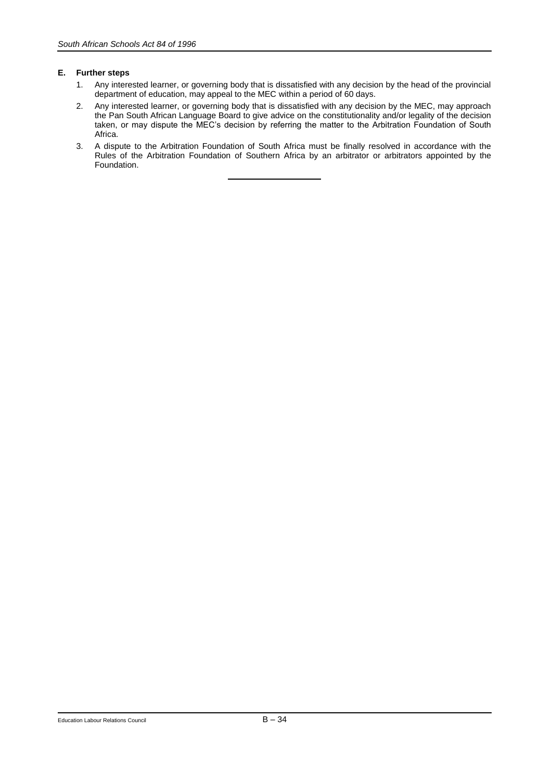# **E. Further steps**

- 1. Any interested learner, or governing body that is dissatisfied with any decision by the head of the provincial department of education, may appeal to the MEC within a period of 60 days.
- 2. Any interested learner, or governing body that is dissatisfied with any decision by the MEC, may approach the Pan South African Language Board to give advice on the constitutionality and/or legality of the decision taken, or may dispute the MEC's decision by referring the matter to the Arbitration Foundation of South Africa.
- 3. A dispute to the Arbitration Foundation of South Africa must be finally resolved in accordance with the Rules of the Arbitration Foundation of Southern Africa by an arbitrator or arbitrators appointed by the Foundation.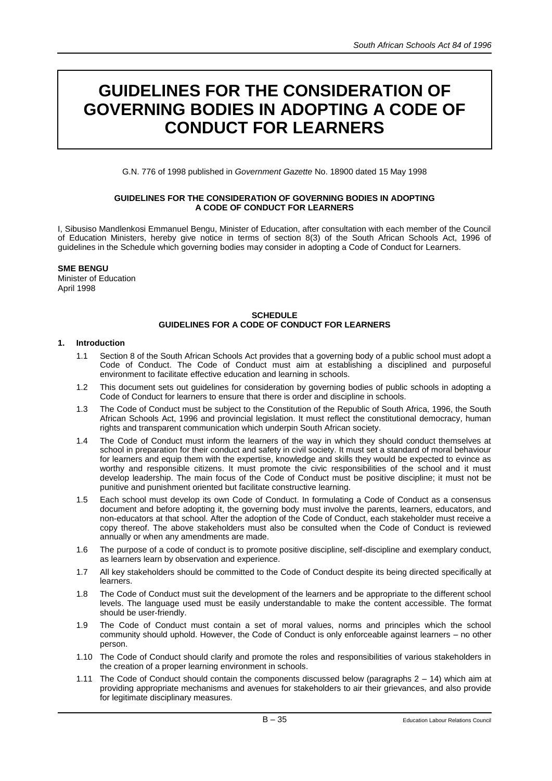# **GUIDELINES FOR THE CONSIDERATION OF GOVERNING BODIES IN ADOPTING A CODE OF CONDUCT FOR LEARNERS**

G.N. 776 of 1998 published in *Government Gazette* No. 18900 dated 15 May 1998

# **GUIDELINES FOR THE CONSIDERATION OF GOVERNING BODIES IN ADOPTING A CODE OF CONDUCT FOR LEARNERS**

I, Sibusiso Mandlenkosi Emmanuel Bengu, Minister of Education, after consultation with each member of the Council of Education Ministers, hereby give notice in terms of section 8(3) of the South African Schools Act, 1996 of guidelines in the Schedule which governing bodies may consider in adopting a Code of Conduct for Learners.

# **SME BENGU**

Minister of Education April 1998

# **SCHEDULE GUIDELINES FOR A CODE OF CONDUCT FOR LEARNERS**

# **1. Introduction**

- 1.1 Section 8 of the South African Schools Act provides that a governing body of a public school must adopt a Code of Conduct. The Code of Conduct must aim at establishing a disciplined and purposeful environment to facilitate effective education and learning in schools.
- 1.2 This document sets out guidelines for consideration by governing bodies of public schools in adopting a Code of Conduct for learners to ensure that there is order and discipline in schools.
- 1.3 The Code of Conduct must be subject to the Constitution of the Republic of South Africa, 1996, the South African Schools Act, 1996 and provincial legislation. It must reflect the constitutional democracy, human rights and transparent communication which underpin South African society.
- 1.4 The Code of Conduct must inform the learners of the way in which they should conduct themselves at school in preparation for their conduct and safety in civil society. It must set a standard of moral behaviour for learners and equip them with the expertise, knowledge and skills they would be expected to evince as worthy and responsible citizens. It must promote the civic responsibilities of the school and it must develop leadership. The main focus of the Code of Conduct must be positive discipline; it must not be punitive and punishment oriented but facilitate constructive learning.
- 1.5 Each school must develop its own Code of Conduct. In formulating a Code of Conduct as a consensus document and before adopting it, the governing body must involve the parents, learners, educators, and non-educators at that school. After the adoption of the Code of Conduct, each stakeholder must receive a copy thereof. The above stakeholders must also be consulted when the Code of Conduct is reviewed annually or when any amendments are made.
- 1.6 The purpose of a code of conduct is to promote positive discipline, self-discipline and exemplary conduct, as learners learn by observation and experience.
- 1.7 All key stakeholders should be committed to the Code of Conduct despite its being directed specifically at learners.
- 1.8 The Code of Conduct must suit the development of the learners and be appropriate to the different school levels. The language used must be easily understandable to make the content accessible. The format should be user-friendly.
- 1.9 The Code of Conduct must contain a set of moral values, norms and principles which the school community should uphold. However, the Code of Conduct is only enforceable against learners – no other person.
- 1.10 The Code of Conduct should clarify and promote the roles and responsibilities of various stakeholders in the creation of a proper learning environment in schools.
- 1.11 The Code of Conduct should contain the components discussed below (paragraphs 2 14) which aim at providing appropriate mechanisms and avenues for stakeholders to air their grievances, and also provide for legitimate disciplinary measures.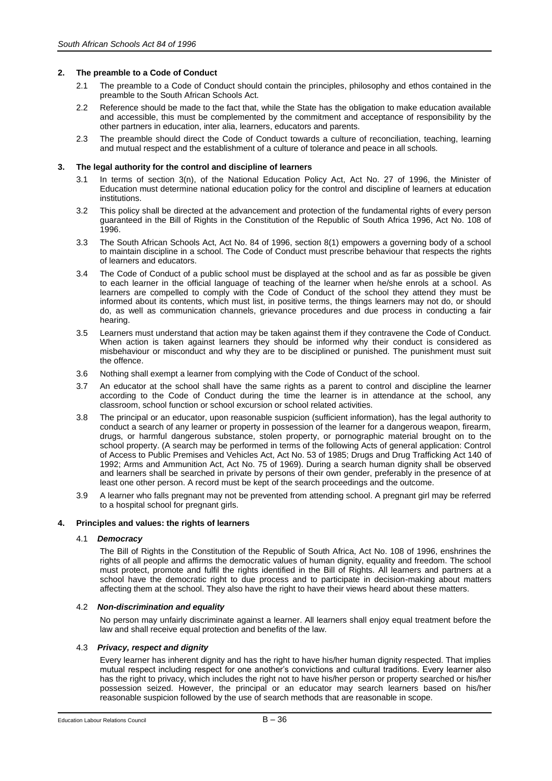# **2. The preamble to a Code of Conduct**

- 2.1 The preamble to a Code of Conduct should contain the principles, philosophy and ethos contained in the preamble to the South African Schools Act.
- 2.2 Reference should be made to the fact that, while the State has the obligation to make education available and accessible, this must be complemented by the commitment and acceptance of responsibility by the other partners in education, inter alia, learners, educators and parents.
- 2.3 The preamble should direct the Code of Conduct towards a culture of reconciliation, teaching, learning and mutual respect and the establishment of a culture of tolerance and peace in all schools.

# **3. The legal authority for the control and discipline of learners**

- 3.1 In terms of section 3(n), of the National Education Policy Act, Act No. 27 of 1996, the Minister of Education must determine national education policy for the control and discipline of learners at education institutions.
- 3.2 This policy shall be directed at the advancement and protection of the fundamental rights of every person guaranteed in the Bill of Rights in the Constitution of the Republic of South Africa 1996, Act No. 108 of 1996.
- 3.3 The South African Schools Act, Act No. 84 of 1996, section 8(1) empowers a governing body of a school to maintain discipline in a school. The Code of Conduct must prescribe behaviour that respects the rights of learners and educators.
- 3.4 The Code of Conduct of a public school must be displayed at the school and as far as possible be given to each learner in the official language of teaching of the learner when he/she enrols at a school. As learners are compelled to comply with the Code of Conduct of the school they attend they must be informed about its contents, which must list, in positive terms, the things learners may not do, or should do, as well as communication channels, grievance procedures and due process in conducting a fair hearing.
- 3.5 Learners must understand that action may be taken against them if they contravene the Code of Conduct. When action is taken against learners they should be informed why their conduct is considered as misbehaviour or misconduct and why they are to be disciplined or punished. The punishment must suit the offence.
- 3.6 Nothing shall exempt a learner from complying with the Code of Conduct of the school.
- 3.7 An educator at the school shall have the same rights as a parent to control and discipline the learner according to the Code of Conduct during the time the learner is in attendance at the school, any classroom, school function or school excursion or school related activities.
- 3.8 The principal or an educator, upon reasonable suspicion (sufficient information), has the legal authority to conduct a search of any learner or property in possession of the learner for a dangerous weapon, firearm, drugs, or harmful dangerous substance, stolen property, or pornographic material brought on to the school property. (A search may be performed in terms of the following Acts of general application: Control of Access to Public Premises and Vehicles Act, Act No. 53 of 1985; Drugs and Drug Trafficking Act 140 of 1992; Arms and Ammunition Act, Act No. 75 of 1969). During a search human dignity shall be observed and learners shall be searched in private by persons of their own gender, preferably in the presence of at least one other person. A record must be kept of the search proceedings and the outcome.
- 3.9 A learner who falls pregnant may not be prevented from attending school. A pregnant girl may be referred to a hospital school for pregnant girls.

## **4. Principles and values: the rights of learners**

## 4.1 *Democracy*

The Bill of Rights in the Constitution of the Republic of South Africa, Act No. 108 of 1996, enshrines the rights of all people and affirms the democratic values of human dignity, equality and freedom. The school must protect, promote and fulfil the rights identified in the Bill of Rights. All learners and partners at a school have the democratic right to due process and to participate in decision-making about matters affecting them at the school. They also have the right to have their views heard about these matters.

## 4.2 *Non-discrimination and equality*

No person may unfairly discriminate against a learner. All learners shall enjoy equal treatment before the law and shall receive equal protection and benefits of the law.

## 4.3 *Privacy, respect and dignity*

Every learner has inherent dignity and has the right to have his/her human dignity respected. That implies mutual respect including respect for one another's convictions and cultural traditions. Every learner also has the right to privacy, which includes the right not to have his/her person or property searched or his/her possession seized. However, the principal or an educator may search learners based on his/her reasonable suspicion followed by the use of search methods that are reasonable in scope.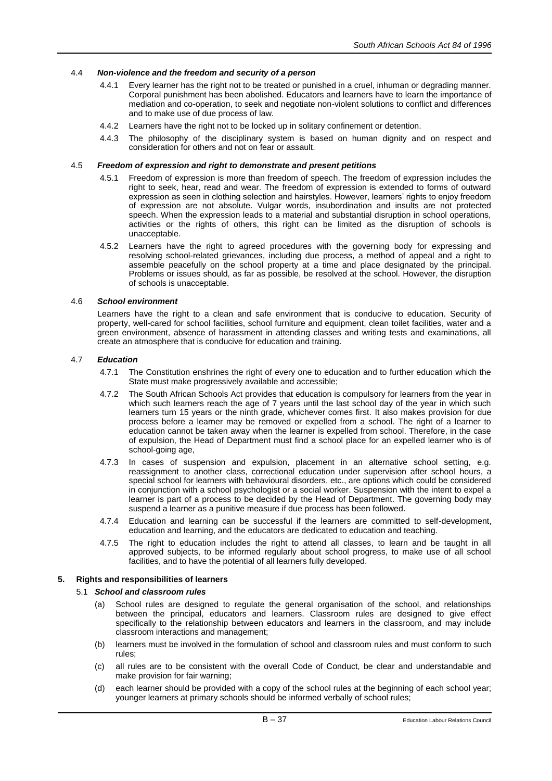# 4.4 *Non-violence and the freedom and security of a person*

- 4.4.1 Every learner has the right not to be treated or punished in a cruel, inhuman or degrading manner. Corporal punishment has been abolished. Educators and learners have to learn the importance of mediation and co-operation, to seek and negotiate non-violent solutions to conflict and differences and to make use of due process of law.
- 4.4.2 Learners have the right not to be locked up in solitary confinement or detention.
- 4.4.3 The philosophy of the disciplinary system is based on human dignity and on respect and consideration for others and not on fear or assault.

## 4.5 *Freedom of expression and right to demonstrate and present petitions*

- 4.5.1 Freedom of expression is more than freedom of speech. The freedom of expression includes the right to seek, hear, read and wear. The freedom of expression is extended to forms of outward expression as seen in clothing selection and hairstyles. However, learners' rights to enjoy freedom of expression are not absolute. Vulgar words, insubordination and insults are not protected speech. When the expression leads to a material and substantial disruption in school operations, activities or the rights of others, this right can be limited as the disruption of schools is unacceptable.
- 4.5.2 Learners have the right to agreed procedures with the governing body for expressing and resolving school-related grievances, including due process, a method of appeal and a right to assemble peacefully on the school property at a time and place designated by the principal. Problems or issues should, as far as possible, be resolved at the school. However, the disruption of schools is unacceptable.

## 4.6 *School environment*

Learners have the right to a clean and safe environment that is conducive to education. Security of property, well-cared for school facilities, school furniture and equipment, clean toilet facilities, water and a green environment, absence of harassment in attending classes and writing tests and examinations, all create an atmosphere that is conducive for education and training.

# 4.7 *Education*

- 4.7.1 The Constitution enshrines the right of every one to education and to further education which the State must make progressively available and accessible;
- 4.7.2 The South African Schools Act provides that education is compulsory for learners from the year in which such learners reach the age of 7 years until the last school day of the year in which such learners turn 15 years or the ninth grade, whichever comes first. It also makes provision for due process before a learner may be removed or expelled from a school. The right of a learner to education cannot be taken away when the learner is expelled from school. Therefore, in the case of expulsion, the Head of Department must find a school place for an expelled learner who is of school-going age,
- 4.7.3 In cases of suspension and expulsion, placement in an alternative school setting, e.g. reassignment to another class, correctional education under supervision after school hours, a special school for learners with behavioural disorders, etc., are options which could be considered in conjunction with a school psychologist or a social worker. Suspension with the intent to expel a learner is part of a process to be decided by the Head of Department. The governing body may suspend a learner as a punitive measure if due process has been followed.
- 4.7.4 Education and learning can be successful if the learners are committed to self-development, education and learning, and the educators are dedicated to education and teaching.
- 4.7.5 The right to education includes the right to attend all classes, to learn and be taught in all approved subjects, to be informed regularly about school progress, to make use of all school facilities, and to have the potential of all learners fully developed.

# **5. Rights and responsibilities of learners**

## 5.1 *School and classroom rules*

- (a) School rules are designed to regulate the general organisation of the school, and relationships between the principal, educators and learners. Classroom rules are designed to give effect specifically to the relationship between educators and learners in the classroom, and may include classroom interactions and management;
- (b) learners must be involved in the formulation of school and classroom rules and must conform to such rules;
- (c) all rules are to be consistent with the overall Code of Conduct, be clear and understandable and make provision for fair warning;
- (d) each learner should be provided with a copy of the school rules at the beginning of each school year; younger learners at primary schools should be informed verbally of school rules;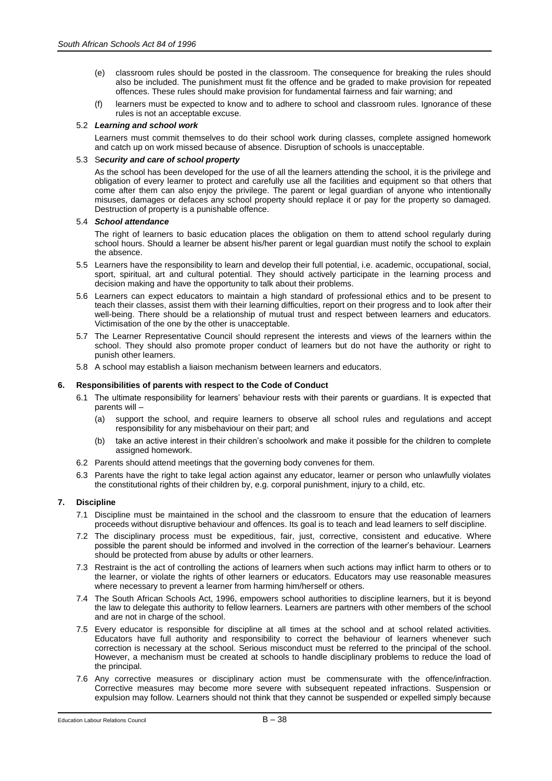- (e) classroom rules should be posted in the classroom. The consequence for breaking the rules should also be included. The punishment must fit the offence and be graded to make provision for repeated offences. These rules should make provision for fundamental fairness and fair warning; and
- (f) learners must be expected to know and to adhere to school and classroom rules. Ignorance of these rules is not an acceptable excuse.

## 5.2 *Learning and school work*

Learners must commit themselves to do their school work during classes, complete assigned homework and catch up on work missed because of absence. Disruption of schools is unacceptable.

#### 5.3 S*ecurity and care of school property*

As the school has been developed for the use of all the learners attending the school, it is the privilege and obligation of every learner to protect and carefully use all the facilities and equipment so that others that come after them can also enjoy the privilege. The parent or legal guardian of anyone who intentionally misuses, damages or defaces any school property should replace it or pay for the property so damaged. Destruction of property is a punishable offence.

#### 5.4 *School attendance*

The right of learners to basic education places the obligation on them to attend school regularly during school hours. Should a learner be absent his/her parent or legal guardian must notify the school to explain the absence.

- 5.5 Learners have the responsibility to learn and develop their full potential, i.e. academic, occupational, social, sport, spiritual, art and cultural potential. They should actively participate in the learning process and decision making and have the opportunity to talk about their problems.
- 5.6 Learners can expect educators to maintain a high standard of professional ethics and to be present to teach their classes, assist them with their learning difficulties, report on their progress and to look after their well-being. There should be a relationship of mutual trust and respect between learners and educators. Victimisation of the one by the other is unacceptable.
- 5.7 The Learner Representative Council should represent the interests and views of the learners within the school. They should also promote proper conduct of learners but do not have the authority or right to punish other learners.
- 5.8 A school may establish a liaison mechanism between learners and educators.

## **6. Responsibilities of parents with respect to the Code of Conduct**

- 6.1 The ultimate responsibility for learners' behaviour rests with their parents or guardians. It is expected that parents will –
	- (a) support the school, and require learners to observe all school rules and regulations and accept responsibility for any misbehaviour on their part; and
	- (b) take an active interest in their children's schoolwork and make it possible for the children to complete assigned homework.
- 6.2 Parents should attend meetings that the governing body convenes for them.
- 6.3 Parents have the right to take legal action against any educator, learner or person who unlawfully violates the constitutional rights of their children by, e.g. corporal punishment, injury to a child, etc.

## **7. Discipline**

- 7.1 Discipline must be maintained in the school and the classroom to ensure that the education of learners proceeds without disruptive behaviour and offences. Its goal is to teach and lead learners to self discipline.
- 7.2 The disciplinary process must be expeditious, fair, just, corrective, consistent and educative. Where possible the parent should be informed and involved in the correction of the learner's behaviour. Learners should be protected from abuse by adults or other learners.
- 7.3 Restraint is the act of controlling the actions of learners when such actions may inflict harm to others or to the learner, or violate the rights of other learners or educators. Educators may use reasonable measures where necessary to prevent a learner from harming him/herself or others.
- 7.4 The South African Schools Act, 1996, empowers school authorities to discipline learners, but it is beyond the law to delegate this authority to fellow learners. Learners are partners with other members of the school and are not in charge of the school.
- 7.5 Every educator is responsible for discipline at all times at the school and at school related activities. Educators have full authority and responsibility to correct the behaviour of learners whenever such correction is necessary at the school. Serious misconduct must be referred to the principal of the school. However, a mechanism must be created at schools to handle disciplinary problems to reduce the load of the principal.
- 7.6 Any corrective measures or disciplinary action must be commensurate with the offence/infraction. Corrective measures may become more severe with subsequent repeated infractions. Suspension or expulsion may follow. Learners should not think that they cannot be suspended or expelled simply because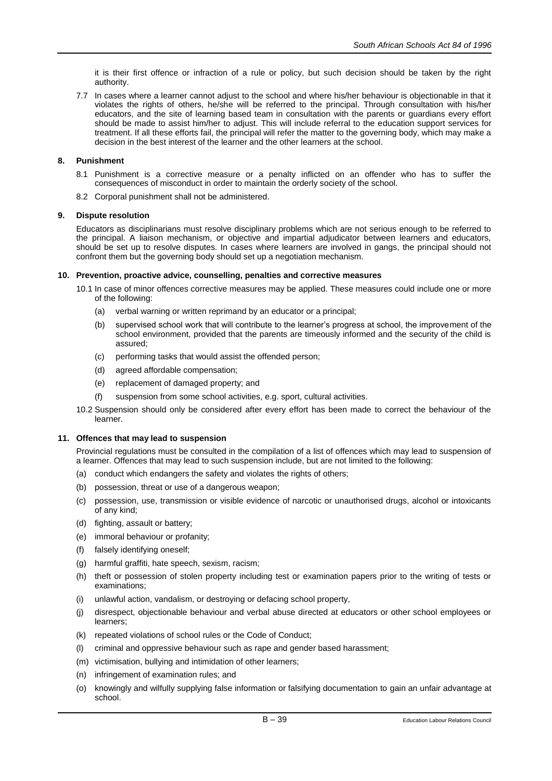it is their first offence or infraction of a rule or policy, but such decision should be taken by the right authority.

7.7 In cases where a learner cannot adjust to the school and where his/her behaviour is objectionable in that it violates the rights of others, he/she will be referred to the principal. Through consultation with his/her educators, and the site of learning based team in consultation with the parents or guardians every effort should be made to assist him/her to adjust. This will include referral to the education support services for treatment. If all these efforts fail, the principal will refer the matter to the governing body, which may make a decision in the best interest of the learner and the other learners at the school.

## **8. Punishment**

- 8.1 Punishment is a corrective measure or a penalty inflicted on an offender who has to suffer the consequences of misconduct in order to maintain the orderly society of the school.
- 8.2 Corporal punishment shall not be administered.

# **9. Dispute resolution**

Educators as disciplinarians must resolve disciplinary problems which are not serious enough to be referred to the principal. A liaison mechanism, or objective and impartial adjudicator between learners and educators, should be set up to resolve disputes. In cases where learners are involved in gangs, the principal should not confront them but the governing body should set up a negotiation mechanism.

## **10. Prevention, proactive advice, counselling, penalties and corrective measures**

- 10.1 In case of minor offences corrective measures may be applied. These measures could include one or more of the following:
	- (a) verbal warning or written reprimand by an educator or a principal;
	- (b) supervised school work that will contribute to the learner's progress at school, the improvement of the school environment, provided that the parents are timeously informed and the security of the child is assured;
	- (c) performing tasks that would assist the offended person;
	- (d) agreed affordable compensation;
	- (e) replacement of damaged property; and
	- (f) suspension from some school activities, e.g. sport, cultural activities.
- 10.2 Suspension should only be considered after every effort has been made to correct the behaviour of the learner.

# **11. Offences that may lead to suspension**

Provincial regulations must be consulted in the compilation of a list of offences which may lead to suspension of a learner. Offences that may lead to such suspension include, but are not limited to the following:

- (a) conduct which endangers the safety and violates the rights of others;
- (b) possession, threat or use of a dangerous weapon;
- (c) possession, use, transmission or visible evidence of narcotic or unauthorised drugs, alcohol or intoxicants of any kind;
- (d) fighting, assault or battery;
- (e) immoral behaviour or profanity;
- (f) falsely identifying oneself;
- (g) harmful graffiti, hate speech, sexism, racism;
- (h) theft or possession of stolen property including test or examination papers prior to the writing of tests or examinations;
- (i) unlawful action, vandalism, or destroying or defacing school property,
- (j) disrespect, objectionable behaviour and verbal abuse directed at educators or other school employees or learners;
- (k) repeated violations of school rules or the Code of Conduct;
- (l) criminal and oppressive behaviour such as rape and gender based harassment;
- (m) victimisation, bullying and intimidation of other learners;
- (n) infringement of examination rules; and
- (o) knowingly and wilfully supplying false information or falsifying documentation to gain an unfair advantage at school.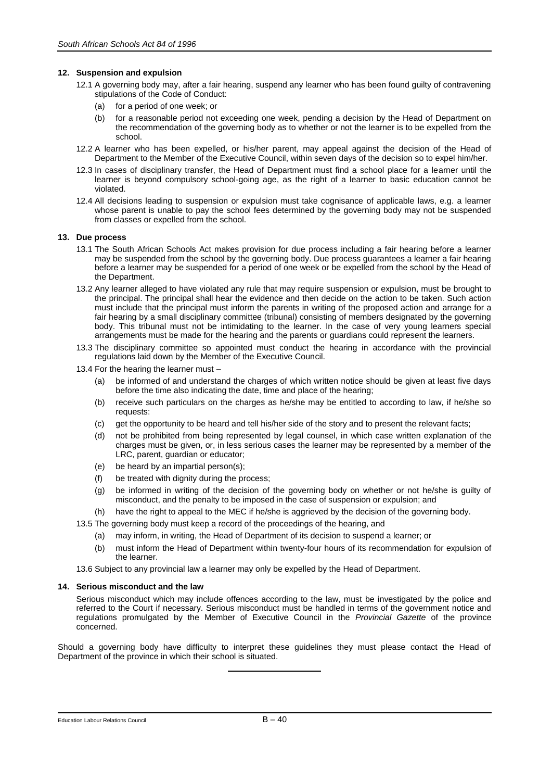# **12. Suspension and expulsion**

- 12.1 A governing body may, after a fair hearing, suspend any learner who has been found guilty of contravening stipulations of the Code of Conduct:
	- (a) for a period of one week; or
	- (b) for a reasonable period not exceeding one week, pending a decision by the Head of Department on the recommendation of the governing body as to whether or not the learner is to be expelled from the school.
- 12.2 A learner who has been expelled, or his/her parent, may appeal against the decision of the Head of Department to the Member of the Executive Council, within seven days of the decision so to expel him/her.
- 12.3 In cases of disciplinary transfer, the Head of Department must find a school place for a learner until the learner is beyond compulsory school-going age, as the right of a learner to basic education cannot be violated.
- 12.4 All decisions leading to suspension or expulsion must take cognisance of applicable laws, e.g. a learner whose parent is unable to pay the school fees determined by the governing body may not be suspended from classes or expelled from the school.

## **13. Due process**

- 13.1 The South African Schools Act makes provision for due process including a fair hearing before a learner may be suspended from the school by the governing body. Due process guarantees a learner a fair hearing before a learner may be suspended for a period of one week or be expelled from the school by the Head of the Department.
- 13.2 Any learner alleged to have violated any rule that may require suspension or expulsion, must be brought to the principal. The principal shall hear the evidence and then decide on the action to be taken. Such action must include that the principal must inform the parents in writing of the proposed action and arrange for a fair hearing by a small disciplinary committee (tribunal) consisting of members designated by the governing body. This tribunal must not be intimidating to the learner. In the case of very young learners special arrangements must be made for the hearing and the parents or guardians could represent the learners.
- 13.3 The disciplinary committee so appointed must conduct the hearing in accordance with the provincial regulations laid down by the Member of the Executive Council.
- 13.4 For the hearing the learner must
	- (a) be informed of and understand the charges of which written notice should be given at least five days before the time also indicating the date, time and place of the hearing;
	- (b) receive such particulars on the charges as he/she may be entitled to according to law, if he/she so requests:
	- (c) get the opportunity to be heard and tell his/her side of the story and to present the relevant facts;
	- (d) not be prohibited from being represented by legal counsel, in which case written explanation of the charges must be given, or, in less serious cases the learner may be represented by a member of the LRC, parent, guardian or educator;
	- (e) be heard by an impartial person(s);
	- (f) be treated with dignity during the process;
	- (g) be informed in writing of the decision of the governing body on whether or not he/she is guilty of misconduct, and the penalty to be imposed in the case of suspension or expulsion; and
	- (h) have the right to appeal to the MEC if he/she is aggrieved by the decision of the governing body.
- 13.5 The governing body must keep a record of the proceedings of the hearing, and
	- (a) may inform, in writing, the Head of Department of its decision to suspend a learner; or
	- (b) must inform the Head of Department within twenty-four hours of its recommendation for expulsion of the learner.
- 13.6 Subject to any provincial law a learner may only be expelled by the Head of Department.

## **14. Serious misconduct and the law**

Serious misconduct which may include offences according to the law, must be investigated by the police and referred to the Court if necessary. Serious misconduct must be handled in terms of the government notice and regulations promulgated by the Member of Executive Council in the *Provincial Gazette* of the province concerned.

Should a governing body have difficulty to interpret these guidelines they must please contact the Head of Department of the province in which their school is situated.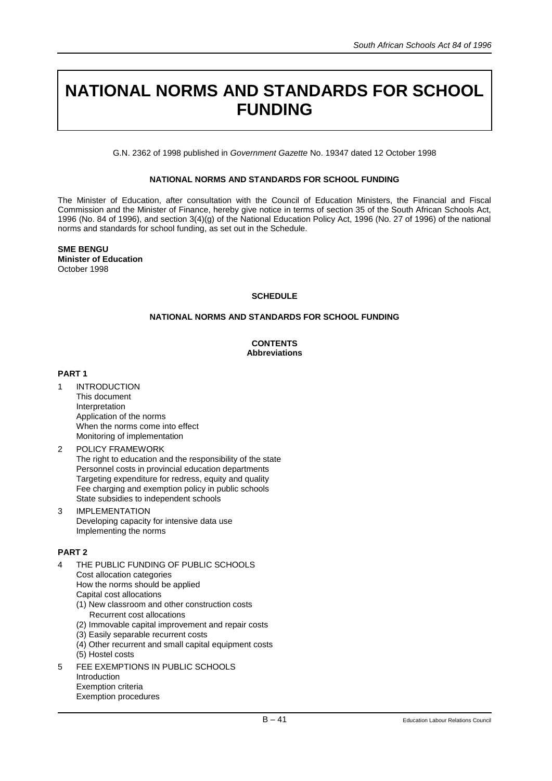# **NATIONAL NORMS AND STANDARDS FOR SCHOOL FUNDING**

G.N. 2362 of 1998 published in *Government Gazette* No. 19347 dated 12 October 1998

# **NATIONAL NORMS AND STANDARDS FOR SCHOOL FUNDING**

The Minister of Education, after consultation with the Council of Education Ministers, the Financial and Fiscal Commission and the Minister of Finance, hereby give notice in terms of section 35 of the South African Schools Act, 1996 (No. 84 of 1996), and section 3(4)(g) of the National Education Policy Act, 1996 (No. 27 of 1996) of the national norms and standards for school funding, as set out in the Schedule.

**SME BENGU Minister of Education**  October 1998

# **SCHEDULE**

# **NATIONAL NORMS AND STANDARDS FOR SCHOOL FUNDING**

# **CONTENTS Abbreviations**

# **PART 1**

- 1 INTRODUCTION This document Interpretation Application of the norms When the norms come into effect Monitoring of implementation
- 2 POLICY FRAMEWORK The right to education and the responsibility of the state Personnel costs in provincial education departments Targeting expenditure for redress, equity and quality Fee charging and exemption policy in public schools State subsidies to independent schools
- 3 IMPLEMENTATION Developing capacity for intensive data use Implementing the norms

# **PART 2**

- 4 THE PUBLIC FUNDING OF PUBLIC SCHOOLS Cost allocation categories How the norms should be applied Capital cost allocations
	- (1) New classroom and other construction costs Recurrent cost allocations
	- (2) Immovable capital improvement and repair costs
	- (3) Easily separable recurrent costs
	- (4) Other recurrent and small capital equipment costs (5) Hostel costs
- 5 FEE EXEMPTIONS IN PUBLIC SCHOOLS Introduction Exemption criteria Exemption procedures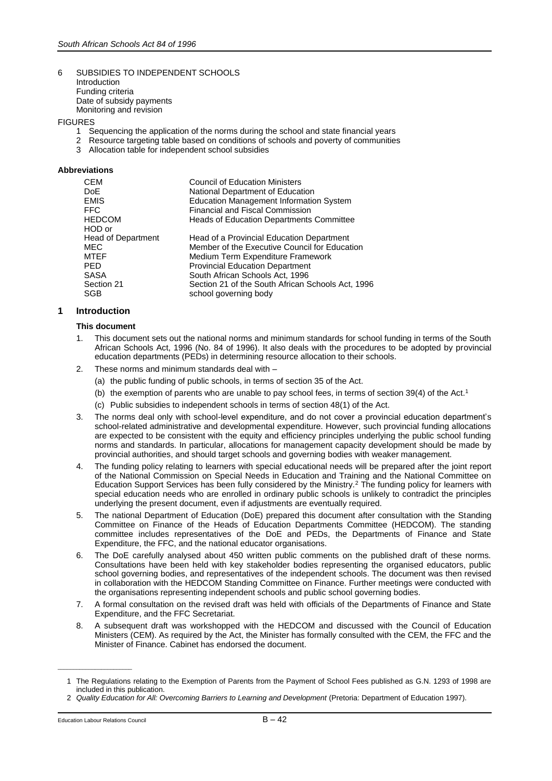#### 6 SUBSIDIES TO INDEPENDENT SCHOOLS Introduction Funding criteria Date of subsidy payments Monitoring and revision

# FIGURES<br>1 S

- 1 Sequencing the application of the norms during the school and state financial years<br>2 Resource targeting table based on conditions of schools and poverty of communities
- 2 Resource targeting table based on conditions of schools and poverty of communities
- 3 Allocation table for independent school subsidies

## **Abbreviations**

| <b>CEM</b>                | <b>Council of Education Ministers</b>             |
|---------------------------|---------------------------------------------------|
| DoE                       | National Department of Education                  |
| <b>EMIS</b>               | <b>Education Management Information System</b>    |
| <b>FFC</b>                | <b>Financial and Fiscal Commission</b>            |
| <b>HEDCOM</b>             | <b>Heads of Education Departments Committee</b>   |
| HOD or                    |                                                   |
| <b>Head of Department</b> | Head of a Provincial Education Department         |
| <b>MEC</b>                | Member of the Executive Council for Education     |
| <b>MTEF</b>               | Medium Term Expenditure Framework                 |
| <b>PED</b>                | <b>Provincial Education Department</b>            |
| <b>SASA</b>               | South African Schools Act, 1996                   |
| Section 21                | Section 21 of the South African Schools Act, 1996 |
| SGB                       | school governing body                             |

# **1 Introduction**

## **This document**

- 1. This document sets out the national norms and minimum standards for school funding in terms of the South African Schools Act, 1996 (No. 84 of 1996). It also deals with the procedures to be adopted by provincial education departments (PEDs) in determining resource allocation to their schools.
- 2. These norms and minimum standards deal with
	- (a) the public funding of public schools, in terms of section 35 of the Act.
	- (b) the exemption of parents who are unable to pay school fees, in terms of section  $39(4)$  of the Act.<sup>1</sup>
	- (c) Public subsidies to independent schools in terms of section 48(1) of the Act.
- 3. The norms deal only with school-level expenditure, and do not cover a provincial education department's school-related administrative and developmental expenditure. However, such provincial funding allocations are expected to be consistent with the equity and efficiency principles underlying the public school funding norms and standards. In particular, allocations for management capacity development should be made by provincial authorities, and should target schools and governing bodies with weaker management.
- 4. The funding policy relating to learners with special educational needs will be prepared after the joint report of the National Commission on Special Needs in Education and Training and the National Committee on Education Support Services has been fully considered by the Ministry.<sup>2</sup> The funding policy for learners with special education needs who are enrolled in ordinary public schools is unlikely to contradict the principles underlying the present document, even if adjustments are eventually required.
- 5. The national Department of Education (DoE) prepared this document after consultation with the Standing Committee on Finance of the Heads of Education Departments Committee (HEDCOM). The standing committee includes representatives of the DoE and PEDs, the Departments of Finance and State Expenditure, the FFC, and the national educator organisations.
- 6. The DoE carefully analysed about 450 written public comments on the published draft of these norms. Consultations have been held with key stakeholder bodies representing the organised educators, public school governing bodies, and representatives of the independent schools. The document was then revised in collaboration with the HEDCOM Standing Committee on Finance. Further meetings were conducted with the organisations representing independent schools and public school governing bodies.
- 7. A formal consultation on the revised draft was held with officials of the Departments of Finance and State Expenditure, and the FFC Secretariat.
- 8. A subsequent draft was workshopped with the HEDCOM and discussed with the Council of Education Ministers (CEM). As required by the Act, the Minister has formally consulted with the CEM, the FFC and the Minister of Finance. Cabinet has endorsed the document.

\_\_\_\_\_\_\_\_\_\_\_\_\_\_\_\_\_\_\_\_\_\_\_\_

<sup>1</sup> The Regulations relating to the Exemption of Parents from the Payment of School Fees published as G.N. 1293 of 1998 are included in this publication.

<sup>2</sup> *Quality Education for All: Overcoming Barriers to Learning and Development* (Pretoria: Department of Education 1997).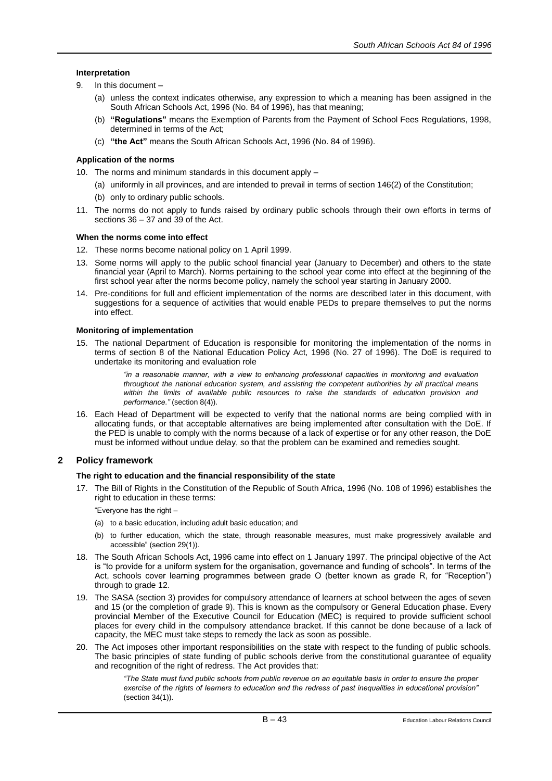# **Interpretation**

- 9. In this document
	- (a) unless the context indicates otherwise, any expression to which a meaning has been assigned in the South African Schools Act, 1996 (No. 84 of 1996), has that meaning;
	- (b) **"Regulations"** means the Exemption of Parents from the Payment of School Fees Regulations, 1998, determined in terms of the Act;
	- (c) **"the Act"** means the South African Schools Act, 1996 (No. 84 of 1996).

# **Application of the norms**

- 10. The norms and minimum standards in this document apply
	- (a) uniformly in all provinces, and are intended to prevail in terms of section 146(2) of the Constitution;
	- (b) only to ordinary public schools.
- 11. The norms do not apply to funds raised by ordinary public schools through their own efforts in terms of sections 36 – 37 and 39 of the Act.

# **When the norms come into effect**

- 12. These norms become national policy on 1 April 1999.
- 13. Some norms will apply to the public school financial year (January to December) and others to the state financial year (April to March). Norms pertaining to the school year come into effect at the beginning of the first school year after the norms become policy, namely the school year starting in January 2000.
- 14. Pre-conditions for full and efficient implementation of the norms are described later in this document, with suggestions for a sequence of activities that would enable PEDs to prepare themselves to put the norms into effect.

# **Monitoring of implementation**

15. The national Department of Education is responsible for monitoring the implementation of the norms in terms of section 8 of the National Education Policy Act, 1996 (No. 27 of 1996). The DoE is required to undertake its monitoring and evaluation role

> *"in a reasonable manner, with a view to enhancing professional capacities in monitoring and evaluation throughout the national education system, and assisting the competent authorities by all practical means*  within the limits of available public resources to raise the standards of education provision and *performance."* (section 8(4)).

16. Each Head of Department will be expected to verify that the national norms are being complied with in allocating funds, or that acceptable alternatives are being implemented after consultation with the DoE. If the PED is unable to comply with the norms because of a lack of expertise or for any other reason, the DoE must be informed without undue delay, so that the problem can be examined and remedies sought.

# **2 Policy framework**

# **The right to education and the financial responsibility of the state**

17. The Bill of Rights in the Constitution of the Republic of South Africa, 1996 (No. 108 of 1996) establishes the right to education in these terms:

"Everyone has the right –

- (a) to a basic education, including adult basic education; and
- (b) to further education, which the state, through reasonable measures, must make progressively available and accessible" (section 29(1)).
- 18. The South African Schools Act, 1996 came into effect on 1 January 1997. The principal objective of the Act is "to provide for a uniform system for the organisation, governance and funding of schools". In terms of the Act, schools cover learning programmes between grade O (better known as grade R, for "Reception") through to grade 12.
- 19. The SASA (section 3) provides for compulsory attendance of learners at school between the ages of seven and 15 (or the completion of grade 9). This is known as the compulsory or General Education phase. Every provincial Member of the Executive Council for Education (MEC) is required to provide sufficient school places for every child in the compulsory attendance bracket. If this cannot be done because of a lack of capacity, the MEC must take steps to remedy the lack as soon as possible.
- 20. The Act imposes other important responsibilities on the state with respect to the funding of public schools. The basic principles of state funding of public schools derive from the constitutional guarantee of equality and recognition of the right of redress. The Act provides that:

*"The State must fund public schools from public revenue on an equitable basis in order to ensure the proper exercise of the rights of learners to education and the redress of past inequalities in educational provision"*  (section 34(1)).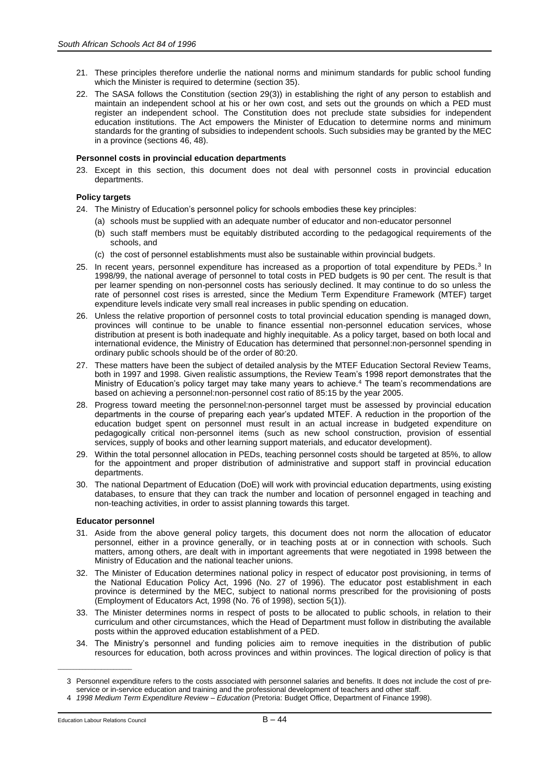- 21. These principles therefore underlie the national norms and minimum standards for public school funding which the Minister is required to determine (section 35).
- 22. The SASA follows the Constitution (section 29(3)) in establishing the right of any person to establish and maintain an independent school at his or her own cost, and sets out the grounds on which a PED must register an independent school. The Constitution does not preclude state subsidies for independent education institutions. The Act empowers the Minister of Education to determine norms and minimum standards for the granting of subsidies to independent schools. Such subsidies may be granted by the MEC in a province (sections 46, 48).

# **Personnel costs in provincial education departments**

23. Except in this section, this document does not deal with personnel costs in provincial education departments.

# **Policy targets**

- 24. The Ministry of Education's personnel policy for schools embodies these key principles:
	- (a) schools must be supplied with an adequate number of educator and non-educator personnel
	- (b) such staff members must be equitably distributed according to the pedagogical requirements of the schools, and
	- (c) the cost of personnel establishments must also be sustainable within provincial budgets.
- 25. In recent years, personnel expenditure has increased as a proportion of total expenditure by PEDs.<sup>3</sup> In 1998/99, the national average of personnel to total costs in PED budgets is 90 per cent. The result is that per learner spending on non-personnel costs has seriously declined. It may continue to do so unless the rate of personnel cost rises is arrested, since the Medium Term Expenditure Framework (MTEF) target expenditure levels indicate very small real increases in public spending on education.
- 26. Unless the relative proportion of personnel costs to total provincial education spending is managed down, provinces will continue to be unable to finance essential non-personnel education services, whose distribution at present is both inadequate and highly inequitable. As a policy target, based on both local and international evidence, the Ministry of Education has determined that personnel:non-personnel spending in ordinary public schools should be of the order of 80:20.
- 27. These matters have been the subject of detailed analysis by the MTEF Education Sectoral Review Teams, both in 1997 and 1998. Given realistic assumptions, the Review Team's 1998 report demonstrates that the Ministry of Education's policy target may take many years to achieve.<sup>4</sup> The team's recommendations are based on achieving a personnel:non-personnel cost ratio of 85:15 by the year 2005.
- 28. Progress toward meeting the personnel:non-personnel target must be assessed by provincial education departments in the course of preparing each year's updated MTEF. A reduction in the proportion of the education budget spent on personnel must result in an actual increase in budgeted expenditure on pedagogically critical non-personnel items (such as new school construction, provision of essential services, supply of books and other learning support materials, and educator development).
- 29. Within the total personnel allocation in PEDs, teaching personnel costs should be targeted at 85%, to allow for the appointment and proper distribution of administrative and support staff in provincial education departments.
- 30. The national Department of Education (DoE) will work with provincial education departments, using existing databases, to ensure that they can track the number and location of personnel engaged in teaching and non-teaching activities, in order to assist planning towards this target.

# **Educator personnel**

- 31. Aside from the above general policy targets, this document does not norm the allocation of educator personnel, either in a province generally, or in teaching posts at or in connection with schools. Such matters, among others, are dealt with in important agreements that were negotiated in 1998 between the Ministry of Education and the national teacher unions.
- 32. The Minister of Education determines national policy in respect of educator post provisioning, in terms of the National Education Policy Act, 1996 (No. 27 of 1996). The educator post establishment in each province is determined by the MEC, subject to national norms prescribed for the provisioning of posts (Employment of Educators Act, 1998 (No. 76 of 1998), section 5(1)).
- 33. The Minister determines norms in respect of posts to be allocated to public schools, in relation to their curriculum and other circumstances, which the Head of Department must follow in distributing the available posts within the approved education establishment of a PED.
- 34. The Ministry's personnel and funding policies aim to remove inequities in the distribution of public resources for education, both across provinces and within provinces. The logical direction of policy is that

\_\_\_\_\_\_\_\_\_\_\_\_\_\_\_\_\_\_\_\_\_\_\_\_

<sup>3</sup> Personnel expenditure refers to the costs associated with personnel salaries and benefits. It does not include the cost of preservice or in-service education and training and the professional development of teachers and other staff.

<sup>4</sup> *1998 Medium Term Expenditure Review – Education* (Pretoria: Budget Office, Department of Finance 1998).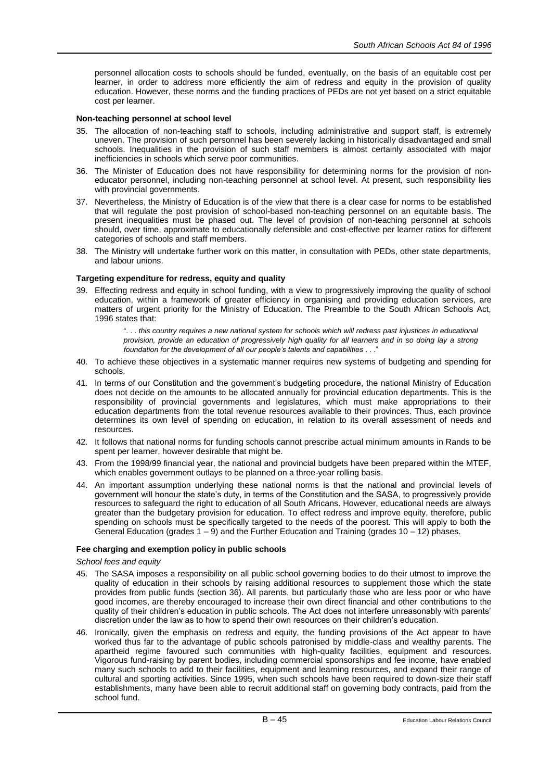personnel allocation costs to schools should be funded, eventually, on the basis of an equitable cost per learner, in order to address more efficiently the aim of redress and equity in the provision of quality education. However, these norms and the funding practices of PEDs are not yet based on a strict equitable cost per learner.

## **Non-teaching personnel at school level**

- 35. The allocation of non-teaching staff to schools, including administrative and support staff, is extremely uneven. The provision of such personnel has been severely lacking in historically disadvantaged and small schools. Inequalities in the provision of such staff members is almost certainly associated with major inefficiencies in schools which serve poor communities.
- 36. The Minister of Education does not have responsibility for determining norms for the provision of noneducator personnel, including non-teaching personnel at school level. At present, such responsibility lies with provincial governments.
- 37. Nevertheless, the Ministry of Education is of the view that there is a clear case for norms to be established that will regulate the post provision of school-based non-teaching personnel on an equitable basis. The present inequalities must be phased out. The level of provision of non-teaching personnel at schools should, over time, approximate to educationally defensible and cost-effective per learner ratios for different categories of schools and staff members.
- 38. The Ministry will undertake further work on this matter, in consultation with PEDs, other state departments, and labour unions.

## **Targeting expenditure for redress, equity and quality**

39. Effecting redress and equity in school funding, with a view to progressively improving the quality of school education, within a framework of greater efficiency in organising and providing education services, are matters of urgent priority for the Ministry of Education. The Preamble to the South African Schools Act, 1996 states that:

> ". . . *this country requires a new national system for schools which will redress past injustices in educational provision, provide an education of progressively high quality for all learners and in so doing lay a strong foundation for the development of all our people's talents and capabilities* . . .'

- 40. To achieve these objectives in a systematic manner requires new systems of budgeting and spending for schools.
- 41. In terms of our Constitution and the government's budgeting procedure, the national Ministry of Education does not decide on the amounts to be allocated annually for provincial education departments. This is the responsibility of provincial governments and legislatures, which must make appropriations to their education departments from the total revenue resources available to their provinces. Thus, each province determines its own level of spending on education, in relation to its overall assessment of needs and resources.
- 42. It follows that national norms for funding schools cannot prescribe actual minimum amounts in Rands to be spent per learner, however desirable that might be.
- 43. From the 1998/99 financial year, the national and provincial budgets have been prepared within the MTEF, which enables government outlays to be planned on a three-year rolling basis.
- 44. An important assumption underlying these national norms is that the national and provincial levels of government will honour the state's duty, in terms of the Constitution and the SASA, to progressively provide resources to safeguard the right to education of all South Africans. However, educational needs are always greater than the budgetary provision for education. To effect redress and improve equity, therefore, public spending on schools must be specifically targeted to the needs of the poorest. This will apply to both the General Education (grades 1 – 9) and the Further Education and Training (grades 10 – 12) phases.

# **Fee charging and exemption policy in public schools**

#### *School fees and equity*

- 45. The SASA imposes a responsibility on all public school governing bodies to do their utmost to improve the quality of education in their schools by raising additional resources to supplement those which the state provides from public funds (section 36). All parents, but particularly those who are less poor or who have good incomes, are thereby encouraged to increase their own direct financial and other contributions to the quality of their children's education in public schools. The Act does not interfere unreasonably with parents' discretion under the law as to how to spend their own resources on their children's education.
- 46. Ironically, given the emphasis on redress and equity, the funding provisions of the Act appear to have worked thus far to the advantage of public schools patronised by middle-class and wealthy parents. The apartheid regime favoured such communities with high-quality facilities, equipment and resources. Vigorous fund-raising by parent bodies, including commercial sponsorships and fee income, have enabled many such schools to add to their facilities, equipment and learning resources, and expand their range of cultural and sporting activities. Since 1995, when such schools have been required to down-size their staff establishments, many have been able to recruit additional staff on governing body contracts, paid from the school fund.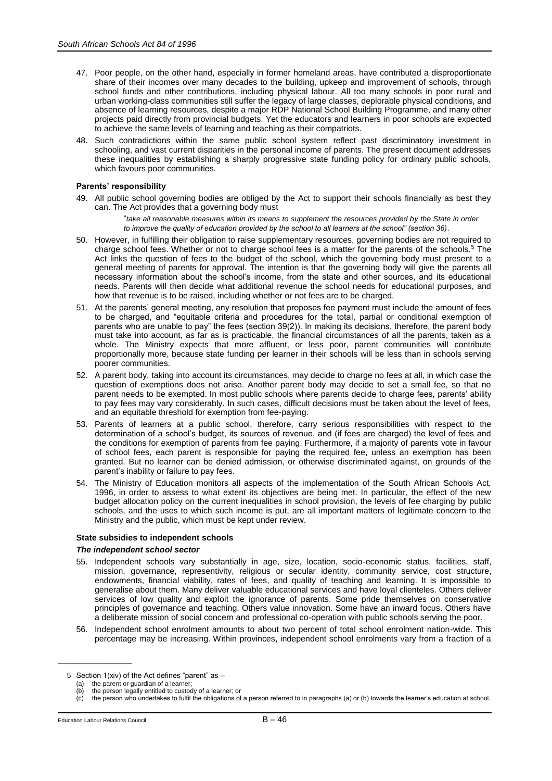- 47. Poor people, on the other hand, especially in former homeland areas, have contributed a disproportionate share of their incomes over many decades to the building, upkeep and improvement of schools, through school funds and other contributions, including physical labour. All too many schools in poor rural and urban working-class communities still suffer the legacy of large classes, deplorable physical conditions, and absence of learning resources, despite a major RDP National School Building Programme, and many other projects paid directly from provincial budgets. Yet the educators and learners in poor schools are expected to achieve the same levels of learning and teaching as their compatriots.
- 48. Such contradictions within the same public school system reflect past discriminatory investment in schooling, and vast current disparities in the personal income of parents. The present document addresses these inequalities by establishing a sharply progressive state funding policy for ordinary public schools, which favours poor communities.

# **Parents' responsibility**

- 49. All public school governing bodies are obliged by the Act to support their schools financially as best they can. The Act provides that a governing body must
	- "*take all reasonable measures within its means to supplement the resources provided by the State in order to improve the quality of education provided by the school to all learners at the school" (section 36)*.
- 50. However, in fulfilling their obligation to raise supplementary resources, governing bodies are not required to charge school fees. Whether or not to charge school fees is a matter for the parents of the schools.<sup>5</sup> The Act links the question of fees to the budget of the school, which the governing body must present to a general meeting of parents for approval. The intention is that the governing body will give the parents all necessary information about the school's income, from the state and other sources, and its educational needs. Parents will then decide what additional revenue the school needs for educational purposes, and how that revenue is to be raised, including whether or not fees are to be charged.
- 51. At the parents' general meeting, any resolution that proposes fee payment must include the amount of fees to be charged, and "equitable criteria and procedures for the total, partial or conditional exemption of parents who are unable to pay" the fees (section 39(2)). In making its decisions, therefore, the parent body must take into account, as far as is practicable, the financial circumstances of all the parents, taken as a whole. The Ministry expects that more affluent, or less poor, parent communities will contribute proportionally more, because state funding per learner in their schools will be less than in schools serving poorer communities.
- 52. A parent body, taking into account its circumstances, may decide to charge no fees at all, in which case the question of exemptions does not arise. Another parent body may decide to set a small fee, so that no parent needs to be exempted. In most public schools where parents decide to charge fees, parents' ability to pay fees may vary considerably. In such cases, difficult decisions must be taken about the level of fees, and an equitable threshold for exemption from fee-paying.
- 53. Parents of learners at a public school, therefore, carry serious responsibilities with respect to the determination of a school's budget, its sources of revenue, and (if fees are charged) the level of fees and the conditions for exemption of parents from fee paying. Furthermore, if a majority of parents vote in favour of school fees, each parent is responsible for paying the required fee, unless an exemption has been granted. But no learner can be denied admission, or otherwise discriminated against, on grounds of the parent's inability or failure to pay fees.
- 54. The Ministry of Education monitors all aspects of the implementation of the South African Schools Act, 1996, in order to assess to what extent its objectives are being met. In particular, the effect of the new budget allocation policy on the current inequalities in school provision, the levels of fee charging by public schools, and the uses to which such income is put, are all important matters of legitimate concern to the Ministry and the public, which must be kept under review.

## **State subsidies to independent schools**

## *The independent school sector*

- 55. Independent schools vary substantially in age, size, location, socio-economic status, facilities, staff, mission, governance, representivity, religious or secular identity, community service, cost structure, endowments, financial viability, rates of fees, and quality of teaching and learning. It is impossible to generalise about them. Many deliver valuable educational services and have loyal clienteles. Others deliver services of low quality and exploit the ignorance of parents. Some pride themselves on conservative principles of governance and teaching. Others value innovation. Some have an inward focus. Others have a deliberate mission of social concern and professional co-operation with public schools serving the poor.
- 56. Independent school enrolment amounts to about two percent of total school enrolment nation-wide. This percentage may be increasing. Within provinces, independent school enrolments vary from a fraction of a

\_\_\_\_\_\_\_\_\_\_\_\_\_\_\_\_\_\_\_\_\_\_\_\_

<sup>5</sup> Section 1(xiv) of the Act defines "parent" as –

<sup>(</sup>a) the parent or guardian of a learner;

<sup>(</sup>b) the person legally entitled to custody of a learner; or

<sup>(</sup>c) the person who undertakes to fulfil the obligations of a person referred to in paragraphs (a) or (b) towards the learner's education at school.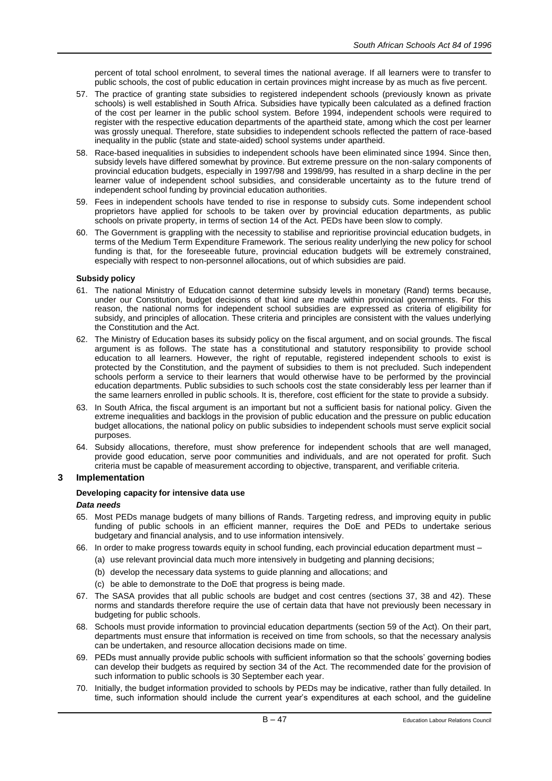percent of total school enrolment, to several times the national average. If all learners were to transfer to public schools, the cost of public education in certain provinces might increase by as much as five percent.

- 57. The practice of granting state subsidies to registered independent schools (previously known as private schools) is well established in South Africa. Subsidies have typically been calculated as a defined fraction of the cost per learner in the public school system. Before 1994, independent schools were required to register with the respective education departments of the apartheid state, among which the cost per learner was grossly unequal. Therefore, state subsidies to independent schools reflected the pattern of race-based inequality in the public (state and state-aided) school systems under apartheid.
- 58. Race-based inequalities in subsidies to independent schools have been eliminated since 1994. Since then, subsidy levels have differed somewhat by province. But extreme pressure on the non-salary components of provincial education budgets, especially in 1997/98 and 1998/99, has resulted in a sharp decline in the per learner value of independent school subsidies, and considerable uncertainty as to the future trend of independent school funding by provincial education authorities.
- 59. Fees in independent schools have tended to rise in response to subsidy cuts. Some independent school proprietors have applied for schools to be taken over by provincial education departments, as public schools on private property, in terms of section 14 of the Act. PEDs have been slow to comply.
- 60. The Government is grappling with the necessity to stabilise and reprioritise provincial education budgets, in terms of the Medium Term Expenditure Framework. The serious reality underlying the new policy for school funding is that, for the foreseeable future, provincial education budgets will be extremely constrained, especially with respect to non-personnel allocations, out of which subsidies are paid.

# **Subsidy policy**

- 61. The national Ministry of Education cannot determine subsidy levels in monetary (Rand) terms because, under our Constitution, budget decisions of that kind are made within provincial governments. For this reason, the national norms for independent school subsidies are expressed as criteria of eligibility for subsidy, and principles of allocation. These criteria and principles are consistent with the values underlying the Constitution and the Act.
- 62. The Ministry of Education bases its subsidy policy on the fiscal argument, and on social grounds. The fiscal argument is as follows. The state has a constitutional and statutory responsibility to provide school education to all learners. However, the right of reputable, registered independent schools to exist is protected by the Constitution, and the payment of subsidies to them is not precluded. Such independent schools perform a service to their learners that would otherwise have to be performed by the provincial education departments. Public subsidies to such schools cost the state considerably less per learner than if the same learners enrolled in public schools. It is, therefore, cost efficient for the state to provide a subsidy.
- 63. In South Africa, the fiscal argument is an important but not a sufficient basis for national policy. Given the extreme inequalities and backlogs in the provision of public education and the pressure on public education budget allocations, the national policy on public subsidies to independent schools must serve explicit social purposes.
- 64. Subsidy allocations, therefore, must show preference for independent schools that are well managed, provide good education, serve poor communities and individuals, and are not operated for profit. Such criteria must be capable of measurement according to objective, transparent, and verifiable criteria.

# **3 Implementation**

# **Developing capacity for intensive data use**

## *Data needs*

- 65. Most PEDs manage budgets of many billions of Rands. Targeting redress, and improving equity in public funding of public schools in an efficient manner, requires the DoE and PEDs to undertake serious budgetary and financial analysis, and to use information intensively.
- 66. In order to make progress towards equity in school funding, each provincial education department must
	- (a) use relevant provincial data much more intensively in budgeting and planning decisions;
	- (b) develop the necessary data systems to guide planning and allocations; and
	- (c) be able to demonstrate to the DoE that progress is being made.
- 67. The SASA provides that all public schools are budget and cost centres (sections 37, 38 and 42). These norms and standards therefore require the use of certain data that have not previously been necessary in budgeting for public schools.
- 68. Schools must provide information to provincial education departments (section 59 of the Act). On their part, departments must ensure that information is received on time from schools, so that the necessary analysis can be undertaken, and resource allocation decisions made on time.
- 69. PEDs must annually provide public schools with sufficient information so that the schools' governing bodies can develop their budgets as required by section 34 of the Act. The recommended date for the provision of such information to public schools is 30 September each year.
- 70. Initially, the budget information provided to schools by PEDs may be indicative, rather than fully detailed. In time, such information should include the current year's expenditures at each school, and the guideline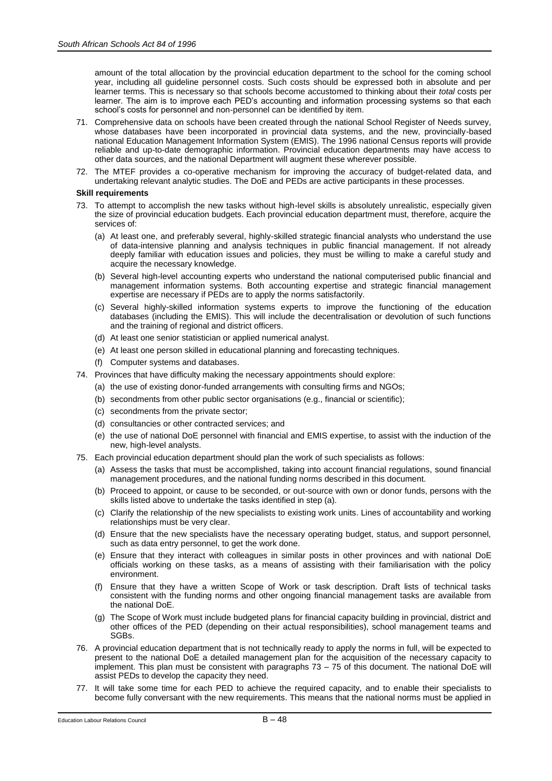amount of the total allocation by the provincial education department to the school for the coming school year, including all guideline personnel costs. Such costs should be expressed both in absolute and per learner terms. This is necessary so that schools become accustomed to thinking about their *total* costs per learner. The aim is to improve each PED's accounting and information processing systems so that each school's costs for personnel and non-personnel can be identified by item.

- 71. Comprehensive data on schools have been created through the national School Register of Needs survey, whose databases have been incorporated in provincial data systems, and the new, provincially-based national Education Management Information System (EMIS). The 1996 national Census reports will provide reliable and up-to-date demographic information. Provincial education departments may have access to other data sources, and the national Department will augment these wherever possible.
- 72. The MTEF provides a co-operative mechanism for improving the accuracy of budget-related data, and undertaking relevant analytic studies. The DoE and PEDs are active participants in these processes.

# **Skill requirements**

- 73. To attempt to accomplish the new tasks without high-level skills is absolutely unrealistic, especially given the size of provincial education budgets. Each provincial education department must, therefore, acquire the services of:
	- (a) At least one, and preferably several, highly-skilled strategic financial analysts who understand the use of data-intensive planning and analysis techniques in public financial management. If not already deeply familiar with education issues and policies, they must be willing to make a careful study and acquire the necessary knowledge.
	- (b) Several high-level accounting experts who understand the national computerised public financial and management information systems. Both accounting expertise and strategic financial management expertise are necessary if PEDs are to apply the norms satisfactorily.
	- (c) Several highly-skilled information systems experts to improve the functioning of the education databases (including the EMIS). This will include the decentralisation or devolution of such functions and the training of regional and district officers.
	- (d) At least one senior statistician or applied numerical analyst.
	- (e) At least one person skilled in educational planning and forecasting techniques.
	- (f) Computer systems and databases.
- 74. Provinces that have difficulty making the necessary appointments should explore:
	- (a) the use of existing donor-funded arrangements with consulting firms and NGOs;
	- (b) secondments from other public sector organisations (e.g., financial or scientific);
	- (c) secondments from the private sector;
	- (d) consultancies or other contracted services; and
	- (e) the use of national DoE personnel with financial and EMIS expertise, to assist with the induction of the new, high-level analysts.
- 75. Each provincial education department should plan the work of such specialists as follows:
	- (a) Assess the tasks that must be accomplished, taking into account financial regulations, sound financial management procedures, and the national funding norms described in this document.
	- (b) Proceed to appoint, or cause to be seconded, or out-source with own or donor funds, persons with the skills listed above to undertake the tasks identified in step (a).
	- (c) Clarify the relationship of the new specialists to existing work units. Lines of accountability and working relationships must be very clear.
	- (d) Ensure that the new specialists have the necessary operating budget, status, and support personnel, such as data entry personnel, to get the work done.
	- (e) Ensure that they interact with colleagues in similar posts in other provinces and with national DoE officials working on these tasks, as a means of assisting with their familiarisation with the policy environment.
	- (f) Ensure that they have a written Scope of Work or task description. Draft lists of technical tasks consistent with the funding norms and other ongoing financial management tasks are available from the national DoE.
	- (g) The Scope of Work must include budgeted plans for financial capacity building in provincial, district and other offices of the PED (depending on their actual responsibilities), school management teams and SGBs.
- 76. A provincial education department that is not technically ready to apply the norms in full, will be expected to present to the national DoE a detailed management plan for the acquisition of the necessary capacity to implement. This plan must be consistent with paragraphs 73 – 75 of this document. The national DoE will assist PEDs to develop the capacity they need.
- 77. It will take some time for each PED to achieve the required capacity, and to enable their specialists to become fully conversant with the new requirements. This means that the national norms must be applied in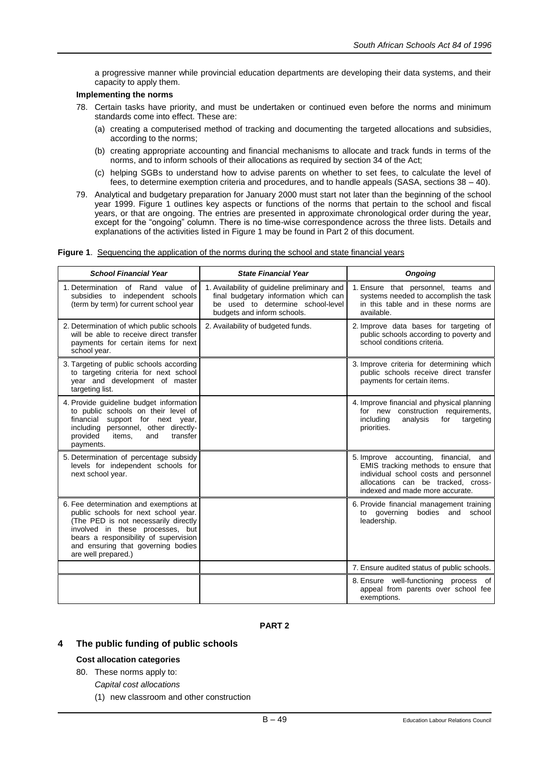a progressive manner while provincial education departments are developing their data systems, and their capacity to apply them.

# **Implementing the norms**

- 78. Certain tasks have priority, and must be undertaken or continued even before the norms and minimum standards come into effect. These are:
	- (a) creating a computerised method of tracking and documenting the targeted allocations and subsidies, according to the norms;
	- (b) creating appropriate accounting and financial mechanisms to allocate and track funds in terms of the norms, and to inform schools of their allocations as required by section 34 of the Act;
	- (c) helping SGBs to understand how to advise parents on whether to set fees, to calculate the level of fees, to determine exemption criteria and procedures, and to handle appeals (SASA, sections 38 – 40).
- 79. Analytical and budgetary preparation for January 2000 must start not later than the beginning of the school year 1999. Figure 1 outlines key aspects or functions of the norms that pertain to the school and fiscal years, or that are ongoing. The entries are presented in approximate chronological order during the year, except for the "ongoing" column. There is no time-wise correspondence across the three lists. Details and explanations of the activities listed in Figure 1 may be found in Part 2 of this document.

#### **Figure 1**. Sequencing the application of the norms during the school and state financial years

| <b>School Financial Year</b>                                                                                                                                                                                                                                     | <b>State Financial Year</b>                                                                                                                               | <b>Ongoing</b>                                                                                                                                                                                     |
|------------------------------------------------------------------------------------------------------------------------------------------------------------------------------------------------------------------------------------------------------------------|-----------------------------------------------------------------------------------------------------------------------------------------------------------|----------------------------------------------------------------------------------------------------------------------------------------------------------------------------------------------------|
| 1. Determination of Rand value of<br>subsidies to independent schools<br>(term by term) for current school year                                                                                                                                                  | 1. Availability of guideline preliminary and<br>final budgetary information which can<br>be used to determine school-level<br>budgets and inform schools. | 1. Ensure that personnel, teams and<br>systems needed to accomplish the task<br>in this table and in these norms are<br>available.                                                                 |
| 2. Determination of which public schools<br>will be able to receive direct transfer<br>payments for certain items for next<br>school year.                                                                                                                       | 2. Availability of budgeted funds.                                                                                                                        | 2. Improve data bases for targeting of<br>public schools according to poverty and<br>school conditions criteria.                                                                                   |
| 3. Targeting of public schools according<br>to targeting criteria for next school<br>year and development of master<br>targeting list.                                                                                                                           |                                                                                                                                                           | 3. Improve criteria for determining which<br>public schools receive direct transfer<br>payments for certain items.                                                                                 |
| 4. Provide guideline budget information<br>to public schools on their level of<br>support for next year,<br>financial<br>including personnel, other directly-<br>transfer<br>provided<br>items.<br>and<br>payments.                                              |                                                                                                                                                           | 4. Improve financial and physical planning<br>for new construction requirements,<br>including<br>analysis<br>targeting<br>for<br>priorities.                                                       |
| 5. Determination of percentage subsidy<br>levels for independent schools for<br>next school year.                                                                                                                                                                |                                                                                                                                                           | 5. Improve accounting, financial,<br>and<br>EMIS tracking methods to ensure that<br>individual school costs and personnel<br>allocations can be tracked, cross-<br>indexed and made more accurate. |
| 6. Fee determination and exemptions at<br>public schools for next school year.<br>(The PED is not necessarily directly<br>involved in these processes, but<br>bears a responsibility of supervision<br>and ensuring that governing bodies<br>are well prepared.) |                                                                                                                                                           | 6. Provide financial management training<br>to governing<br>bodies and<br>school<br>leadership.                                                                                                    |
|                                                                                                                                                                                                                                                                  |                                                                                                                                                           | 7. Ensure audited status of public schools.                                                                                                                                                        |
|                                                                                                                                                                                                                                                                  |                                                                                                                                                           | 8. Ensure well-functioning process of<br>appeal from parents over school fee<br>exemptions.                                                                                                        |

**PART 2**

# **4 The public funding of public schools**

## **Cost allocation categories**

- 80. These norms apply to:
	- *Capital cost allocations*
	- (1) new classroom and other construction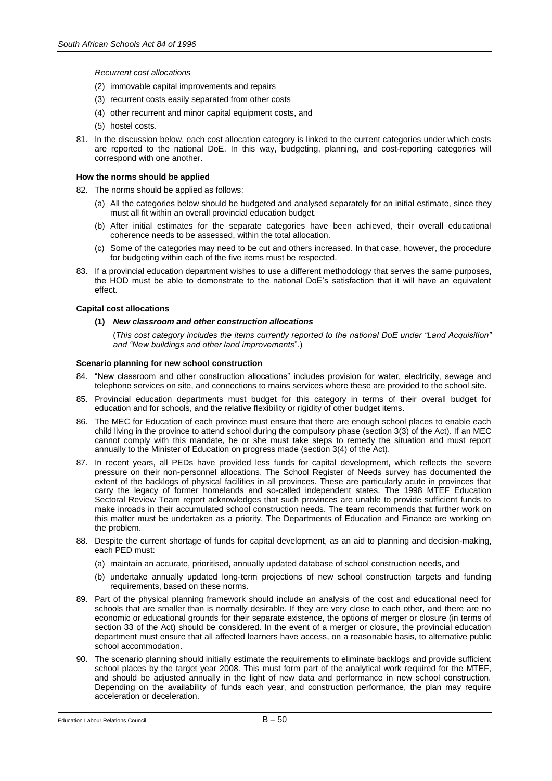*Recurrent cost allocations*

- (2) immovable capital improvements and repairs
- (3) recurrent costs easily separated from other costs
- (4) other recurrent and minor capital equipment costs, and
- (5) hostel costs.
- 81. In the discussion below, each cost allocation category is linked to the current categories under which costs are reported to the national DoE. In this way, budgeting, planning, and cost-reporting categories will correspond with one another.

## **How the norms should be applied**

- 82. The norms should be applied as follows:
	- (a) All the categories below should be budgeted and analysed separately for an initial estimate, since they must all fit within an overall provincial education budget.
	- (b) After initial estimates for the separate categories have been achieved, their overall educational coherence needs to be assessed, within the total allocation.
	- (c) Some of the categories may need to be cut and others increased. In that case, however, the procedure for budgeting within each of the five items must be respected.
- 83. If a provincial education department wishes to use a different methodology that serves the same purposes, the HOD must be able to demonstrate to the national DoE's satisfaction that it will have an equivalent effect.

# **Capital cost allocations**

# **(1)** *New classroom and other construction allocations*

(*This cost category includes the items currently reported to the national DoE under "Land Acquisition" and "New buildings and other land improvements*".)

## **Scenario planning for new school construction**

- 84. "New classroom and other construction allocations" includes provision for water, electricity, sewage and telephone services on site, and connections to mains services where these are provided to the school site.
- 85. Provincial education departments must budget for this category in terms of their overall budget for education and for schools, and the relative flexibility or rigidity of other budget items.
- 86. The MEC for Education of each province must ensure that there are enough school places to enable each child living in the province to attend school during the compulsory phase (section 3(3) of the Act). If an MEC cannot comply with this mandate, he or she must take steps to remedy the situation and must report annually to the Minister of Education on progress made (section 3(4) of the Act).
- 87. In recent years, all PEDs have provided less funds for capital development, which reflects the severe pressure on their non-personnel allocations. The School Register of Needs survey has documented the extent of the backlogs of physical facilities in all provinces. These are particularly acute in provinces that carry the legacy of former homelands and so-called independent states. The 1998 MTEF Education Sectoral Review Team report acknowledges that such provinces are unable to provide sufficient funds to make inroads in their accumulated school construction needs. The team recommends that further work on this matter must be undertaken as a priority. The Departments of Education and Finance are working on the problem.
- 88. Despite the current shortage of funds for capital development, as an aid to planning and decision-making, each PED must:
	- (a) maintain an accurate, prioritised, annually updated database of school construction needs, and
	- (b) undertake annually updated long-term projections of new school construction targets and funding requirements, based on these norms.
- 89. Part of the physical planning framework should include an analysis of the cost and educational need for schools that are smaller than is normally desirable. If they are very close to each other, and there are no economic or educational grounds for their separate existence, the options of merger or closure (in terms of section 33 of the Act) should be considered. In the event of a merger or closure, the provincial education department must ensure that all affected learners have access, on a reasonable basis, to alternative public school accommodation.
- 90. The scenario planning should initially estimate the requirements to eliminate backlogs and provide sufficient school places by the target year 2008. This must form part of the analytical work required for the MTEF, and should be adjusted annually in the light of new data and performance in new school construction. Depending on the availability of funds each year, and construction performance, the plan may require acceleration or deceleration.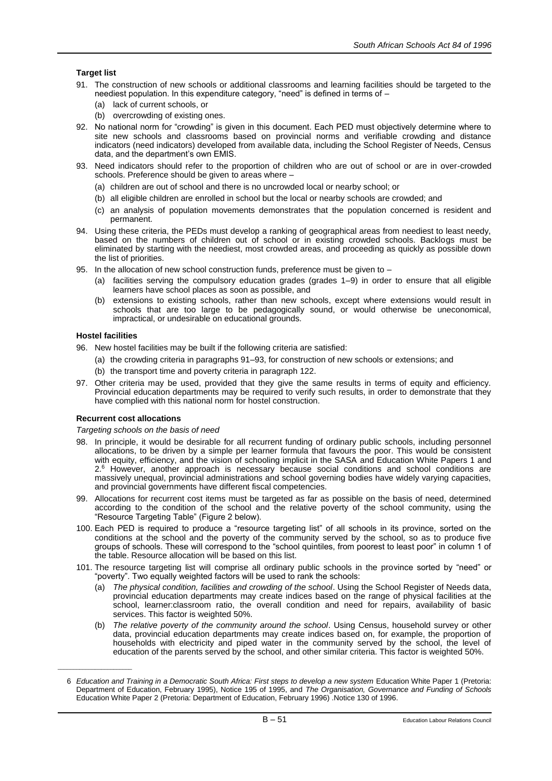# **Target list**

- 91. The construction of new schools or additional classrooms and learning facilities should be targeted to the neediest population. In this expenditure category, "need" is defined in terms of –
	- (a) lack of current schools, or
	- (b) overcrowding of existing ones.
- 92. No national norm for "crowding" is given in this document. Each PED must objectively determine where to site new schools and classrooms based on provincial norms and verifiable crowding and distance indicators (need indicators) developed from available data, including the School Register of Needs, Census data, and the department's own EMIS.
- 93. Need indicators should refer to the proportion of children who are out of school or are in over-crowded schools. Preference should be given to areas where –
	- (a) children are out of school and there is no uncrowded local or nearby school; or
	- (b) all eligible children are enrolled in school but the local or nearby schools are crowded; and
	- (c) an analysis of population movements demonstrates that the population concerned is resident and permanent.
- 94. Using these criteria, the PEDs must develop a ranking of geographical areas from neediest to least needy, based on the numbers of children out of school or in existing crowded schools. Backlogs must be eliminated by starting with the neediest, most crowded areas, and proceeding as quickly as possible down the list of priorities.
- 95. In the allocation of new school construction funds, preference must be given to
	- (a) facilities serving the compulsory education grades (grades 1–9) in order to ensure that all eligible learners have school places as soon as possible, and
	- (b) extensions to existing schools, rather than new schools, except where extensions would result in schools that are too large to be pedagogically sound, or would otherwise be uneconomical, impractical, or undesirable on educational grounds.

# **Hostel facilities**

\_\_\_\_\_\_\_\_\_\_\_\_\_\_\_\_\_\_\_\_\_\_\_\_

- 96. New hostel facilities may be built if the following criteria are satisfied:
	- (a) the crowding criteria in paragraphs 91–93, for construction of new schools or extensions; and
	- (b) the transport time and poverty criteria in paragraph 122.
- 97. Other criteria may be used, provided that they give the same results in terms of equity and efficiency. Provincial education departments may be required to verify such results, in order to demonstrate that they have complied with this national norm for hostel construction.

# **Recurrent cost allocations**

## *Targeting schools on the basis of need*

- 98. In principle, it would be desirable for all recurrent funding of ordinary public schools, including personnel allocations, to be driven by a simple per learner formula that favours the poor. This would be consistent with equity, efficiency, and the vision of schooling implicit in the SASA and Education White Papers 1 and 2.<sup>6</sup> However, another approach is necessary because social conditions and school conditions are massively unequal, provincial administrations and school governing bodies have widely varying capacities, and provincial governments have different fiscal competencies.
- 99. Allocations for recurrent cost items must be targeted as far as possible on the basis of need, determined according to the condition of the school and the relative poverty of the school community, using the "Resource Targeting Table" (Figure 2 below).
- 100. Each PED is required to produce a "resource targeting list" of all schools in its province, sorted on the conditions at the school and the poverty of the community served by the school, so as to produce five groups of schools. These will correspond to the "school quintiles, from poorest to least poor" in column 1 of the table. Resource allocation will be based on this list.
- 101. The resource targeting list will comprise all ordinary public schools in the province sorted by "need" or "poverty". Two equally weighted factors will be used to rank the schools:
	- (a) *The physical condition, facilities and crowding of the school*. Using the School Register of Needs data, provincial education departments may create indices based on the range of physical facilities at the school, learner:classroom ratio, the overall condition and need for repairs, availability of basic services. This factor is weighted 50%.
	- (b) *The relative poverty of the community around the school*. Using Census, household survey or other data, provincial education departments may create indices based on, for example, the proportion of households with electricity and piped water in the community served by the school, the level of education of the parents served by the school, and other similar criteria. This factor is weighted 50%.

<sup>6</sup> *Education and Training in a Democratic South Africa: First steps to develop a new system* Education White Paper 1 (Pretoria: Department of Education, February 1995), Notice 195 of 1995, and *The Organisation, Governance and Funding of Schools*  Education White Paper 2 (Pretoria: Department of Education, February 1996) .Notice 130 of 1996.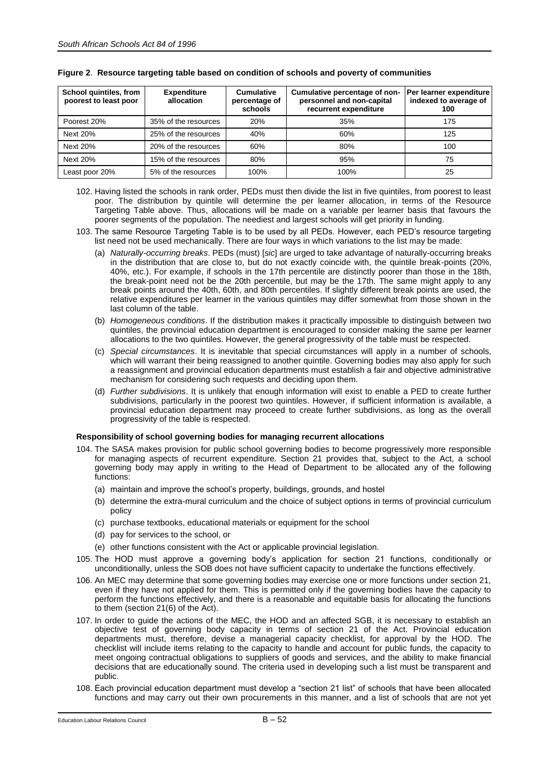| School quintiles, from<br>poorest to least poor | <b>Expenditure</b><br>allocation | <b>Cumulative</b><br>percentage of<br>schools | Cumulative percentage of non-<br>personnel and non-capital<br>recurrent expenditure | Per learner expenditure<br>indexed to average of<br>100 |
|-------------------------------------------------|----------------------------------|-----------------------------------------------|-------------------------------------------------------------------------------------|---------------------------------------------------------|
| Poorest 20%                                     | 35% of the resources             | 20%                                           | 35%                                                                                 | 175                                                     |
| Next 20%                                        | 25% of the resources             | 40%                                           | 60%                                                                                 | 125                                                     |
| Next 20%                                        | 20% of the resources             | 60%                                           | 80%                                                                                 | 100                                                     |
| Next 20%                                        | 15% of the resources             | 80%                                           | 95%                                                                                 | 75                                                      |
| Least poor 20%                                  | 5% of the resources              | 100%                                          | 100%                                                                                | 25                                                      |

# **Figure 2**. **Resource targeting table based on condition of schools and poverty of communities**

- 102. Having listed the schools in rank order, PEDs must then divide the list in five quintiles, from poorest to least poor. The distribution by quintile will determine the per learner allocation, in terms of the Resource Targeting Table above. Thus, allocations will be made on a variable per learner basis that favours the poorer segments of the population. The neediest and largest schools will get priority in funding.
- 103. The same Resource Targeting Table is to be used by all PEDs. However, each PED's resource targeting list need not be used mechanically. There are four ways in which variations to the list may be made:
	- (a) *Naturally-occurring breaks*. PEDs (must) [*sic*] are urged to take advantage of naturally-occurring breaks in the distribution that are close to, but do not exactly coincide with, the quintile break-points (20%, 40%, etc.). For example, if schools in the 17th percentile are distinctly poorer than those in the 18th, the break-point need not be the 20th percentile, but may be the 17th. The same might apply to any break points around the 40th, 60th, and 80th percentiles. If slightly different break points are used, the relative expenditures per learner in the various quintiles may differ somewhat from those shown in the last column of the table.
	- (b) *Homogeneous conditions*. If the distribution makes it practically impossible to distinguish between two quintiles, the provincial education department is encouraged to consider making the same per learner allocations to the two quintiles. However, the general progressivity of the table must be respected.
	- (c) *Special circumstances*. It is inevitable that special circumstances will apply in a number of schools, which will warrant their being reassigned to another quintile. Governing bodies may also apply for such a reassignment and provincial education departments must establish a fair and objective administrative mechanism for considering such requests and deciding upon them.
	- (d) *Further subdivisions*. It is unlikely that enough information will exist to enable a PED to create further subdivisions, particularly in the poorest two quintiles. However, if sufficient information is available, a provincial education department may proceed to create further subdivisions, as long as the overall progressivity of the table is respected.

# **Responsibility of school governing bodies for managing recurrent allocations**

- 104. The SASA makes provision for public school governing bodies to become progressively more responsible for managing aspects of recurrent expenditure. Section 21 provides that, subject to the Act, a school governing body may apply in writing to the Head of Department to be allocated any of the following functions:
	- (a) maintain and improve the school's property, buildings, grounds, and hostel
	- (b) determine the extra-mural curriculum and the choice of subject options in terms of provincial curriculum policy
	- (c) purchase textbooks, educational materials or equipment for the school
	- (d) pay for services to the school, or
	- (e) other functions consistent with the Act or applicable provincial legislation.
- 105. The HOD must approve a governing body's application for section 21 functions, conditionally or unconditionally, unless the SOB does not have sufficient capacity to undertake the functions effectively.
- 106. An MEC may determine that some governing bodies may exercise one or more functions under section 21, even if they have not applied for them. This is permitted only if the governing bodies have the capacity to perform the functions effectively, and there is a reasonable and equitable basis for allocating the functions to them (section 21(6) of the Act).
- 107. In order to guide the actions of the MEC, the HOD and an affected SGB, it is necessary to establish an objective test of governing body capacity in terms of section 21 of the Act. Provincial education departments must, therefore, devise a managerial capacity checklist, for approval by the HOD. The checklist will include items relating to the capacity to handle and account for public funds, the capacity to meet ongoing contractual obligations to suppliers of goods and services, and the ability to make financial decisions that are educationally sound. The criteria used in developing such a list must be transparent and public.
- 108. Each provincial education department must develop a "section 21 list" of schools that have been allocated functions and may carry out their own procurements in this manner, and a list of schools that are not yet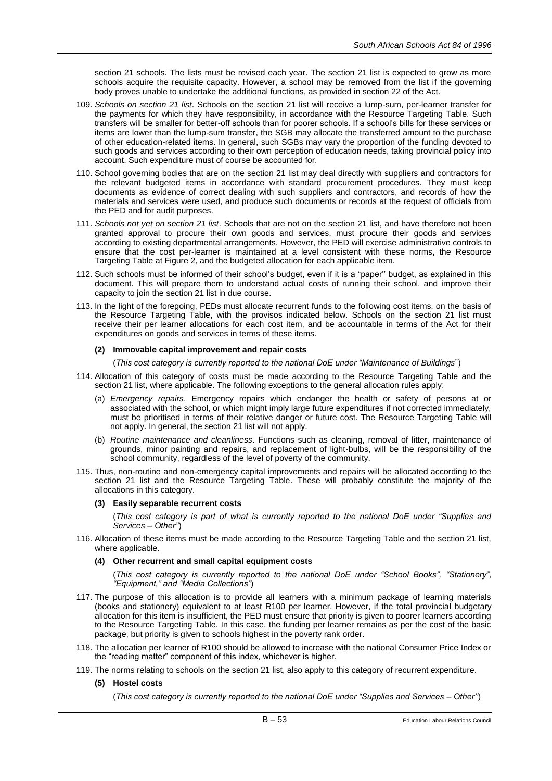section 21 schools. The lists must be revised each year. The section 21 list is expected to grow as more schools acquire the requisite capacity. However, a school may be removed from the list if the governing body proves unable to undertake the additional functions, as provided in section 22 of the Act.

- 109. *Schools on section 21 list*. Schools on the section 21 list will receive a lump-sum, per-learner transfer for the payments for which they have responsibility, in accordance with the Resource Targeting Table. Such transfers will be smaller for better-off schools than for poorer schools. If a school's bills for these services or items are lower than the lump-sum transfer, the SGB may allocate the transferred amount to the purchase of other education-related items. In general, such SGBs may vary the proportion of the funding devoted to such goods and services according to their own perception of education needs, taking provincial policy into account. Such expenditure must of course be accounted for.
- 110. School governing bodies that are on the section 21 list may deal directly with suppliers and contractors for the relevant budgeted items in accordance with standard procurement procedures. They must keep documents as evidence of correct dealing with such suppliers and contractors, and records of how the materials and services were used, and produce such documents or records at the request of officials from the PED and for audit purposes.
- 111. *Schools not yet on section 21 list*. Schools that are not on the section 21 list, and have therefore not been granted approval to procure their own goods and services, must procure their goods and services according to existing departmental arrangements. However, the PED will exercise administrative controls to ensure that the cost per-learner is maintained at a level consistent with these norms, the Resource Targeting Table at Figure 2, and the budgeted allocation for each applicable item.
- 112. Such schools must be informed of their school's budget, even if it is a "paper'' budget, as explained in this document. This will prepare them to understand actual costs of running their school, and improve their capacity to join the section 21 list in due course.
- 113. In the light of the foregoing, PEDs must allocate recurrent funds to the following cost items, on the basis of the Resource Targeting Table, with the provisos indicated below. Schools on the section 21 list must receive their per learner allocations for each cost item, and be accountable in terms of the Act for their expenditures on goods and services in terms of these items.

# **(2) Immovable capital improvement and repair costs**

(*This cost category is currently reported to the national DoE under "Maintenance of Buildings*")

- 114. Allocation of this category of costs must be made according to the Resource Targeting Table and the section 21 list, where applicable. The following exceptions to the general allocation rules apply:
	- (a) *Emergency repairs*. Emergency repairs which endanger the health or safety of persons at or associated with the school, or which might imply large future expenditures if not corrected immediately, must be prioritised in terms of their relative danger or future cost. The Resource Targeting Table will not apply. In general, the section 21 list will not apply.
	- (b) *Routine maintenance and cleanliness*. Functions such as cleaning, removal of litter, maintenance of grounds, minor painting and repairs, and replacement of light-bulbs, will be the responsibility of the school community, regardless of the level of poverty of the community.
- 115. Thus, non-routine and non-emergency capital improvements and repairs will be allocated according to the section 21 list and the Resource Targeting Table. These will probably constitute the majority of the allocations in this category.

## **(3) Easily separable recurrent costs**

(*This cost category is part of what is currently reported to the national DoE under "Supplies and Services – Other''*)

116. Allocation of these items must be made according to the Resource Targeting Table and the section 21 list, where applicable.

# **(4) Other recurrent and small capital equipment costs**

(*This cost category is currently reported to the national DoE under "School Books", "Stationery", "Equipment," and "Media Collections"*)

- 117. The purpose of this allocation is to provide all learners with a minimum package of learning materials (books and stationery) equivalent to at least R100 per learner. However, if the total provincial budgetary allocation for this item is insufficient, the PED must ensure that priority is given to poorer learners according to the Resource Targeting Table. In this case, the funding per learner remains as per the cost of the basic package, but priority is given to schools highest in the poverty rank order.
- 118. The allocation per learner of R100 should be allowed to increase with the national Consumer Price Index or the "reading matter" component of this index, whichever is higher.
- 119. The norms relating to schools on the section 21 list, also apply to this category of recurrent expenditure.
	- **(5) Hostel costs**

(*This cost category is currently reported to the national DoE under "Supplies and Services – Other''*)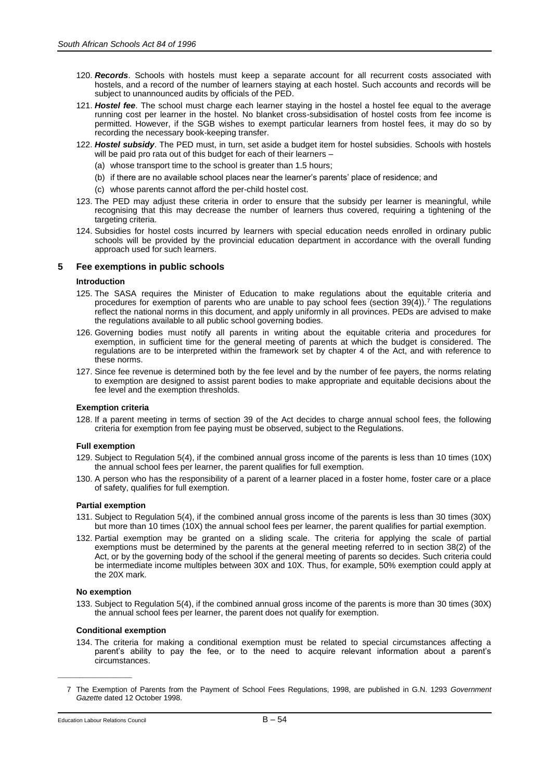- 120. *Records*. Schools with hostels must keep a separate account for all recurrent costs associated with hostels, and a record of the number of learners staying at each hostel. Such accounts and records will be subject to unannounced audits by officials of the PED.
- 121. *Hostel fee*. The school must charge each learner staying in the hostel a hostel fee equal to the average running cost per learner in the hostel. No blanket cross-subsidisation of hostel costs from fee income is permitted. However, if the SGB wishes to exempt particular learners from hostel fees, it may do so by recording the necessary book-keeping transfer.
- 122. *Hostel subsidy*. The PED must, in turn, set aside a budget item for hostel subsidies. Schools with hostels will be paid pro rata out of this budget for each of their learners –
	- (a) whose transport time to the school is greater than 1.5 hours;
	- (b) if there are no available school places near the learner's parents' place of residence; and
	- (c) whose parents cannot afford the per-child hostel cost.
- 123. The PED may adjust these criteria in order to ensure that the subsidy per learner is meaningful, while recognising that this may decrease the number of learners thus covered, requiring a tightening of the targeting criteria.
- 124. Subsidies for hostel costs incurred by learners with special education needs enrolled in ordinary public schools will be provided by the provincial education department in accordance with the overall funding approach used for such learners.

# **5 Fee exemptions in public schools**

## **Introduction**

- 125. The SASA requires the Minister of Education to make regulations about the equitable criteria and procedures for exemption of parents who are unable to pay school fees (section 39(4)).<sup>7</sup> The regulations reflect the national norms in this document, and apply uniformly in all provinces. PEDs are advised to make the regulations available to all public school governing bodies.
- 126. Governing bodies must notify all parents in writing about the equitable criteria and procedures for exemption, in sufficient time for the general meeting of parents at which the budget is considered. The regulations are to be interpreted within the framework set by chapter 4 of the Act, and with reference to these norms.
- 127. Since fee revenue is determined both by the fee level and by the number of fee payers, the norms relating to exemption are designed to assist parent bodies to make appropriate and equitable decisions about the fee level and the exemption thresholds.

## **Exemption criteria**

128. If a parent meeting in terms of section 39 of the Act decides to charge annual school fees, the following criteria for exemption from fee paying must be observed, subject to the Regulations.

## **Full exemption**

- 129. Subject to Regulation 5(4), if the combined annual gross income of the parents is less than 10 times (10X) the annual school fees per learner, the parent qualifies for full exemption.
- 130. A person who has the responsibility of a parent of a learner placed in a foster home, foster care or a place of safety, qualifies for full exemption.

# **Partial exemption**

- 131. Subject to Regulation 5(4), if the combined annual gross income of the parents is less than 30 times (30X) but more than 10 times (10X) the annual school fees per learner, the parent qualifies for partial exemption.
- 132. Partial exemption may be granted on a sliding scale. The criteria for applying the scale of partial exemptions must be determined by the parents at the general meeting referred to in section 38(2) of the Act, or by the governing body of the school if the general meeting of parents so decides. Such criteria could be intermediate income multiples between 30X and 10X. Thus, for example, 50% exemption could apply at the 20X mark.

# **No exemption**

133. Subject to Regulation 5(4), if the combined annual gross income of the parents is more than 30 times (30X) the annual school fees per learner, the parent does not qualify for exemption.

## **Conditional exemption**

134. The criteria for making a conditional exemption must be related to special circumstances affecting a parent's ability to pay the fee, or to the need to acquire relevant information about a parent's circumstances.

\_\_\_\_\_\_\_\_\_\_\_\_\_\_\_\_\_\_\_\_\_\_\_\_

<sup>7</sup> The Exemption of Parents from the Payment of School Fees Regulations, 1998, are published in G.N. 1293 *Government Gazett*e dated 12 October 1998.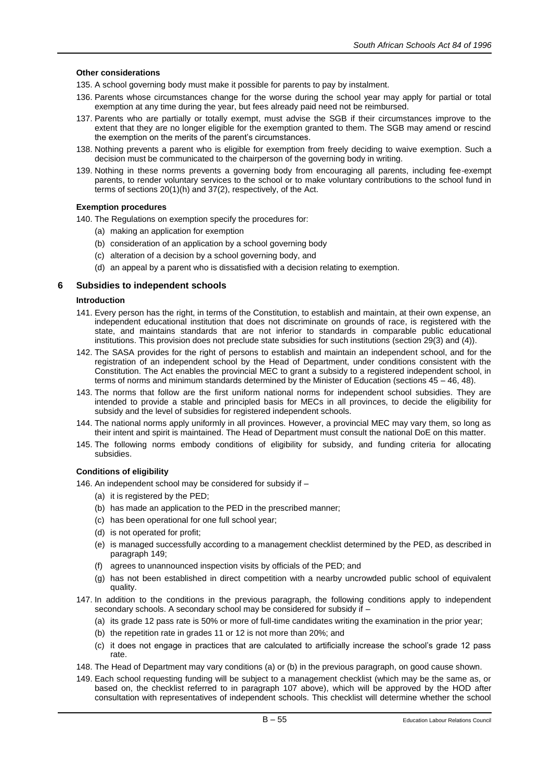# **Other considerations**

- 135. A school governing body must make it possible for parents to pay by instalment.
- 136. Parents whose circumstances change for the worse during the school year may apply for partial or total exemption at any time during the year, but fees already paid need not be reimbursed.
- 137. Parents who are partially or totally exempt, must advise the SGB if their circumstances improve to the extent that they are no longer eligible for the exemption granted to them. The SGB may amend or rescind the exemption on the merits of the parent's circumstances.
- 138. Nothing prevents a parent who is eligible for exemption from freely deciding to waive exemption. Such a decision must be communicated to the chairperson of the governing body in writing.
- 139. Nothing in these norms prevents a governing body from encouraging all parents, including fee-exempt parents, to render voluntary services to the school or to make voluntary contributions to the school fund in terms of sections 20(1)(h) and 37(2), respectively, of the Act.

# **Exemption procedures**

140. The Regulations on exemption specify the procedures for:

- (a) making an application for exemption
- (b) consideration of an application by a school governing body
- (c) alteration of a decision by a school governing body, and
- (d) an appeal by a parent who is dissatisfied with a decision relating to exemption.

# **6 Subsidies to independent schools**

# **Introduction**

- 141. Every person has the right, in terms of the Constitution, to establish and maintain, at their own expense, an independent educational institution that does not discriminate on grounds of race, is registered with the state, and maintains standards that are not inferior to standards in comparable public educational institutions. This provision does not preclude state subsidies for such institutions (section 29(3) and (4)).
- 142. The SASA provides for the right of persons to establish and maintain an independent school, and for the registration of an independent school by the Head of Department, under conditions consistent with the Constitution. The Act enables the provincial MEC to grant a subsidy to a registered independent school, in terms of norms and minimum standards determined by the Minister of Education (sections 45 – 46, 48).
- 143. The norms that follow are the first uniform national norms for independent school subsidies. They are intended to provide a stable and principled basis for MECs in all provinces, to decide the eligibility for subsidy and the level of subsidies for registered independent schools.
- 144. The national norms apply uniformly in all provinces. However, a provincial MEC may vary them, so long as their intent and spirit is maintained. The Head of Department must consult the national DoE on this matter.
- 145. The following norms embody conditions of eligibility for subsidy, and funding criteria for allocating subsidies.

# **Conditions of eligibility**

146. An independent school may be considered for subsidy if –

- (a) it is registered by the PED;
- (b) has made an application to the PED in the prescribed manner;
- (c) has been operational for one full school year;
- (d) is not operated for profit;
- (e) is managed successfully according to a management checklist determined by the PED, as described in paragraph 149;
- (f) agrees to unannounced inspection visits by officials of the PED; and
- (g) has not been established in direct competition with a nearby uncrowded public school of equivalent quality.
- 147. In addition to the conditions in the previous paragraph, the following conditions apply to independent secondary schools. A secondary school may be considered for subsidy if –
	- (a) its grade 12 pass rate is 50% or more of full-time candidates writing the examination in the prior year;
	- (b) the repetition rate in grades 11 or 12 is not more than 20%; and
	- (c) it does not engage in practices that are calculated to artificially increase the school's grade 12 pass rate.
- 148. The Head of Department may vary conditions (a) or (b) in the previous paragraph, on good cause shown.
- 149. Each school requesting funding will be subject to a management checklist (which may be the same as, or based on, the checklist referred to in paragraph 107 above), which will be approved by the HOD after consultation with representatives of independent schools. This checklist will determine whether the school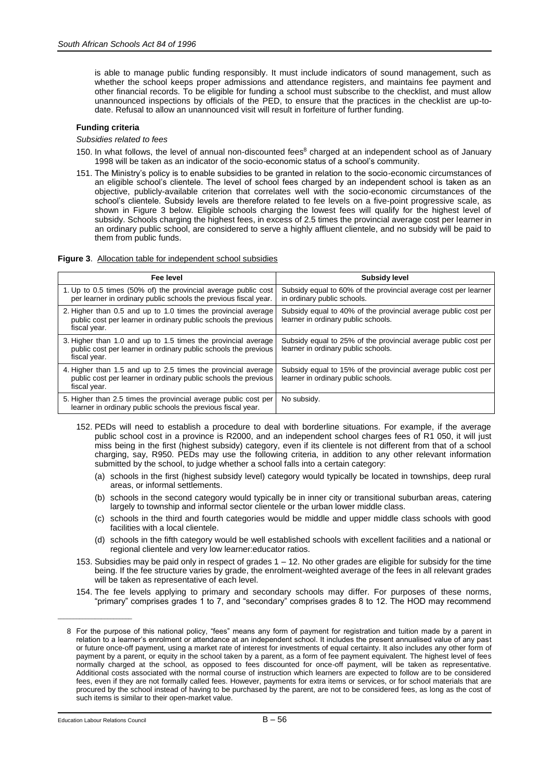is able to manage public funding responsibly. It must include indicators of sound management, such as whether the school keeps proper admissions and attendance registers, and maintains fee payment and other financial records. To be eligible for funding a school must subscribe to the checklist, and must allow unannounced inspections by officials of the PED, to ensure that the practices in the checklist are up-todate. Refusal to allow an unannounced visit will result in forfeiture of further funding.

# **Funding criteria**

*Subsidies related to fees*

- 150. In what follows, the level of annual non-discounted fees<sup>8</sup> charged at an independent school as of January 1998 will be taken as an indicator of the socio-economic status of a school's community.
- 151. The Ministry's policy is to enable subsidies to be granted in relation to the socio-economic circumstances of an eligible school's clientele. The level of school fees charged by an independent school is taken as an objective, publicly-available criterion that correlates well with the socio-economic circumstances of the school's clientele. Subsidy levels are therefore related to fee levels on a five-point progressive scale, as shown in Figure 3 below. Eligible schools charging the lowest fees will qualify for the highest level of subsidy. Schools charging the highest fees, in excess of 2.5 times the provincial average cost per learner in an ordinary public school, are considered to serve a highly affluent clientele, and no subsidy will be paid to them from public funds.

|  |  | <b>Figure 3.</b> Allocation table for independent school subsidies |  |
|--|--|--------------------------------------------------------------------|--|
|--|--|--------------------------------------------------------------------|--|

| Fee level                                                                                                                                        | Subsidy level                                                                                         |
|--------------------------------------------------------------------------------------------------------------------------------------------------|-------------------------------------------------------------------------------------------------------|
| 1. Up to 0.5 times (50% of) the provincial average public cost<br>per learner in ordinary public schools the previous fiscal year.               | Subsidy equal to 60% of the provincial average cost per learner<br>in ordinary public schools.        |
| 2. Higher than 0.5 and up to 1.0 times the provincial average<br>public cost per learner in ordinary public schools the previous<br>fiscal year. | Subsidy equal to 40% of the provincial average public cost per<br>learner in ordinary public schools. |
| 3. Higher than 1.0 and up to 1.5 times the provincial average<br>public cost per learner in ordinary public schools the previous<br>fiscal year. | Subsidy equal to 25% of the provincial average public cost per<br>learner in ordinary public schools. |
| 4. Higher than 1.5 and up to 2.5 times the provincial average<br>public cost per learner in ordinary public schools the previous<br>fiscal year. | Subsidy equal to 15% of the provincial average public cost per<br>learner in ordinary public schools. |
| 5. Higher than 2.5 times the provincial average public cost per<br>learner in ordinary public schools the previous fiscal year.                  | No subsidy.                                                                                           |

- 152. PEDs will need to establish a procedure to deal with borderline situations. For example, if the average public school cost in a province is R2000, and an independent school charges fees of R1 050, it will just miss being in the first (highest subsidy) category, even if its clientele is not different from that of a school charging, say, R950. PEDs may use the following criteria, in addition to any other relevant information submitted by the school, to judge whether a school falls into a certain category:
	- (a) schools in the first (highest subsidy level) category would typically be located in townships, deep rural areas, or informal settlements.
	- (b) schools in the second category would typically be in inner city or transitional suburban areas, catering largely to township and informal sector clientele or the urban lower middle class.
	- (c) schools in the third and fourth categories would be middle and upper middle class schools with good facilities with a local clientele.
	- (d) schools in the fifth category would be well established schools with excellent facilities and a national or regional clientele and very low learner:educator ratios.
- 153. Subsidies may be paid only in respect of grades 1 12. No other grades are eligible for subsidy for the time being. If the fee structure varies by grade, the enrolment-weighted average of the fees in all relevant grades will be taken as representative of each level.
- 154. The fee levels applying to primary and secondary schools may differ. For purposes of these norms, "primary" comprises grades 1 to 7, and "secondary" comprises grades 8 to 12. The HOD may recommend

\_\_\_\_\_\_\_\_\_\_\_\_\_\_\_\_\_\_\_\_\_\_\_\_

<sup>8</sup> For the purpose of this national policy, "fees" means any form of payment for registration and tuition made by a parent in relation to a learner's enrolment or attendance at an independent school. It includes the present annualised value of any past or future once-off payment, using a market rate of interest for investments of equal certainty. It also includes any other form of payment by a parent, or equity in the school taken by a parent, as a form of fee payment equivalent. The highest level of fees normally charged at the school, as opposed to fees discounted for once-off payment, will be taken as representative. Additional costs associated with the normal course of instruction which learners are expected to follow are to be considered fees, even if they are not formally called fees. However, payments for extra items or services, or for school materials that are procured by the school instead of having to be purchased by the parent, are not to be considered fees, as long as the cost of such items is similar to their open-market value.

Education Labour Relations Council  $B - 56$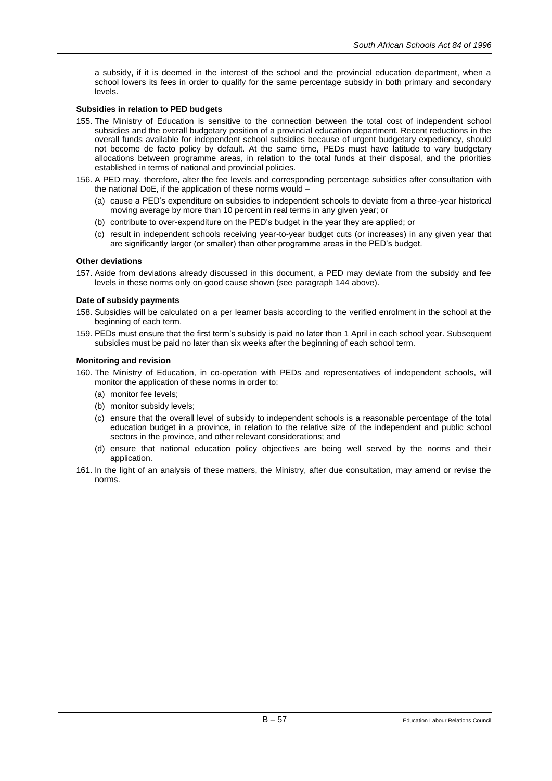a subsidy, if it is deemed in the interest of the school and the provincial education department, when a school lowers its fees in order to qualify for the same percentage subsidy in both primary and secondary levels.

## **Subsidies in relation to PED budgets**

- 155. The Ministry of Education is sensitive to the connection between the total cost of independent school subsidies and the overall budgetary position of a provincial education department. Recent reductions in the overall funds available for independent school subsidies because of urgent budgetary expediency, should not become de facto policy by default. At the same time, PEDs must have latitude to vary budgetary allocations between programme areas, in relation to the total funds at their disposal, and the priorities established in terms of national and provincial policies.
- 156. A PED may, therefore, alter the fee levels and corresponding percentage subsidies after consultation with the national DoE, if the application of these norms would –
	- (a) cause a PED's expenditure on subsidies to independent schools to deviate from a three-year historical moving average by more than 10 percent in real terms in any given year; or
	- (b) contribute to over-expenditure on the PED's budget in the year they are applied; or
	- (c) result in independent schools receiving year-to-year budget cuts (or increases) in any given year that are significantly larger (or smaller) than other programme areas in the PED's budget.

## **Other deviations**

157. Aside from deviations already discussed in this document, a PED may deviate from the subsidy and fee levels in these norms only on good cause shown (see paragraph 144 above).

## **Date of subsidy payments**

- 158. Subsidies will be calculated on a per learner basis according to the verified enrolment in the school at the beginning of each term.
- 159. PEDs must ensure that the first term's subsidy is paid no later than 1 April in each school year. Subsequent subsidies must be paid no later than six weeks after the beginning of each school term.

#### **Monitoring and revision**

- 160. The Ministry of Education, in co-operation with PEDs and representatives of independent schools, will monitor the application of these norms in order to:
	- (a) monitor fee levels;
	- (b) monitor subsidy levels;
	- (c) ensure that the overall level of subsidy to independent schools is a reasonable percentage of the total education budget in a province, in relation to the relative size of the independent and public school sectors in the province, and other relevant considerations; and
	- (d) ensure that national education policy objectives are being well served by the norms and their application.
- 161. In the light of an analysis of these matters, the Ministry, after due consultation, may amend or revise the norms.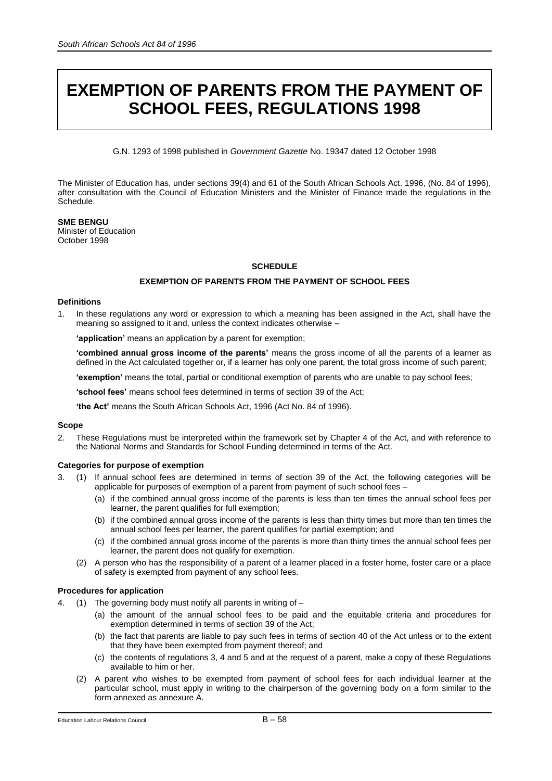# **EXEMPTION OF PARENTS FROM THE PAYMENT OF SCHOOL FEES, REGULATIONS 1998**

G.N. 1293 of 1998 published in *Government Gazette* No. 19347 dated 12 October 1998

The Minister of Education has, under sections 39(4) and 61 of the South African Schools Act. 1996, (No. 84 of 1996), after consultation with the Council of Education Ministers and the Minister of Finance made the regulations in the Schedule.

**SME BENGU** Minister of Education October 1998

# **SCHEDULE**

# **EXEMPTION OF PARENTS FROM THE PAYMENT OF SCHOOL FEES**

# **Definitions**

1. In these regulations any word or expression to which a meaning has been assigned in the Act, shall have the meaning so assigned to it and, unless the context indicates otherwise –

**'application'** means an application by a parent for exemption;

**'combined annual gross income of the parents'** means the gross income of all the parents of a learner as defined in the Act calculated together or, if a learner has only one parent, the total gross income of such parent;

**'exemption'** means the total, partial or conditional exemption of parents who are unable to pay school fees;

**'school fees'** means school fees determined in terms of section 39 of the Act;

**'the Act'** means the South African Schools Act, 1996 (Act No. 84 of 1996).

## **Scope**

2. These Regulations must be interpreted within the framework set by Chapter 4 of the Act, and with reference to the National Norms and Standards for School Funding determined in terms of the Act.

## **Categories for purpose of exemption**

- 3. (1) If annual school fees are determined in terms of section 39 of the Act, the following categories will be applicable for purposes of exemption of a parent from payment of such school fees –
	- (a) if the combined annual gross income of the parents is less than ten times the annual school fees per learner, the parent qualifies for full exemption;
	- (b) if the combined annual gross income of the parents is less than thirty times but more than ten times the annual school fees per learner, the parent qualifies for partial exemption; and
	- (c) if the combined annual gross income of the parents is more than thirty times the annual school fees per learner, the parent does not qualify for exemption.
	- (2) A person who has the responsibility of a parent of a learner placed in a foster home, foster care or a place of safety is exempted from payment of any school fees.

## **Procedures for application**

- (1) The governing body must notify all parents in writing of  $-$ 
	- (a) the amount of the annual school fees to be paid and the equitable criteria and procedures for exemption determined in terms of section 39 of the Act;
	- (b) the fact that parents are liable to pay such fees in terms of section 40 of the Act unless or to the extent that they have been exempted from payment thereof; and
	- (c) the contents of regulations 3, 4 and 5 and at the request of a parent, make a copy of these Regulations available to him or her.
	- (2) A parent who wishes to be exempted from payment of school fees for each individual learner at the particular school, must apply in writing to the chairperson of the governing body on a form similar to the form annexed as annexure A.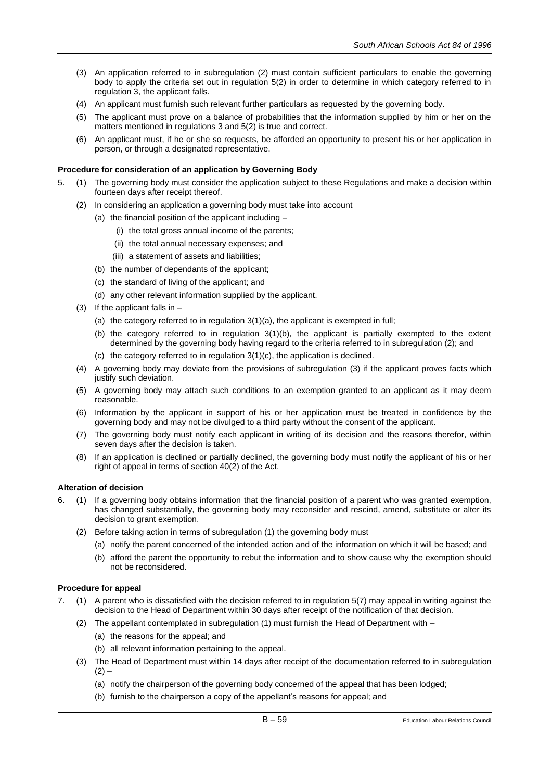- (3) An application referred to in subregulation (2) must contain sufficient particulars to enable the governing body to apply the criteria set out in regulation 5(2) in order to determine in which category referred to in regulation 3, the applicant falls.
- (4) An applicant must furnish such relevant further particulars as requested by the governing body.
- (5) The applicant must prove on a balance of probabilities that the information supplied by him or her on the matters mentioned in regulations 3 and 5(2) is true and correct.
- (6) An applicant must, if he or she so requests, be afforded an opportunity to present his or her application in person, or through a designated representative.

# **Procedure for consideration of an application by Governing Body**

- 5. (1) The governing body must consider the application subject to these Regulations and make a decision within fourteen days after receipt thereof.
	- (2) In considering an application a governing body must take into account
		- (a) the financial position of the applicant including
			- (i) the total gross annual income of the parents;
			- (ii) the total annual necessary expenses; and
			- (iii) a statement of assets and liabilities;
		- (b) the number of dependants of the applicant;
		- (c) the standard of living of the applicant; and
		- (d) any other relevant information supplied by the applicant.
	- (3) If the applicant falls in
		- (a) the category referred to in regulation 3(1)(a), the applicant is exempted in full;
		- (b) the category referred to in regulation 3(1)(b), the applicant is partially exempted to the extent determined by the governing body having regard to the criteria referred to in subregulation (2); and
		- (c) the category referred to in regulation 3(1)(c), the application is declined.
	- (4) A governing body may deviate from the provisions of subregulation (3) if the applicant proves facts which justify such deviation.
	- (5) A governing body may attach such conditions to an exemption granted to an applicant as it may deem reasonable.
	- (6) Information by the applicant in support of his or her application must be treated in confidence by the governing body and may not be divulged to a third party without the consent of the applicant.
	- (7) The governing body must notify each applicant in writing of its decision and the reasons therefor, within seven days after the decision is taken.
	- (8) If an application is declined or partially declined, the governing body must notify the applicant of his or her right of appeal in terms of section 40(2) of the Act.

## **Alteration of decision**

- 6. (1) If a governing body obtains information that the financial position of a parent who was granted exemption, has changed substantially, the governing body may reconsider and rescind, amend, substitute or alter its decision to grant exemption.
	- (2) Before taking action in terms of subregulation (1) the governing body must
		- (a) notify the parent concerned of the intended action and of the information on which it will be based; and
		- (b) afford the parent the opportunity to rebut the information and to show cause why the exemption should not be reconsidered.

## **Procedure for appeal**

- 7. (1) A parent who is dissatisfied with the decision referred to in regulation 5(7) may appeal in writing against the decision to the Head of Department within 30 days after receipt of the notification of that decision.
	- (2) The appellant contemplated in subregulation (1) must furnish the Head of Department with
		- (a) the reasons for the appeal; and
		- (b) all relevant information pertaining to the appeal.
	- (3) The Head of Department must within 14 days after receipt of the documentation referred to in subregulation  $(2) -$ 
		- (a) notify the chairperson of the governing body concerned of the appeal that has been lodged;
		- (b) furnish to the chairperson a copy of the appellant's reasons for appeal; and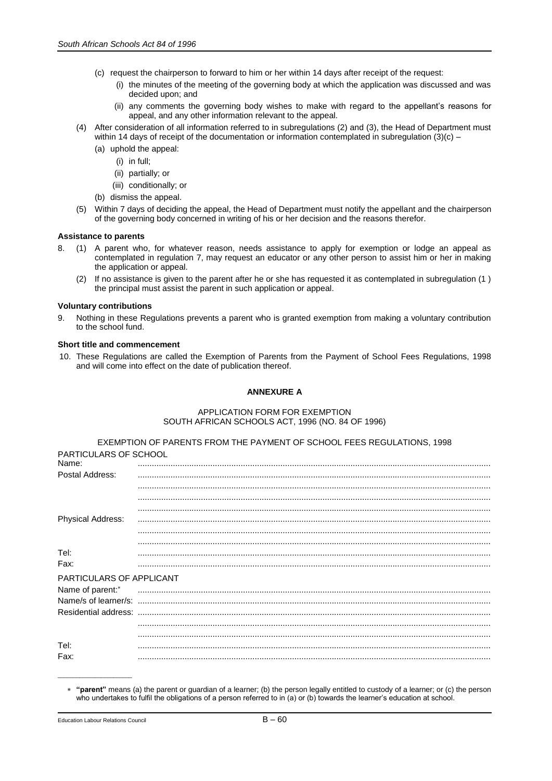- (c) request the chairperson to forward to him or her within 14 days after receipt of the request:
	- (i) the minutes of the meeting of the governing body at which the application was discussed and was decided upon; and
	- (ii) any comments the governing body wishes to make with regard to the appellant's reasons for appeal, and any other information relevant to the appeal.
- (4) After consideration of all information referred to in subregulations (2) and (3), the Head of Department must within 14 days of receipt of the documentation or information contemplated in subregulation  $(3)(c)$  –
	- (a) uphold the appeal:
		- (i) in full;
		- (ii) partially; or
		- (iii) conditionally; or
	- (b) dismiss the appeal.
- (5) Within 7 days of deciding the appeal, the Head of Department must notify the appellant and the chairperson of the governing body concerned in writing of his or her decision and the reasons therefor.

#### **Assistance to parents**

- 8. (1) A parent who, for whatever reason, needs assistance to apply for exemption or lodge an appeal as contemplated in regulation 7, may request an educator or any other person to assist him or her in making the application or appeal.
	- (2) If no assistance is given to the parent after he or she has requested it as contemplated in subregulation (1 ) the principal must assist the parent in such application or appeal.

#### **Voluntary contributions**

9. Nothing in these Regulations prevents a parent who is granted exemption from making a voluntary contribution to the school fund.

#### **Short title and commencement**

10. These Regulations are called the Exemption of Parents from the Payment of School Fees Regulations, 1998 and will come into effect on the date of publication thereof.

# **ANNEXURE A**

# APPLICATION FORM FOR EXEMPTION SOUTH AFRICAN SCHOOLS ACT, 1996 (NO. 84 OF 1996)

|                                       | EXEMPTION OF PARENTS FROM THE PAYMENT OF SCHOOL FEES REGULATIONS, 1998 |
|---------------------------------------|------------------------------------------------------------------------|
| <b>PARTICULARS OF SCHOOL</b><br>Name: |                                                                        |
| Postal Address:                       |                                                                        |
|                                       |                                                                        |
|                                       |                                                                        |
| <b>Physical Address:</b>              |                                                                        |
|                                       |                                                                        |
| Tel:                                  |                                                                        |
| Fax:                                  |                                                                        |
| PARTICULARS OF APPLICANT              |                                                                        |
| Name of parent:*                      |                                                                        |
|                                       |                                                                        |
|                                       |                                                                        |
|                                       |                                                                        |
| Tel:<br>Fax:                          |                                                                        |
|                                       |                                                                        |

**"parent"** means (a) the parent or guardian of a learner; (b) the person legally entitled to custody of a learner; or (c) the person who undertakes to fulfil the obligations of a person referred to in (a) or (b) towards the learner's education at school.

\_\_\_\_\_\_\_\_\_\_\_\_\_\_\_\_\_\_\_\_\_\_\_\_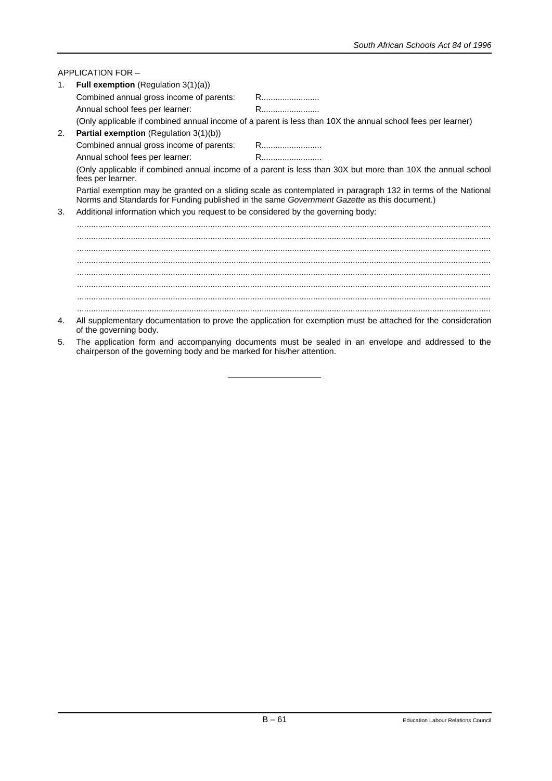|                                                                                                                                  | APPLICATION FOR -                                                                                                                                                                                            |                                                                                                               |  |  |
|----------------------------------------------------------------------------------------------------------------------------------|--------------------------------------------------------------------------------------------------------------------------------------------------------------------------------------------------------------|---------------------------------------------------------------------------------------------------------------|--|--|
| 1.                                                                                                                               | <b>Full exemption</b> (Regulation $3(1)(a)$ )                                                                                                                                                                |                                                                                                               |  |  |
|                                                                                                                                  | Combined annual gross income of parents:                                                                                                                                                                     | R                                                                                                             |  |  |
|                                                                                                                                  | Annual school fees per learner:                                                                                                                                                                              |                                                                                                               |  |  |
|                                                                                                                                  |                                                                                                                                                                                                              | (Only applicable if combined annual income of a parent is less than 10X the annual school fees per learner)   |  |  |
| 2.                                                                                                                               | Partial exemption (Regulation 3(1)(b))                                                                                                                                                                       |                                                                                                               |  |  |
|                                                                                                                                  |                                                                                                                                                                                                              |                                                                                                               |  |  |
|                                                                                                                                  | Annual school fees per learner:                                                                                                                                                                              | R                                                                                                             |  |  |
| (Only applicable if combined annual income of a parent is less than 30X but more than 10X the annual school<br>fees per learner. |                                                                                                                                                                                                              |                                                                                                               |  |  |
|                                                                                                                                  | Partial exemption may be granted on a sliding scale as contemplated in paragraph 132 in terms of the National<br>Norms and Standards for Funding published in the same Government Gazette as this document.) |                                                                                                               |  |  |
| 3.                                                                                                                               | Additional information which you request to be considered by the governing body:                                                                                                                             |                                                                                                               |  |  |
|                                                                                                                                  |                                                                                                                                                                                                              |                                                                                                               |  |  |
|                                                                                                                                  |                                                                                                                                                                                                              |                                                                                                               |  |  |
|                                                                                                                                  |                                                                                                                                                                                                              |                                                                                                               |  |  |
|                                                                                                                                  |                                                                                                                                                                                                              |                                                                                                               |  |  |
|                                                                                                                                  |                                                                                                                                                                                                              |                                                                                                               |  |  |
|                                                                                                                                  |                                                                                                                                                                                                              |                                                                                                               |  |  |
|                                                                                                                                  |                                                                                                                                                                                                              |                                                                                                               |  |  |
| 4.                                                                                                                               | of the governing body.                                                                                                                                                                                       | All supplementary documentation to prove the application for exemption must be attached for the consideration |  |  |
| 5.                                                                                                                               | chairperson of the governing body and be marked for his/her attention.                                                                                                                                       | The application form and accompanying documents must be sealed in an envelope and addressed to the            |  |  |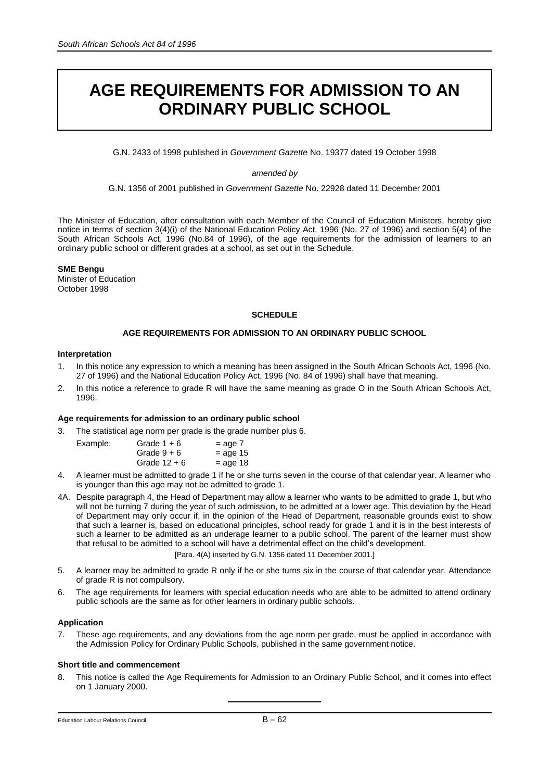# **AGE REQUIREMENTS FOR ADMISSION TO AN ORDINARY PUBLIC SCHOOL**

G.N. 2433 of 1998 published in *Government Gazette* No. 19377 dated 19 October 1998

# *amended by*

G.N. 1356 of 2001 published in *Government Gazette* No. 22928 dated 11 December 2001

The Minister of Education, after consultation with each Member of the Council of Education Ministers, hereby give notice in terms of section 3(4)(i) of the National Education Policy Act, 1996 (No. 27 of 1996) and section 5(4) of the South African Schools Act, 1996 (No.84 of 1996), of the age requirements for the admission of learners to an ordinary public school or different grades at a school, as set out in the Schedule.

# **SME Bengu**

Minister of Education October 1998

# **SCHEDULE**

# **AGE REQUIREMENTS FOR ADMISSION TO AN ORDINARY PUBLIC SCHOOL**

# **Interpretation**

Example:

- 1. In this notice any expression to which a meaning has been assigned in the South African Schools Act, 1996 (No. 27 of 1996) and the National Education Policy Act, 1996 (No. 84 of 1996) shall have that meaning.
- 2. In this notice a reference to grade R will have the same meaning as grade O in the South African Schools Act, 1996.

# **Age requirements for admission to an ordinary public school**

3. The statistical age norm per grade is the grade number plus 6.

| Grade $1 + 6$  | $=$ age $7$ |
|----------------|-------------|
| Grade $9+6$    | $=$ age 15  |
| Grade $12 + 6$ | $=$ age 18  |

- 4. A learner must be admitted to grade 1 if he or she turns seven in the course of that calendar year. A learner who is younger than this age may not be admitted to grade 1.
- 4A. Despite paragraph 4, the Head of Department may allow a learner who wants to be admitted to grade 1, but who will not be turning 7 during the year of such admission, to be admitted at a lower age. This deviation by the Head of Department may only occur if, in the opinion of the Head of Department, reasonable grounds exist to show that such a learner is, based on educational principles, school ready for grade 1 and it is in the best interests of such a learner to be admitted as an underage learner to a public school. The parent of the learner must show that refusal to be admitted to a school will have a detrimental effect on the child's development.

[Para. 4(A) inserted by G.N. 1356 dated 11 December 2001.]

- 5. A learner may be admitted to grade R only if he or she turns six in the course of that calendar year. Attendance of grade R is not compulsory.
- 6. The age requirements for learners with special education needs who are able to be admitted to attend ordinary public schools are the same as for other learners in ordinary public schools.

# **Application**

These age requirements, and any deviations from the age norm per grade, must be applied in accordance with the Admission Policy for Ordinary Public Schools, published in the same government notice.

# **Short title and commencement**

8. This notice is called the Age Requirements for Admission to an Ordinary Public School, and it comes into effect on 1 January 2000.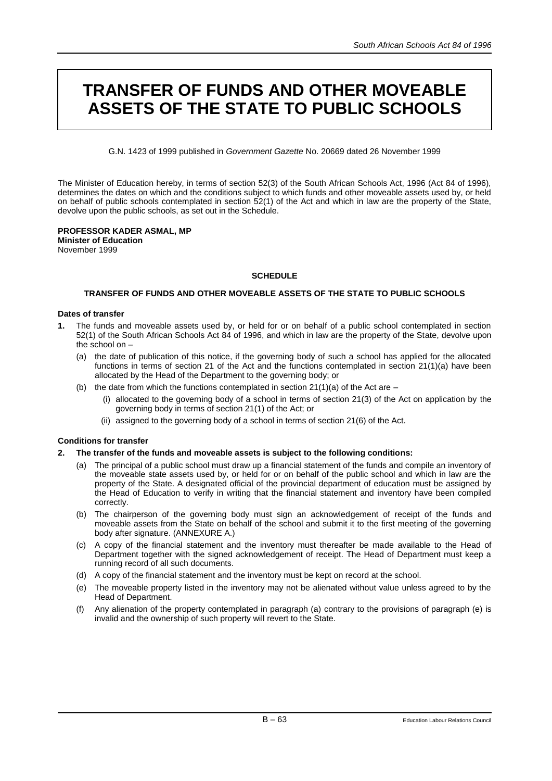# **TRANSFER OF FUNDS AND OTHER MOVEABLE ASSETS OF THE STATE TO PUBLIC SCHOOLS**

G.N. 1423 of 1999 published in *Government Gazette* No. 20669 dated 26 November 1999

The Minister of Education hereby, in terms of section 52(3) of the South African Schools Act, 1996 (Act 84 of 1996), determines the dates on which and the conditions subject to which funds and other moveable assets used by, or held on behalf of public schools contemplated in section 52(1) of the Act and which in law are the property of the State, devolve upon the public schools, as set out in the Schedule.

#### **PROFESSOR KADER ASMAL, MP Minister of Education**

November 1999

# **SCHEDULE**

# **TRANSFER OF FUNDS AND OTHER MOVEABLE ASSETS OF THE STATE TO PUBLIC SCHOOLS**

# **Dates of transfer**

- **1.** The funds and moveable assets used by, or held for or on behalf of a public school contemplated in section 52(1) of the South African Schools Act 84 of 1996, and which in law are the property of the State, devolve upon the school on –
	- (a) the date of publication of this notice, if the governing body of such a school has applied for the allocated functions in terms of section 21 of the Act and the functions contemplated in section 21(1)(a) have been allocated by the Head of the Department to the governing body; or
	- (b) the date from which the functions contemplated in section  $21(1)(a)$  of the Act are
		- (i) allocated to the governing body of a school in terms of section 21(3) of the Act on application by the governing body in terms of section 21(1) of the Act; or
		- (ii) assigned to the governing body of a school in terms of section 21(6) of the Act.

# **Conditions for transfer**

# **2. The transfer of the funds and moveable assets is subject to the following conditions:**

- (a) The principal of a public school must draw up a financial statement of the funds and compile an inventory of the moveable state assets used by, or held for or on behalf of the public school and which in law are the property of the State. A designated official of the provincial department of education must be assigned by the Head of Education to verify in writing that the financial statement and inventory have been compiled correctly.
- (b) The chairperson of the governing body must sign an acknowledgement of receipt of the funds and moveable assets from the State on behalf of the school and submit it to the first meeting of the governing body after signature. (ANNEXURE A.)
- (c) A copy of the financial statement and the inventory must thereafter be made available to the Head of Department together with the signed acknowledgement of receipt. The Head of Department must keep a running record of all such documents.
- (d) A copy of the financial statement and the inventory must be kept on record at the school.
- (e) The moveable property listed in the inventory may not be alienated without value unless agreed to by the Head of Department.
- (f) Any alienation of the property contemplated in paragraph (a) contrary to the provisions of paragraph (e) is invalid and the ownership of such property will revert to the State.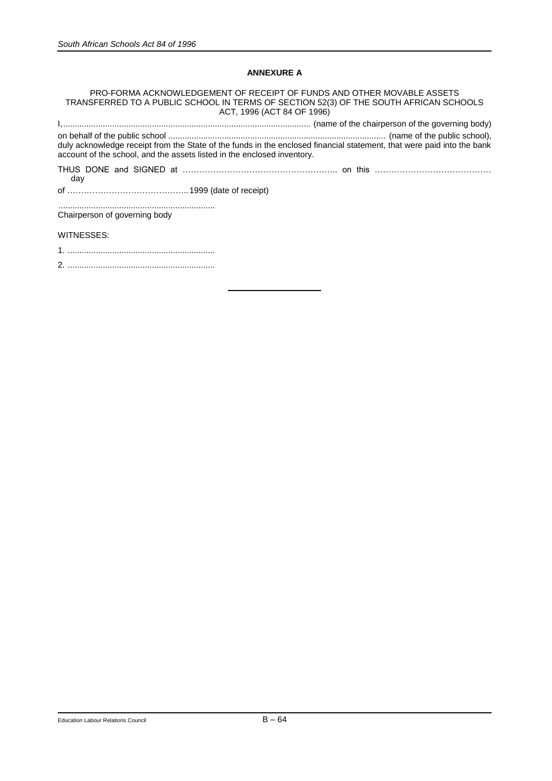# **ANNEXURE A**

PRO-FORMA ACKNOWLEDGEMENT OF RECEIPT OF FUNDS AND OTHER MOVABLE ASSETS TRANSFERRED TO A PUBLIC SCHOOL IN TERMS OF SECTION 52(3) OF THE SOUTH AFRICAN SCHOOLS ACT, 1996 (ACT 84 OF 1996) I,.......................................................................................................... (name of the chairperson of the governing body) on behalf of the public school ............................................................................................. (name of the public school), duly acknowledge receipt from the State of the funds in the enclosed financial statement, that were paid into the bank account of the school, and the assets listed in the enclosed inventory. THUS DONE and SIGNED at ……………………………………………….. on this …………………………………… day

of ……………………………………..1999 (date of receipt)

................................................................... Chairperson of governing body

WITNESSES:

1. ...............................................................

2. ...............................................................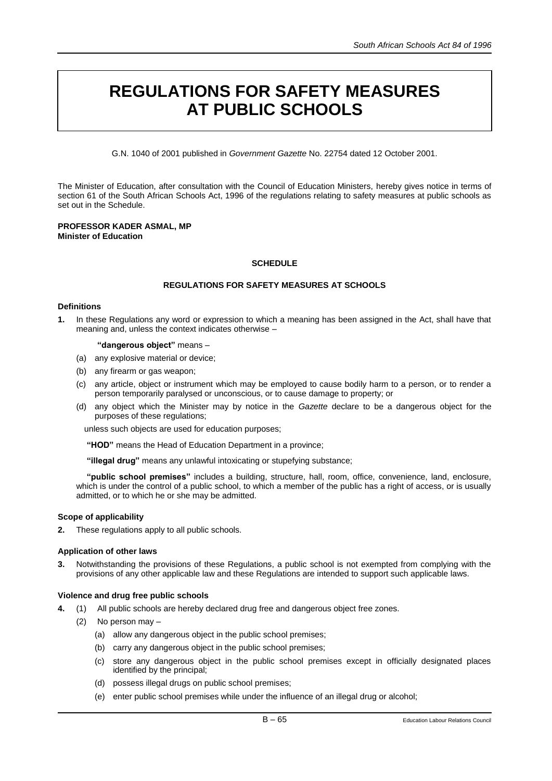# **REGULATIONS FOR SAFETY MEASURES AT PUBLIC SCHOOLS**

G.N. 1040 of 2001 published in *Government Gazette* No. 22754 dated 12 October 2001.

The Minister of Education, after consultation with the Council of Education Ministers, hereby gives notice in terms of section 61 of the South African Schools Act, 1996 of the regulations relating to safety measures at public schools as set out in the Schedule.

# **PROFESSOR KADER ASMAL, MP Minister of Education**

# **SCHEDULE**

# **REGULATIONS FOR SAFETY MEASURES AT SCHOOLS**

# **Definitions**

**1.** In these Regulations any word or expression to which a meaning has been assigned in the Act, shall have that meaning and, unless the context indicates otherwise –

## **"dangerous object"** means –

- (a) any explosive material or device;
- (b) any firearm or gas weapon;
- (c) any article, object or instrument which may be employed to cause bodily harm to a person, or to render a person temporarily paralysed or unconscious, or to cause damage to property; or
- (d) any object which the Minister may by notice in the *Gazette* declare to be a dangerous object for the purposes of these regulations;

unless such objects are used for education purposes;

**"HOD"** means the Head of Education Department in a province;

**"illegal drug"** means any unlawful intoxicating or stupefying substance;

**"public school premises"** includes a building, structure, hall, room, office, convenience, land, enclosure, which is under the control of a public school, to which a member of the public has a right of access, or is usually admitted, or to which he or she may be admitted.

# **Scope of applicability**

**2.** These regulations apply to all public schools.

# **Application of other laws**

**3.** Notwithstanding the provisions of these Regulations, a public school is not exempted from complying with the provisions of any other applicable law and these Regulations are intended to support such applicable laws.

# **Violence and drug free public schools**

- **4.** (1) All public schools are hereby declared drug free and dangerous object free zones.
	- (2) No person may
		- (a) allow any dangerous object in the public school premises;
		- (b) carry any dangerous object in the public school premises;
		- (c) store any dangerous object in the public school premises except in officially designated places identified by the principal;
		- (d) possess illegal drugs on public school premises;
		- (e) enter public school premises while under the influence of an illegal drug or alcohol;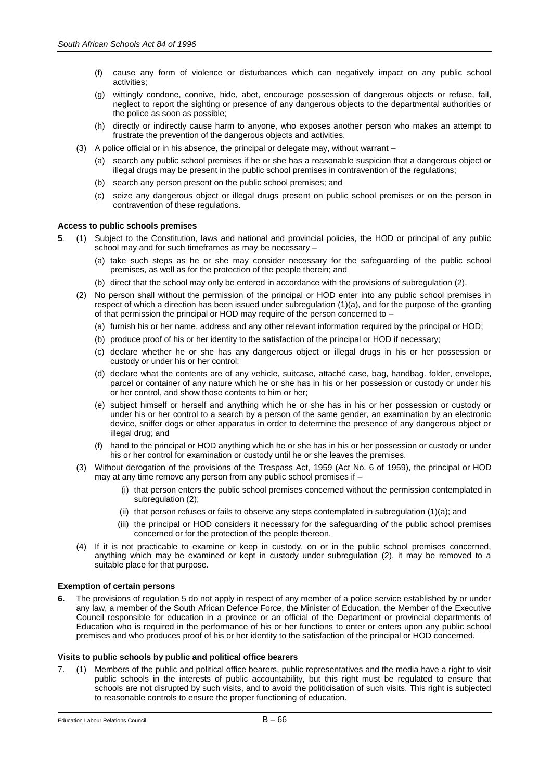- (f) cause any form of violence or disturbances which can negatively impact on any public school activities;
- (g) wittingly condone, connive, hide, abet, encourage possession of dangerous objects or refuse, fail, neglect to report the sighting or presence of any dangerous objects to the departmental authorities or the police as soon as possible;
- (h) directly or indirectly cause harm to anyone, who exposes another person who makes an attempt to frustrate the prevention of the dangerous objects and activities.
- (3) A police official or in his absence, the principal or delegate may, without warrant
	- (a) search any public school premises if he or she has a reasonable suspicion that a dangerous object or illegal drugs may be present in the public school premises in contravention of the regulations;
	- (b) search any person present on the public school premises; and
	- (c) seize any dangerous object or illegal drugs present on public school premises or on the person in contravention of these regulations.

#### **Access to public schools premises**

- **5***.* (1) Subject to the Constitution, laws and national and provincial policies, the HOD or principal of any public school may and for such timeframes as may be necessary –
	- (a) take such steps as he or she may consider necessary for the safeguarding of the public school premises, as well as for the protection of the people therein; and
	- (b) direct that the school may only be entered in accordance with the provisions of subregulation (2).
	- (2) No person shall without the permission of the principal or HOD enter into any public school premises in respect of which a direction has been issued under subregulation (1)(a), and for the purpose of the granting of that permission the principal or HOD may require of the person concerned to –
		- (a) furnish his or her name, address and any other relevant information required by the principal or HOD;
		- (b) produce proof of his or her identity to the satisfaction of the principal or HOD if necessary;
		- (c) declare whether he or she has any dangerous object or illegal drugs in his or her possession or custody or under his or her control;
		- (d) declare what the contents are of any vehicle, suitcase, attaché case, bag, handbag. folder, envelope, parcel or container of any nature which he or she has in his or her possession or custody or under his or her control, and show those contents to him or her;
		- (e) subject himself or herself and anything which he or she has in his or her possession or custody or under his or her control to a search by a person of the same gender, an examination by an electronic device, sniffer dogs or other apparatus in order to determine the presence of any dangerous object or illegal drug; and
		- (f) hand to the principal or HOD anything which he or she has in his or her possession or custody or under his or her control for examination or custody until he or she leaves the premises.
	- (3) Without derogation of the provisions of the Trespass Act, 1959 (Act No. 6 of 1959), the principal or HOD may at any time remove any person from any public school premises if –
		- (i) that person enters the public school premises concerned without the permission contemplated in subregulation (2);
		- (ii) that person refuses or fails to observe any steps contemplated in subregulation (1)(a); and
		- (iii) the principal or HOD considers it necessary for the safeguarding *of* the public school premises concerned or for the protection of the people thereon.
	- (4) If it is not practicable to examine or keep in custody, on or in the public school premises concerned, anything which may be examined or kept in custody under subregulation (2), it may be removed to a suitable place for that purpose.

## **Exemption of certain persons**

The provisions of regulation 5 do not apply in respect of any member of a police service established by or under any law, a member of the South African Defence Force, the Minister of Education, the Member of the Executive Council responsible for education in a province or an official of the Department or provincial departments of Education who is required in the performance of his or her functions to enter or enters upon any public school premises and who produces proof of his or her identity to the satisfaction of the principal or HOD concerned.

#### **Visits to public schools by public and political office bearers**

7. (1) Members of the public and political office bearers, public representatives and the media have a right to visit public schools in the interests of public accountability, but this right must be regulated to ensure that schools are not disrupted by such visits, and to avoid the politicisation of such visits. This right is subjected to reasonable controls to ensure the proper functioning of education.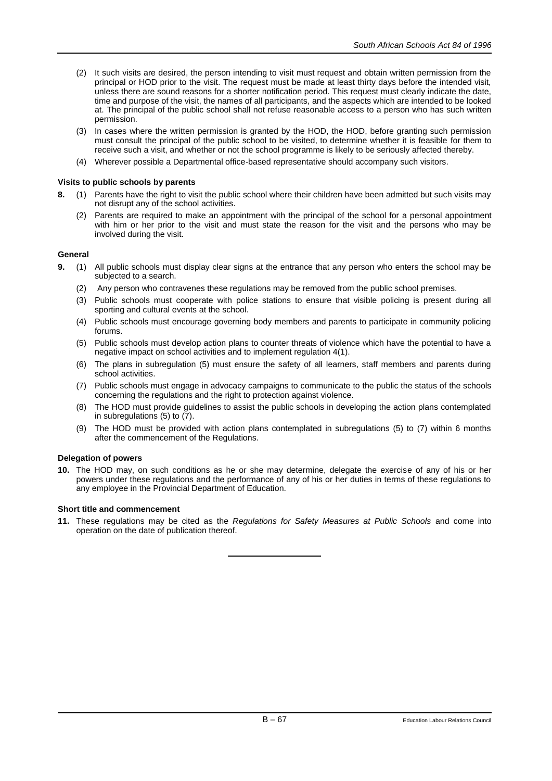- (2) It such visits are desired, the person intending to visit must request and obtain written permission from the principal or HOD prior to the visit. The request must be made at least thirty days before the intended visit, unless there are sound reasons for a shorter notification period. This request must clearly indicate the date, time and purpose of the visit, the names of all participants, and the aspects which are intended to be looked at. The principal of the public school shall not refuse reasonable access to a person who has such written permission.
- (3) In cases where the written permission is granted by the HOD, the HOD, before granting such permission must consult the principal of the public school to be visited, to determine whether it is feasible for them to receive such a visit, and whether or not the school programme is likely to be seriously affected thereby.
- (4) Wherever possible a Departmental office-based representative should accompany such visitors.

## **Visits to public schools by parents**

- **8.** (1) Parents have the right to visit the public school where their children have been admitted but such visits may not disrupt any of the school activities.
	- (2) Parents are required to make an appointment with the principal of the school for a personal appointment with him or her prior to the visit and must state the reason for the visit and the persons who may be involved during the visit.

## **General**

- **9.** (1) All public schools must display clear signs at the entrance that any person who enters the school may be subjected to a search.
	- (2) Any person who contravenes these regulations may be removed from the public school premises.
	- (3) Public schools must cooperate with police stations to ensure that visible policing is present during all sporting and cultural events at the school.
	- (4) Public schools must encourage governing body members and parents to participate in community policing forums.
	- (5) Public schools must develop action plans to counter threats of violence which have the potential to have a negative impact on school activities and to implement regulation 4(1).
	- (6) The plans in subregulation (5) must ensure the safety of all learners, staff members and parents during school activities.
	- (7) Public schools must engage in advocacy campaigns to communicate to the public the status of the schools concerning the regulations and the right to protection against violence.
	- (8) The HOD must provide guidelines to assist the public schools in developing the action plans contemplated in subregulations (5) to (7).
	- (9) The HOD must be provided with action plans contemplated in subregulations (5) to (7) within 6 months after the commencement of the Regulations.

## **Delegation of powers**

**10.** The HOD may, on such conditions as he or she may determine, delegate the exercise of any of his or her powers under these regulations and the performance of any of his or her duties in terms of these regulations to any employee in the Provincial Department of Education.

## **Short title and commencement**

**11.** These regulations may be cited as the *Regulations for Safety Measures at Public Schools* and come into operation on the date of publication thereof.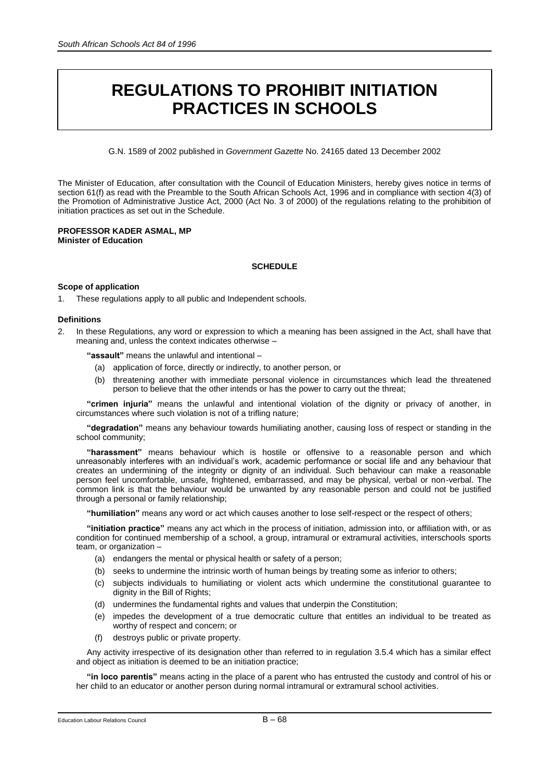# **REGULATIONS TO PROHIBIT INITIATION PRACTICES IN SCHOOLS**

G.N. 1589 of 2002 published in *Government Gazette* No. 24165 dated 13 December 2002

The Minister of Education, after consultation with the Council of Education Ministers, hereby gives notice in terms of section 61(f) as read with the Preamble to the South African Schools Act, 1996 and in compliance with section 4(3) of the Promotion of Administrative Justice Act, 2000 (Act No. 3 of 2000) of the regulations relating to the prohibition of initiation practices as set out in the Schedule.

### **PROFESSOR KADER ASMAL, MP Minister of Education**

# **SCHEDULE**

# **Scope of application**

1. These regulations apply to all public and Independent schools.

# **Definitions**

2. In these Regulations, any word or expression to which a meaning has been assigned in the Act, shall have that meaning and, unless the context indicates otherwise –

**"assault"** means the unlawful and intentional –

- (a) application of force, directly or indirectly, to another person, or
- (b) threatening another with immediate personal violence in circumstances which lead the threatened person to believe that the other intends or has the power to carry out the threat;

**"crimen injuria"** means the unlawful and intentional violation of the dignity or privacy of another, in circumstances where such violation is not of a trifling nature;

**"degradation"** means any behaviour towards humiliating another, causing loss of respect or standing in the school community;

**"harassment"** means behaviour which is hostile or offensive to a reasonable person and which unreasonably interferes with an individual's work, academic performance or social life and any behaviour that creates an undermining of the integrity or dignity of an individual. Such behaviour can make a reasonable person feel uncomfortable, unsafe, frightened, embarrassed, and may be physical, verbal or non-verbal. The common link is that the behaviour would be unwanted by any reasonable person and could not be justified through a personal or family relationship;

**"humiliation"** means any word or act which causes another to lose self-respect or the respect of others;

**"initiation practice"** means any act which in the process of initiation, admission into, or affiliation with, or as condition for continued membership of a school, a group, intramural or extramural activities, interschools sports team, or organization –

- (a) endangers the mental or physical health or safety of a person;
- (b) seeks to undermine the intrinsic worth of human beings by treating some as inferior to others;
- (c) subjects individuals to humiliating or violent acts which undermine the constitutional guarantee to dignity in the Bill of Rights;
- (d) undermines the fundamental rights and values that underpin the Constitution;
- (e) impedes the development of a true democratic culture that entitles an individual to be treated as worthy of respect and concern; or
- (f) destroys public or private property.

Any activity irrespective of its designation other than referred to in regulation 3.5.4 which has a similar effect and object as initiation is deemed to be an initiation practice;

**"in loco parentis"** means acting in the place of a parent who has entrusted the custody and control of his or her child to an educator or another person during normal intramural or extramural school activities.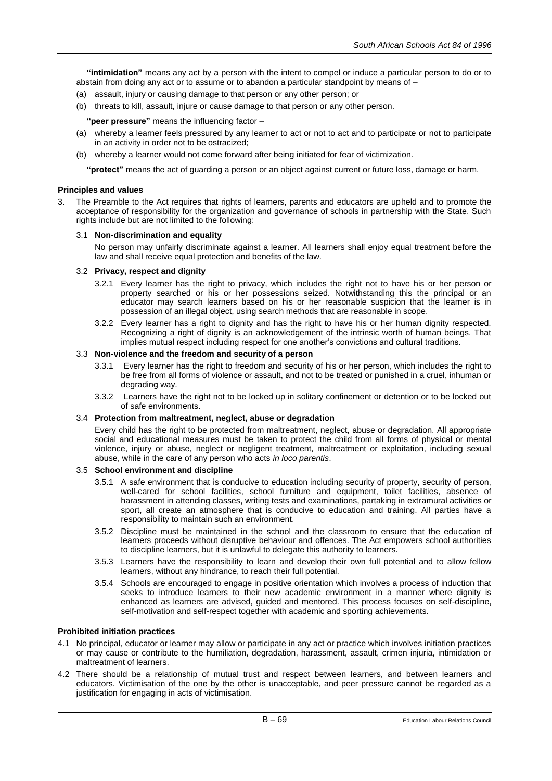**"intimidation"** means any act by a person with the intent to compel or induce a particular person to do or to abstain from doing any act or to assume or to abandon a particular standpoint by means of –

- (a) assault, injury or causing damage to that person or any other person; or
- (b) threats to kill, assault, injure or cause damage to that person or any other person.

**"peer pressure"** means the influencing factor –

- (a) whereby a learner feels pressured by any learner to act or not to act and to participate or not to participate in an activity in order not to be ostracized;
- (b) whereby a learner would not come forward after being initiated for fear of victimization.

**"protect"** means the act of guarding a person or an object against current or future loss, damage or harm.

### **Principles and values**

The Preamble to the Act requires that rights of learners, parents and educators are upheld and to promote the acceptance of responsibility for the organization and governance of schools in partnership with the State. Such rights include but are not limited to the following:

#### 3.1 **Non-discrimination and equality**

No person may unfairly discriminate against a learner. All learners shall enjoy equal treatment before the law and shall receive equal protection and benefits of the law.

#### 3.2 **Privacy, respect and dignity**

- 3.2.1 Every learner has the right to privacy, which includes the right not to have his or her person or property searched or his or her possessions seized. Notwithstanding this the principal or an educator may search learners based on his or her reasonable suspicion that the learner is in possession of an illegal object, using search methods that are reasonable in scope.
- 3.2.2 Every learner has a right to dignity and has the right to have his or her human dignity respected. Recognizing a right of dignity is an acknowledgement of the intrinsic worth of human beings. That implies mutual respect including respect for one another's convictions and cultural traditions.

# 3.3 **Non-violence and the freedom and security of a person**

- 3.3.1 Every learner has the right to freedom and security of his or her person, which includes the right to be free from all forms of violence or assault, and not to be treated or punished in a cruel, inhuman or degrading way.
- 3.3.2 Learners have the right not to be locked up in solitary confinement or detention or to be locked out of safe environments.

#### 3.4 **Protection from maltreatment, neglect, abuse or degradation**

Every child has the right to be protected from maltreatment, neglect, abuse or degradation. All appropriate social and educational measures must be taken to protect the child from all forms of physical or mental violence, injury or abuse, neglect or negligent treatment, maltreatment or exploitation, including sexual abuse, while in the care of any person who acts *in loco parentis*.

## 3.5 **School environment and discipline**

- 3.5.1 A safe environment that is conducive to education including security of property, security of person, well-cared for school facilities, school furniture and equipment, toilet facilities, absence of harassment in attending classes, writing tests and examinations, partaking in extramural activities or sport, all create an atmosphere that is conducive to education and training. All parties have a responsibility to maintain such an environment.
- 3.5.2 Discipline must be maintained in the school and the classroom to ensure that the education of learners proceeds without disruptive behaviour and offences. The Act empowers school authorities to discipline learners, but it is unlawful to delegate this authority to learners.
- 3.5.3 Learners have the responsibility to learn and develop their own full potential and to allow fellow learners, without any hindrance, to reach their full potential.
- 3.5.4 Schools are encouraged to engage in positive orientation which involves a process of induction that seeks to introduce learners to their new academic environment in a manner where dignity is enhanced as learners are advised, guided and mentored. This process focuses on self-discipline, self-motivation and self-respect together with academic and sporting achievements.

## **Prohibited initiation practices**

- 4.1 No principal, educator or learner may allow or participate in any act or practice which involves initiation practices or may cause or contribute to the humiliation, degradation, harassment, assault, crimen injuria, intimidation or maltreatment of learners.
- 4.2 There should be a relationship of mutual trust and respect between learners, and between learners and educators. Victimisation of the one by the other is unacceptable, and peer pressure cannot be regarded as a justification for engaging in acts of victimisation.